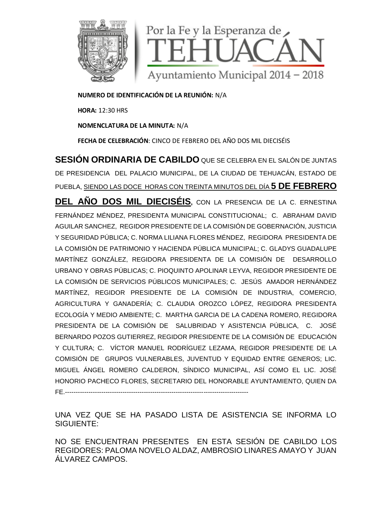

**NUMERO DE IDENTIFICACIÓN DE LA REUNIÓN:** N/A

**HORA:** 12:30 HRS

**NOMENCLATURA DE LA MINUTA:** N/A

**FECHA DE CELEBRACIÓN**: CINCO DE FEBRERO DEL AÑO DOS MIL DIECISÉIS

**SESIÓN ORDINARIA DE CABILDO** QUE SE CELEBRA EN EL SALÓN DE JUNTAS DE PRESIDENCIA DEL PALACIO MUNICIPAL, DE LA CIUDAD DE TEHUACÁN, ESTADO DE PUEBLA, SIENDO LAS DOCE HORAS CON TREINTA MINUTOS DEL DÍA **5 DE FEBRERO**

**DEL AÑO DOS MIL DIECISÉIS,** CON LA PRESENCIA DE LA C. ERNESTINA FERNÁNDEZ MÉNDEZ, PRESIDENTA MUNICIPAL CONSTITUCIONAL; C. ABRAHAM DAVID AGUILAR SANCHEZ, REGIDOR PRESIDENTE DE LA COMISIÓN DE GOBERNACIÓN, JUSTICIA Y SEGURIDAD PÚBLICA; C. NORMA LILIANA FLORES MÉNDEZ, REGIDORA PRESIDENTA DE LA COMISIÓN DE PATRIMONIO Y HACIENDA PÚBLICA MUNICIPAL; C. GLADYS GUADALUPE MARTÍNEZ GONZÁLEZ, REGIDORA PRESIDENTA DE LA COMISIÓN DE DESARROLLO URBANO Y OBRAS PÚBLICAS; C. PIOQUINTO APOLINAR LEYVA, REGIDOR PRESIDENTE DE LA COMISIÓN DE SERVICIOS PÚBLICOS MUNICIPALES; C. JESÚS AMADOR HERNÁNDEZ MARTÍNEZ, REGIDOR PRESIDENTE DE LA COMISIÓN DE INDUSTRIA, COMERCIO, AGRICULTURA Y GANADERÍA; C. CLAUDIA OROZCO LÓPEZ, REGIDORA PRESIDENTA ECOLOGÍA Y MEDIO AMBIENTE; C. MARTHA GARCIA DE LA CADENA ROMERO, REGIDORA PRESIDENTA DE LA COMISIÓN DE SALUBRIDAD Y ASISTENCIA PÚBLICA, C. JOSÉ BERNARDO POZOS GUTIERREZ, REGIDOR PRESIDENTE DE LA COMISIÓN DE EDUCACIÓN Y CULTURA; C. VÍCTOR MANUEL RODRÍGUEZ LEZAMA, REGIDOR PRESIDENTE DE LA COMISIÓN DE GRUPOS VULNERABLES, JUVENTUD Y EQUIDAD ENTRE GENEROS; LIC. MIGUEL ÁNGEL ROMERO CALDERON, SÍNDICO MUNICIPAL, ASÍ COMO EL LIC. JOSÉ HONORIO PACHECO FLORES, SECRETARIO DEL HONORABLE AYUNTAMIENTO, QUIEN DA FE.--------------------------------------------------------------------------------------

UNA VEZ QUE SE HA PASADO LISTA DE ASISTENCIA SE INFORMA LO SIGUIENTE:

NO SE ENCUENTRAN PRESENTES EN ESTA SESIÓN DE CABILDO LOS REGIDORES: PALOMA NOVELO ALDAZ, AMBROSIO LINARES AMAYO Y JUAN ÁLVAREZ CAMPOS.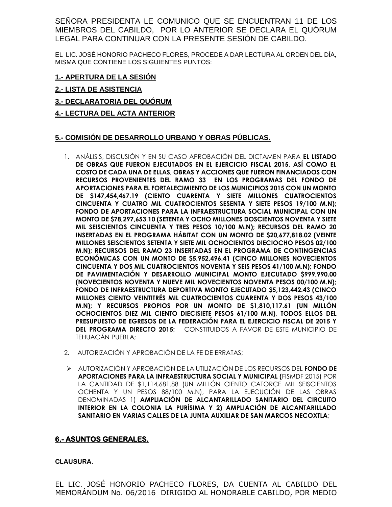SEÑORA PRESIDENTA LE COMUNICO QUE SE ENCUENTRAN 11 DE LOS MIEMBROS DEL CABILDO, POR LO ANTERIOR SE DECLARA EL QUÓRUM LEGAL PARA CONTINUAR CON LA PRESENTE SESIÓN DE CABILDO.

EL LIC. JOSÉ HONORIO PACHECO FLORES, PROCEDE A DAR LECTURA AL ORDEN DEL DÍA, MISMA QUE CONTIENE LOS SIGUIENTES PUNTOS:

#### **1.- APERTURA DE LA SESIÓN**

- **2.- LISTA DE ASISTENCIA**
- **3.- DECLARATORIA DEL QUÓRUM**
- **4.- LECTURA DEL ACTA ANTERIOR**

#### **5.- COMISIÓN DE DESARROLLO URBANO Y OBRAS PÚBLICAS.**

- 1. ANÁLISIS, DISCUSIÓN Y EN SU CASO APROBACIÓN DEL DICTAMEN PARA **EL LISTADO DE OBRAS QUE FUERON EJECUTADOS EN EL EJERCICIO FISCAL 2015, ASÍ COMO EL COSTO DE CADA UNA DE ELLAS, OBRAS Y ACCIONES QUE FUERON FINANCIADOS CON RECURSOS PROVENIENTES DEL RAMO 33 EN LOS PROGRAMAS DEL FONDO DE APORTACIONES PARA EL FORTALECIMIENTO DE LOS MUNICIPIOS 2015 CON UN MONTO DE \$147,454,467.19 (CIENTO CUARENTA Y SIETE MILLONES CUATROCIENTOS CINCUENTA Y CUATRO MIL CUATROCIENTOS SESENTA Y SIETE PESOS 19/100 M.N); FONDO DE APORTACIONES PARA LA INFRAESTRUCTURA SOCIAL MUNICIPAL CON UN MONTO DE \$78,297,653.10 (SETENTA Y OCHO MILLONES DOSCIENTOS NOVENTA Y SIETE MIL SEISCIENTOS CINCUENTA Y TRES PESOS 10/100 M.N); RECURSOS DEL RAMO 20 INSERTADAS EN EL PROGRAMA HÁBITAT CON UN MONTO DE \$20,677,818.02 (VEINTE MILLONES SEISCIENTOS SETENTA Y SIETE MIL OCHOCIENTOS DIECIOCHO PESOS 02/100 M.N); RECURSOS DEL RAMO 23 INSERTADAS EN EL PROGRAMA DE CONTINGENCIAS ECONÓMICAS CON UN MONTO DE \$5,952,496.41 (CINCO MILLONES NOVECIENTOS CINCUENTA Y DOS MIL CUATROCIENTOS NOVENTA Y SEIS PESOS 41/100 M.N); FONDO DE PAVIMENTACIÓN Y DESARROLLO MUNICIPAL MONTO EJECUTADO \$999,990.00 (NOVECIENTOS NOVENTA Y NUEVE MIL NOVECIENTOS NOVENTA PESOS 00/100 M.N); FONDO DE INFRAESTRUCTURA DEPORTIVA MONTO EJECUTADO \$5,123,442.43 (CINCO MILLONES CIENTO VEINTITRÉS MIL CUATROCIENTOS CUARENTA Y DOS PESOS 43/100 M.N); Y RECURSOS PROPIOS POR UN MONTO DE \$1,810,117.61 (UN MILLÓN OCHOCIENTOS DIEZ MIL CIENTO DIECISIETE PESOS 61/100 M.N)**, **TODOS ELLOS DEL PRESUPUESTO DE EGRESOS DE LA FEDERACIÓN PARA EL EJERCICIO FISCAL DE 2015 Y DEL PROGRAMA DIRECTO 2015;** CONSTITUIDOS A FAVOR DE ESTE MUNICIPIO DE TEHUACÁN PUEBLA;
- 2. AUTORIZACIÓN Y APROBACIÓN DE LA FE DE ERRATAS;
- AUTORIZACIÓN Y APROBACIÓN DE LA UTILIZACIÓN DE LOS RECURSOS DEL **FONDO DE APORTACIONES PARA LA INFRAESTRUCTURA SOCIAL Y MUNICIPAL (**FISMDF 2015) POR LA CANTIDAD DE \$1,114,681.88 (UN MILLÓN CIENTO CATORCE MIL SEISCIENTOS OCHENTA Y UN PESOS 88/100 M.N), PARA LA EJECUCIÓN DE LAS OBRAS DENOMINADAS 1) **AMPLIACIÓN DE ALCANTARILLADO SANITARIO DEL CIRCUITO INTERIOR EN LA COLONIA LA PURÍSIMA Y 2) AMPLIACIÓN DE ALCANTARILLADO SANITARIO EN VARIAS CALLES DE LA JUNTA AUXILIAR DE SAN MARCOS NECOXTLA**;

## **6.- ASUNTOS GENERALES.**

#### **CLAUSURA.**

EL LIC. JOSÉ HONORIO PACHECO FLORES, DA CUENTA AL CABILDO DEL MEMORÁNDUM No. 06/2016 DIRIGIDO AL HONORABLE CABILDO, POR MEDIO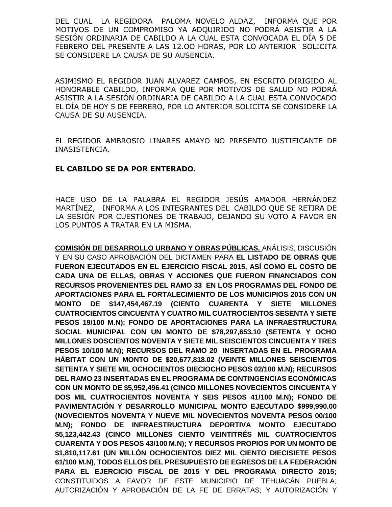DEL CUAL LA REGIDORA PALOMA NOVELO ALDAZ, INFORMA QUE POR MOTIVOS DE UN COMPROMISO YA ADQUIRIDO NO PODRÁ ASISTIR A LA SESIÓN ORDINARIA DE CABILDO A LA CUAL ESTA CONVOCADA EL DÍA 5 DE FEBRERO DEL PRESENTE A LAS 12.OO HORAS, POR LO ANTERIOR SOLICITA SE CONSIDERE LA CAUSA DE SU AUSENCIA.

ASIMISMO EL REGIDOR JUAN ALVAREZ CAMPOS, EN ESCRITO DIRIGIDO AL HONORABLE CABILDO, INFORMA QUE POR MOTIVOS DE SALUD NO PODRÁ ASISTIR A LA SESIÓN ORDINARIA DE CABILDO A LA CUAL ESTA CONVOCADO EL DÍA DE HOY 5 DE FEBRERO, POR LO ANTERIOR SOLICITA SE CONSIDERE LA CAUSA DE SU AUSENCIA.

EL REGIDOR AMBROSIO LINARES AMAYO NO PRESENTO JUSTIFICANTE DE INASISTENCIA.

## **EL CABILDO SE DA POR ENTERADO.**

HACE USO DE LA PALABRA EL REGIDOR JESÚS AMADOR HERNÁNDEZ MARTÍNEZ, INFORMA A LOS INTEGRANTES DEL CABILDO QUE SE RETIRA DE LA SESIÓN POR CUESTIONES DE TRABAJO, DEJANDO SU VOTO A FAVOR EN LOS PUNTOS A TRATAR EN LA MISMA.

**COMISIÓN DE DESARROLLO URBANO Y OBRAS PÚBLICAS.** ANÁLISIS, DISCUSIÓN Y EN SU CASO APROBACIÓN DEL DICTAMEN PARA **EL LISTADO DE OBRAS QUE FUERON EJECUTADOS EN EL EJERCICIO FISCAL 2015, ASÍ COMO EL COSTO DE CADA UNA DE ELLAS, OBRAS Y ACCIONES QUE FUERON FINANCIADOS CON RECURSOS PROVENIENTES DEL RAMO 33 EN LOS PROGRAMAS DEL FONDO DE APORTACIONES PARA EL FORTALECIMIENTO DE LOS MUNICIPIOS 2015 CON UN MONTO DE \$147,454,467.19 (CIENTO CUARENTA Y SIETE MILLONES CUATROCIENTOS CINCUENTA Y CUATRO MIL CUATROCIENTOS SESENTA Y SIETE PESOS 19/100 M.N); FONDO DE APORTACIONES PARA LA INFRAESTRUCTURA SOCIAL MUNICIPAL CON UN MONTO DE \$78,297,653.10 (SETENTA Y OCHO MILLONES DOSCIENTOS NOVENTA Y SIETE MIL SEISCIENTOS CINCUENTA Y TRES PESOS 10/100 M.N); RECURSOS DEL RAMO 20 INSERTADAS EN EL PROGRAMA HÁBITAT CON UN MONTO DE \$20,677,818.02 (VEINTE MILLONES SEISCIENTOS SETENTA Y SIETE MIL OCHOCIENTOS DIECIOCHO PESOS 02/100 M.N); RECURSOS DEL RAMO 23 INSERTADAS EN EL PROGRAMA DE CONTINGENCIAS ECONÓMICAS CON UN MONTO DE \$5,952,496.41 (CINCO MILLONES NOVECIENTOS CINCUENTA Y DOS MIL CUATROCIENTOS NOVENTA Y SEIS PESOS 41/100 M.N); FONDO DE PAVIMENTACIÓN Y DESARROLLO MUNICIPAL MONTO EJECUTADO \$999,990.00 (NOVECIENTOS NOVENTA Y NUEVE MIL NOVECIENTOS NOVENTA PESOS 00/100 M.N); FONDO DE INFRAESTRUCTURA DEPORTIVA MONTO EJECUTADO \$5,123,442.43 (CINCO MILLONES CIENTO VEINTITRÉS MIL CUATROCIENTOS CUARENTA Y DOS PESOS 43/100 M.N); Y RECURSOS PROPIOS POR UN MONTO DE \$1,810,117.61 (UN MILLÓN OCHOCIENTOS DIEZ MIL CIENTO DIECISIETE PESOS 61/100 M.N)**, **TODOS ELLOS DEL PRESUPUESTO DE EGRESOS DE LA FEDERACIÓN PARA EL EJERCICIO FISCAL DE 2015 Y DEL PROGRAMA DIRECTO 2015;**  CONSTITUIDOS A FAVOR DE ESTE MUNICIPIO DE TEHUACÁN PUEBLA; AUTORIZACIÓN Y APROBACIÓN DE LA FE DE ERRATAS; Y AUTORIZACIÓN Y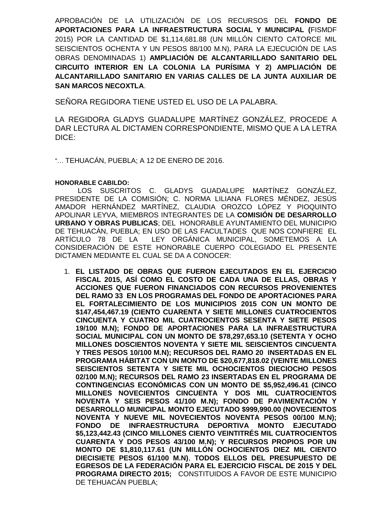APROBACIÓN DE LA UTILIZACIÓN DE LOS RECURSOS DEL **FONDO DE APORTACIONES PARA LA INFRAESTRUCTURA SOCIAL Y MUNICIPAL (**FISMDF 2015) POR LA CANTIDAD DE \$1,114,681.88 (UN MILLÓN CIENTO CATORCE MIL SEISCIENTOS OCHENTA Y UN PESOS 88/100 M.N), PARA LA EJECUCIÓN DE LAS OBRAS DENOMINADAS 1) **AMPLIACIÓN DE ALCANTARILLADO SANITARIO DEL CIRCUITO INTERIOR EN LA COLONIA LA PURÍSIMA Y 2) AMPLIACIÓN DE ALCANTARILLADO SANITARIO EN VARIAS CALLES DE LA JUNTA AUXILIAR DE SAN MARCOS NECOXTLA**.

SEÑORA REGIDORA TIENE USTED EL USO DE LA PALABRA.

LA REGIDORA GLADYS GUADALUPE MARTÍNEZ GONZÁLEZ, PROCEDE A DAR LECTURA AL DICTAMEN CORRESPONDIENTE, MISMO QUE A LA LETRA DICE:

"… TEHUACÁN, PUEBLA; A 12 DE ENERO DE 2016.

#### **HONORABLE CABILDO:**

LOS SUSCRITOS C. GLADYS GUADALUPE MARTÍNEZ GONZÁLEZ, PRESIDENTE DE LA COMISIÓN; C. NORMA LILIANA FLORES MÉNDEZ, JESÚS AMADOR HERNÁNDEZ MARTÍNEZ, CLAUDIA OROZCO LÓPEZ Y PIOQUINTO APOLINAR LEYVA, MIEMBROS INTEGRANTES DE LA **COMISIÓN DE DESARROLLO URBANO Y OBRAS PUBLICAS**; DEL HONORABLE AYUNTAMIENTO DEL MUNICIPIO DE TEHUACÁN, PUEBLA; EN USO DE LAS FACULTADES QUE NOS CONFIERE EL ARTÍCULO 78 DE LA LEY ORGÁNICA MUNICIPAL, SOMETEMOS A LA CONSIDERACIÓN DE ESTE HONORABLE CUERPO COLEGIADO EL PRESENTE DICTAMEN MEDIANTE EL CUAL SE DA A CONOCER:

1. **EL LISTADO DE OBRAS QUE FUERON EJECUTADOS EN EL EJERCICIO FISCAL 2015, ASÍ COMO EL COSTO DE CADA UNA DE ELLAS, OBRAS Y ACCIONES QUE FUERON FINANCIADOS CON RECURSOS PROVENIENTES DEL RAMO 33 EN LOS PROGRAMAS DEL FONDO DE APORTACIONES PARA EL FORTALECIMIENTO DE LOS MUNICIPIOS 2015 CON UN MONTO DE \$147,454,467.19 (CIENTO CUARENTA Y SIETE MILLONES CUATROCIENTOS CINCUENTA Y CUATRO MIL CUATROCIENTOS SESENTA Y SIETE PESOS 19/100 M.N); FONDO DE APORTACIONES PARA LA INFRAESTRUCTURA SOCIAL MUNICIPAL CON UN MONTO DE \$78,297,653.10 (SETENTA Y OCHO MILLONES DOSCIENTOS NOVENTA Y SIETE MIL SEISCIENTOS CINCUENTA Y TRES PESOS 10/100 M.N); RECURSOS DEL RAMO 20 INSERTADAS EN EL PROGRAMA HÁBITAT CON UN MONTO DE \$20,677,818.02 (VEINTE MILLONES SEISCIENTOS SETENTA Y SIETE MIL OCHOCIENTOS DIECIOCHO PESOS 02/100 M.N); RECURSOS DEL RAMO 23 INSERTADAS EN EL PROGRAMA DE CONTINGENCIAS ECONÓMICAS CON UN MONTO DE \$5,952,496.41 (CINCO MILLONES NOVECIENTOS CINCUENTA Y DOS MIL CUATROCIENTOS NOVENTA Y SEIS PESOS 41/100 M.N); FONDO DE PAVIMENTACIÓN Y DESARROLLO MUNICIPAL MONTO EJECUTADO \$999,990.00 (NOVECIENTOS NOVENTA Y NUEVE MIL NOVECIENTOS NOVENTA PESOS 00/100 M.N); FONDO DE INFRAESTRUCTURA DEPORTIVA MONTO EJECUTADO \$5,123,442.43 (CINCO MILLONES CIENTO VEINTITRÉS MIL CUATROCIENTOS CUARENTA Y DOS PESOS 43/100 M.N); Y RECURSOS PROPIOS POR UN MONTO DE \$1,810,117.61 (UN MILLÓN OCHOCIENTOS DIEZ MIL CIENTO DIECISIETE PESOS 61/100 M.N)**, **TODOS ELLOS DEL PRESUPUESTO DE EGRESOS DE LA FEDERACIÓN PARA EL EJERCICIO FISCAL DE 2015 Y DEL PROGRAMA DIRECTO 2015;** CONSTITUIDOS A FAVOR DE ESTE MUNICIPIO DE TEHUACÁN PUEBLA;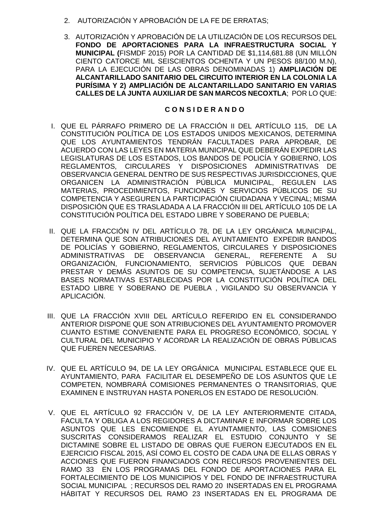- 2. AUTORIZACIÓN Y APROBACIÓN DE LA FE DE ERRATAS;
- 3. AUTORIZACIÓN Y APROBACIÓN DE LA UTILIZACIÓN DE LOS RECURSOS DEL **FONDO DE APORTACIONES PARA LA INFRAESTRUCTURA SOCIAL Y MUNICIPAL (**FISMDF 2015) POR LA CANTIDAD DE \$1,114,681.88 (UN MILLÓN CIENTO CATORCE MIL SEISCIENTOS OCHENTA Y UN PESOS 88/100 M.N), PARA LA EJECUCIÓN DE LAS OBRAS DENOMINADAS 1) **AMPLIACIÓN DE ALCANTARILLADO SANITARIO DEL CIRCUITO INTERIOR EN LA COLONIA LA PURÍSIMA Y 2) AMPLIACIÓN DE ALCANTARILLADO SANITARIO EN VARIAS CALLES DE LA JUNTA AUXILIAR DE SAN MARCOS NECOXTLA**; POR LO QUE:

## **C O N S I D E R A N D O**

- I. QUE EL PÁRRAFO PRIMERO DE LA FRACCIÓN II DEL ARTÍCULO 115, DE LA CONSTITUCIÓN POLÍTICA DE LOS ESTADOS UNIDOS MEXICANOS, DETERMINA QUE LOS AYUNTAMIENTOS TENDRÁN FACULTADES PARA APROBAR, DE ACUERDO CON LAS LEYES EN MATERIA MUNICIPAL QUE DEBERÁN EXPEDIR LAS LEGISLATURAS DE LOS ESTADOS, LOS BANDOS DE POLICÍA Y GOBIERNO, LOS REGLAMENTOS, CIRCULARES Y DISPOSICIONES ADMINISTRATIVAS DE OBSERVANCIA GENERAL DENTRO DE SUS RESPECTIVAS JURISDICCIONES, QUE ORGANICEN LA ADMINISTRACIÓN PÚBLICA MUNICIPAL, REGULEN LAS MATERIAS, PROCEDIMIENTOS, FUNCIONES Y SERVICIOS PÚBLICOS DE SU COMPETENCIA Y ASEGUREN LA PARTICIPACIÓN CIUDADANA Y VECINAL; MISMA DISPOSICIÓN QUE ES TRASLADADA A LA FRACCIÓN III DEL ARTÍCULO 105 DE LA CONSTITUCIÓN POLÍTICA DEL ESTADO LIBRE Y SOBERANO DE PUEBLA;
- II. QUE LA FRACCIÓN IV DEL ARTÍCULO 78, DE LA LEY ORGÁNICA MUNICIPAL, DETERMINA QUE SON ATRIBUCIONES DEL AYUNTAMIENTO EXPEDIR BANDOS DE POLICÍAS Y GOBIERNO, REGLAMENTOS, CIRCULARES Y DISPOSICIONES ADMINISTRATIVAS DE OBSERVANCIA GENERAL, REFERENTE A SU ORGANIZACIÓN, FUNCIONAMIENTO, SERVICIOS PÚBLICOS QUE DEBAN PRESTAR Y DEMÁS ASUNTOS DE SU COMPETENCIA, SUJETÁNDOSE A LAS BASES NORMATIVAS ESTABLECIDAS POR LA CONSTITUCIÓN POLÍTICA DEL ESTADO LIBRE Y SOBERANO DE PUEBLA , VIGILANDO SU OBSERVANCIA Y APLICACIÓN.
- III. QUE LA FRACCIÓN XVIII DEL ARTÍCULO REFERIDO EN EL CONSIDERANDO ANTERIOR DISPONE QUE SON ATRIBUCIONES DEL AYUNTAMIENTO PROMOVER CUANTO ESTIME CONVENIENTE PARA EL PROGRESO ECONÓMICO, SOCIAL Y CULTURAL DEL MUNICIPIO Y ACORDAR LA REALIZACIÓN DE OBRAS PÚBLICAS QUE FUEREN NECESARIAS.
- IV. QUE EL ARTÍCULO 94, DE LA LEY ORGÁNICA MUNICIPAL ESTABLECE QUE EL AYUNTAMIENTO, PARA FACILITAR EL DESEMPEÑO DE LOS ASUNTOS QUE LE COMPETEN, NOMBRARÁ COMISIONES PERMANENTES O TRANSITORIAS, QUE EXAMINEN E INSTRUYAN HASTA PONERLOS EN ESTADO DE RESOLUCIÓN.
- V. QUE EL ARTÍCULO 92 FRACCIÓN V, DE LA LEY ANTERIORMENTE CITADA, FACULTA Y OBLIGA A LOS REGIDORES A DICTAMINAR E INFORMAR SOBRE LOS ASUNTOS QUE LES ENCOMIENDE EL AYUNTAMIENTO, LAS COMISIONES SUSCRITAS CONSIDERAMOS REALIZAR EL ESTUDIO CONJUNTO Y SE DICTAMINE SOBRE EL LISTADO DE OBRAS QUE FUERON EJECUTADOS EN EL EJERCICIO FISCAL 2015, ASÍ COMO EL COSTO DE CADA UNA DE ELLAS OBRAS Y ACCIONES QUE FUERON FINANCIADOS CON RECURSOS PROVENIENTES DEL RAMO 33 EN LOS PROGRAMAS DEL FONDO DE APORTACIONES PARA EL FORTALECIMIENTO DE LOS MUNICIPIOS Y DEL FONDO DE INFRAESTRUCTURA SOCIAL MUNICIPAL ; RECURSOS DEL RAMO 20 INSERTADAS EN EL PROGRAMA HÁBITAT Y RECURSOS DEL RAMO 23 INSERTADAS EN EL PROGRAMA DE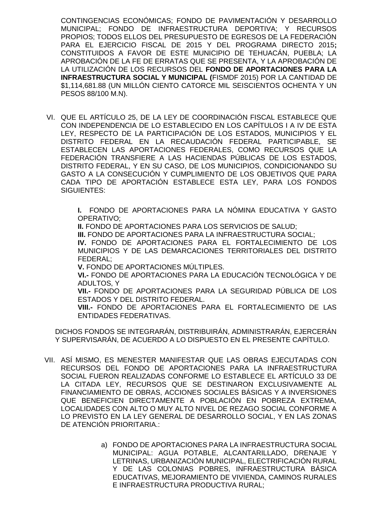CONTINGENCIAS ECONÓMICAS; FONDO DE PAVIMENTACIÓN Y DESARROLLO MUNICIPAL; FONDO DE INFRAESTRUCTURA DEPORTIVA; Y RECURSOS PROPIOS; TODOS ELLOS DEL PRESUPUESTO DE EGRESOS DE LA FEDERACIÓN PARA EL EJERCICIO FISCAL DE 2015 Y DEL PROGRAMA DIRECTO 2015**;** CONSTITUIDOS A FAVOR DE ESTE MUNICIPIO DE TEHUACÁN, PUEBLA; LA APROBACIÓN DE LA FE DE ERRATAS QUE SE PRESENTA, Y LA APROBACIÓN DE LA UTILIZACIÓN DE LOS RECURSOS DEL **FONDO DE APORTACIONES PARA LA INFRAESTRUCTURA SOCIAL Y MUNICIPAL (**FISMDF 2015) POR LA CANTIDAD DE \$1,114,681.88 (UN MILLÓN CIENTO CATORCE MIL SEISCIENTOS OCHENTA Y UN PESOS 88/100 M.N).

VI. QUE EL ARTÍCULO 25, DE LA LEY DE COORDINACIÓN FISCAL ESTABLECE QUE CON INDEPENDENCIA DE LO ESTABLECIDO EN LOS CAPÍTULOS I A IV DE ESTA LEY, RESPECTO DE LA PARTICIPACIÓN DE LOS ESTADOS, MUNICIPIOS Y EL DISTRITO FEDERAL EN LA RECAUDACIÓN FEDERAL PARTICIPABLE, SE ESTABLECEN LAS APORTACIONES FEDERALES, COMO RECURSOS QUE LA FEDERACIÓN TRANSFIERE A LAS HACIENDAS PÚBLICAS DE LOS ESTADOS, DISTRITO FEDERAL, Y EN SU CASO, DE LOS MUNICIPIOS, CONDICIONANDO SU GASTO A LA CONSECUCIÓN Y CUMPLIMIENTO DE LOS OBJETIVOS QUE PARA CADA TIPO DE APORTACIÓN ESTABLECE ESTA LEY, PARA LOS FONDOS SIGUIENTES:

> **I.** FONDO DE APORTACIONES PARA LA NÓMINA EDUCATIVA Y GASTO OPERATIVO;

**II. FONDO DE APORTACIONES PARA LOS SERVICIOS DE SALUD;** 

**III.** FONDO DE APORTACIONES PARA LA INFRAESTRUCTURA SOCIAL;

**IV.** FONDO DE APORTACIONES PARA EL FORTALECIMIENTO DE LOS MUNICIPIOS Y DE LAS DEMARCACIONES TERRITORIALES DEL DISTRITO FEDERAL;

**V.** FONDO DE APORTACIONES MÚLTIPLES.

**VI.-** FONDO DE APORTACIONES PARA LA EDUCACIÓN TECNOLÓGICA Y DE ADULTOS, Y

**VII.-** FONDO DE APORTACIONES PARA LA SEGURIDAD PÚBLICA DE LOS ESTADOS Y DEL DISTRITO FEDERAL.

**VIII.-** FONDO DE APORTACIONES PARA EL FORTALECIMIENTO DE LAS ENTIDADES FEDERATIVAS.

DICHOS FONDOS SE INTEGRARÁN, DISTRIBUIRÁN, ADMINISTRARÁN, EJERCERÁN Y SUPERVISARÁN, DE ACUERDO A LO DISPUESTO EN EL PRESENTE CAPÍTULO.

- VII. ASÍ MISMO, ES MENESTER MANIFESTAR QUE LAS OBRAS EJECUTADAS CON RECURSOS DEL FONDO DE APORTACIONES PARA LA INFRAESTRUCTURA SOCIAL FUERON REALIZADAS CONFORME LO ESTABLECE EL ARTÍCULO 33 DE LA CITADA LEY, RECURSOS QUE SE DESTINARON EXCLUSIVAMENTE AL FINANCIAMIENTO DE OBRAS, ACCIONES SOCIALES BÁSICAS Y A INVERSIONES QUE BENEFICIEN DIRECTAMENTE A POBLACIÓN EN POBREZA EXTREMA, LOCALIDADES CON ALTO O MUY ALTO NIVEL DE REZAGO SOCIAL CONFORME A LO PREVISTO EN LA LEY GENERAL DE DESARROLLO SOCIAL, Y EN LAS ZONAS DE ATENCIÓN PRIORITARIA.:
	- a) FONDO DE APORTACIONES PARA LA INFRAESTRUCTURA SOCIAL MUNICIPAL: AGUA POTABLE, ALCANTARILLADO, DRENAJE Y LETRINAS, URBANIZACIÓN MUNICIPAL, ELECTRIFICACIÓN RURAL Y DE LAS COLONIAS POBRES, INFRAESTRUCTURA BÁSICA EDUCATIVAS, MEJORAMIENTO DE VIVIENDA, CAMINOS RURALES E INFRAESTRUCTURA PRODUCTIVA RURAL;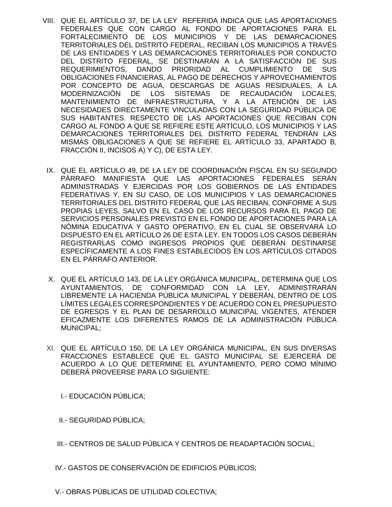- VIII. QUE EL ARTÍCULO 37, DE LA LEY REFERIDA INDICA QUE LAS APORTACIONES FEDERALES QUE CON CARGO AL FONDO DE APORTACIONES PARA EL FORTALECIMIENTO DE LOS MUNICIPIOS Y DE LAS DEMARCACIONES TERRITORIALES DEL DISTRITO FEDERAL, RECIBAN LOS MUNICIPIOS A TRAVÉS DE LAS ENTIDADES Y LAS DEMARCACIONES TERRITORIALES POR CONDUCTO DEL DISTRITO FEDERAL, SE DESTINARÁN A LA SATISFACCIÓN DE SUS REQUERIMIENTOS, DANDO PRIORIDAD AL CUMPLIMIENTO DE SUS OBLIGACIONES FINANCIERAS, AL PAGO DE DERECHOS Y APROVECHAMIENTOS POR CONCEPTO DE AGUA, DESCARGAS DE AGUAS RESIDUALES, A LA MODERNIZACIÓN DE LOS SISTEMAS DE RECAUDACIÓN LOCALES, MANTENIMIENTO DE INFRAESTRUCTURA, Y A LA ATENCIÓN DE LAS NECESIDADES DIRECTAMENTE VINCULADAS CON LA SEGURIDAD PÚBLICA DE SUS HABITANTES. RESPECTO DE LAS APORTACIONES QUE RECIBAN CON CARGO AL FONDO A QUE SE REFIERE ESTE ARTÍCULO, LOS MUNICIPIOS Y LAS DEMARCACIONES TERRITORIALES DEL DISTRITO FEDERAL TENDRÁN LAS MISMAS OBLIGACIONES A QUE SE REFIERE EL ARTÍCULO 33, APARTADO B, FRACCIÓN II, INCISOS A) Y C), DE ESTA LEY.
- IX. QUE EL ARTÍCULO 49, DE LA LEY DE COORDINACIÓN FISCAL EN SU SEGUNDO PÁRRAFO MANIFIESTA QUE LAS APORTACIONES FEDERALES SERÁN ADMINISTRADAS Y EJERCIDAS POR LOS GOBIERNOS DE LAS ENTIDADES FEDERATIVAS Y, EN SU CASO, DE LOS MUNICIPIOS Y LAS DEMARCACIONES TERRITORIALES DEL DISTRITO FEDERAL QUE LAS RECIBAN, CONFORME A SUS PROPIAS LEYES, SALVO EN EL CASO DE LOS RECURSOS PARA EL PAGO DE SERVICIOS PERSONALES PREVISTO EN EL FONDO DE APORTACIONES PARA LA NÓMINA EDUCATIVA Y GASTO OPERATIVO, EN EL CUAL SE OBSERVARÁ LO DISPUESTO EN EL ARTÍCULO 26 DE ESTA LEY. EN TODOS LOS CASOS DEBERÁN REGISTRARLAS COMO INGRESOS PROPIOS QUE DEBERÁN DESTINARSE ESPECÍFICAMENTE A LOS FINES ESTABLECIDOS EN LOS ARTÍCULOS CITADOS EN EL PÁRRAFO ANTERIOR.
- X. QUE EL ARTÍCULO 143, DE LA LEY ORGÁNICA MUNICIPAL, DETERMINA QUE LOS AYUNTAMIENTOS, DE CONFORMIDAD CON LA LEY, ADMINISTRARÁN LIBREMENTE LA HACIENDA PÚBLICA MUNICIPAL Y DEBERÁN, DENTRO DE LOS LÍMITES LEGALES CORRESPONDIENTES Y DE ACUERDO CON EL PRESUPUESTO DE EGRESOS Y EL PLAN DE DESARROLLO MUNICIPAL VIGENTES, ATENDER EFICAZMENTE LOS DIFERENTES RAMOS DE LA ADMINISTRACIÓN PÚBLICA MUNICIPAL;
- XI. QUE EL ARTÍCULO 150, DE LA LEY ORGÁNICA MUNICIPAL, EN SUS DIVERSAS FRACCIONES ESTABLECE QUE EL GASTO MUNICIPAL SE EJERCERÁ DE ACUERDO A LO QUE DETERMINE EL AYUNTAMIENTO, PERO COMO MÍNIMO DEBERÁ PROVEERSE PARA LO SIGUIENTE:

I.- EDUCACIÓN PÚBLICA;

- II.- SEGURIDAD PÚBLICA;
- III.- CENTROS DE SALUD PÚBLICA Y CENTROS DE READAPTACIÓN SOCIAL;
- IV.- GASTOS DE CONSERVACIÓN DE EDIFICIOS PÚBLICOS;
- V.- OBRAS PÚBLICAS DE UTILIDAD COLECTIVA;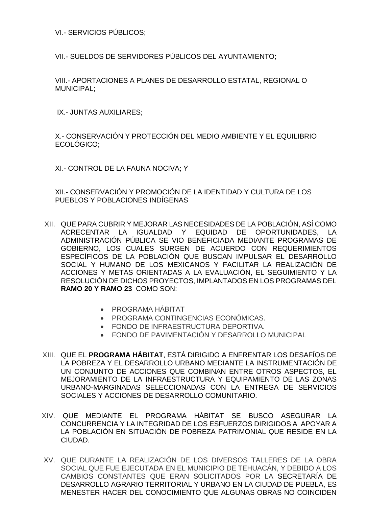VI.- SERVICIOS PÚBLICOS;

VII.- SUELDOS DE SERVIDORES PÚBLICOS DEL AYUNTAMIENTO;

VIII.- APORTACIONES A PLANES DE DESARROLLO ESTATAL, REGIONAL O MUNICIPAL;

IX.- JUNTAS AUXILIARES;

X.- CONSERVACIÓN Y PROTECCIÓN DEL MEDIO AMBIENTE Y EL EQUILIBRIO ECOLÓGICO;

XI.- CONTROL DE LA FAUNA NOCIVA; Y

XII.- CONSERVACIÓN Y PROMOCIÓN DE LA IDENTIDAD Y CULTURA DE LOS PUEBLOS Y POBLACIONES INDÍGENAS

- XII. QUE PARA CUBRIR Y MEJORAR LAS NECESIDADES DE LA POBLACIÓN, ASÍ COMO ACRECENTAR LA IGUALDAD Y EQUIDAD DE OPORTUNIDADES, LA ADMINISTRACIÓN PÚBLICA SE VIO BENEFICIADA MEDIANTE PROGRAMAS DE GOBIERNO, LOS CUALES SURGEN DE ACUERDO CON REQUERIMIENTOS ESPECÍFICOS DE LA POBLACIÓN QUE BUSCAN IMPULSAR EL DESARROLLO SOCIAL Y HUMANO DE LOS MEXICANOS Y FACILITAR LA REALIZACIÓN DE ACCIONES Y METAS ORIENTADAS A LA EVALUACIÓN, EL SEGUIMIENTO Y LA RESOLUCIÓN DE DICHOS PROYECTOS, IMPLANTADOS EN LOS PROGRAMAS DEL **RAMO 20 Y RAMO 23** COMO SON:
	- PROGRAMA HÁBITAT
	- PROGRAMA CONTINGENCIAS ECONÓMICAS.
	- FONDO DE INFRAESTRUCTURA DEPORTIVA.
	- FONDO DE PAVIMENTACIÓN Y DESARROLLO MUNICIPAL
- XIII. QUE EL **PROGRAMA HÁBITAT**, ESTÁ DIRIGIDO A ENFRENTAR LOS DESAFÍOS DE LA POBREZA Y EL DESARROLLO URBANO MEDIANTE LA INSTRUMENTACIÓN DE UN CONJUNTO DE ACCIONES QUE COMBINAN ENTRE OTROS ASPECTOS, EL MEJORAMIENTO DE LA INFRAESTRUCTURA Y EQUIPAMIENTO DE LAS ZONAS URBANO-MARGINADAS SELECCIONADAS CON LA ENTREGA DE SERVICIOS SOCIALES Y ACCIONES DE DESARROLLO COMUNITARIO.
- XIV. QUE MEDIANTE EL PROGRAMA HÁBITAT SE BUSCO ASEGURAR LA CONCURRENCIA Y LA INTEGRIDAD DE LOS ESFUERZOS DIRIGIDOS A APOYAR A LA POBLACIÓN EN SITUACIÓN DE POBREZA PATRIMONIAL QUE RESIDE EN LA CIUDAD.
- XV. QUE DURANTE LA REALIZACIÓN DE LOS DIVERSOS TALLERES DE LA OBRA SOCIAL QUE FUE EJECUTADA EN EL MUNICIPIO DE TEHUACÁN, Y DEBIDO A LOS CAMBIOS CONSTANTES QUE ERAN SOLICITADOS POR LA SECRETARÍA DE DESARROLLO AGRARIO TERRITORIAL Y URBANO EN LA CIUDAD DE PUEBLA, ES MENESTER HACER DEL CONOCIMIENTO QUE ALGUNAS OBRAS NO COINCIDEN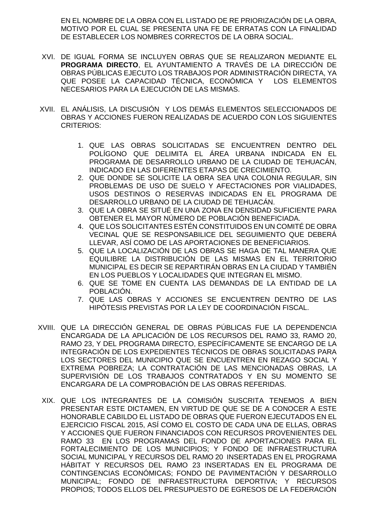EN EL NOMBRE DE LA OBRA CON EL LISTADO DE RE PRIORIZACIÓN DE LA OBRA, MOTIVO POR EL CUAL SE PRESENTA UNA FE DE ERRATAS CON LA FINALIDAD DE ESTABLECER LOS NOMBRES CORRECTOS DE LA OBRA SOCIAL.

- XVI. DE IGUAL FORMA SE INCLUYEN OBRAS QUE SE REALIZARON MEDIANTE EL **PROGRAMA DIRECTO**, EL AYUNTAMIENTO A TRAVÉS DE LA DIRECCIÓN DE OBRAS PÚBLICAS EJECUTO LOS TRABAJOS POR ADMINISTRACIÓN DIRECTA, YA QUE POSEE LA CAPACIDAD TÉCNICA, ECONÓMICA Y LOS ELEMENTOS NECESARIOS PARA LA EJECUCIÓN DE LAS MISMAS.
- XVII. EL ANÁLISIS, LA DISCUSIÓN Y LOS DEMÁS ELEMENTOS SELECCIONADOS DE OBRAS Y ACCIONES FUERON REALIZADAS DE ACUERDO CON LOS SIGUIENTES CRITERIOS:
	- 1. QUE LAS OBRAS SOLICITADAS SE ENCUENTREN DENTRO DEL POLÍGONO QUE DELIMITA EL ÁREA URBANA INDICADA EN EL PROGRAMA DE DESARROLLO URBANO DE LA CIUDAD DE TEHUACÁN, INDICADO EN LAS DIFERENTES ETAPAS DE CRECIMIENTO.
	- 2. QUE DONDE SE SOLICITE LA OBRA SEA UNA COLONIA REGULAR, SIN PROBLEMAS DE USO DE SUELO Y AFECTACIONES POR VIALIDADES, USOS DESTINOS O RESERVAS INDICADAS EN EL PROGRAMA DE DESARROLLO URBANO DE LA CIUDAD DE TEHUACÁN.
	- 3. QUE LA OBRA SE SITUÉ EN UNA ZONA EN DENSIDAD SUFICIENTE PARA OBTENER EL MAYOR NÚMERO DE POBLACIÓN BENEFICIADA.
	- 4. QUE LOS SOLICITANTES ESTÉN CONSTITUIDOS EN UN COMITÉ DE OBRA VECINAL QUE SE RESPONSABILICE DEL SEGUIMIENTO QUE DEBERÁ LLEVAR, ASÍ COMO DE LAS APORTACIONES DE BENEFICIARIOS.
	- 5. QUE LA LOCALIZACIÓN DE LAS OBRAS SE HAGA DE TAL MANERA QUE EQUILIBRE LA DISTRIBUCIÓN DE LAS MISMAS EN EL TERRITORIO MUNICIPAL ES DECIR SE REPARTIRÁN OBRAS EN LA CIUDAD Y TAMBIÉN EN LOS PUEBLOS Y LOCALIDADES QUE INTEGRAN EL MISMO.
	- 6. QUE SE TOME EN CUENTA LAS DEMANDAS DE LA ENTIDAD DE LA POBLACIÓN.
	- 7. QUE LAS OBRAS Y ACCIONES SE ENCUENTREN DENTRO DE LAS HIPÓTESIS PREVISTAS POR LA LEY DE COORDINACIÓN FISCAL.
- XVIII. QUE LA DIRECCIÓN GENERAL DE OBRAS PÚBLICAS FUE LA DEPENDENCIA ENCARGADA DE LA APLICACIÓN DE LOS RECURSOS DEL RAMO 33, RAMO 20, RAMO 23, Y DEL PROGRAMA DIRECTO, ESPECÍFICAMENTE SE ENCARGO DE LA INTEGRACIÓN DE LOS EXPEDIENTES TÉCNICOS DE OBRAS SOLICITADAS PARA LOS SECTORES DEL MUNICIPIO QUE SE ENCUENTREN EN REZAGO SOCIAL Y EXTREMA POBREZA; LA CONTRATACIÓN DE LAS MENCIONADAS OBRAS, LA SUPERVISIÓN DE LOS TRABAJOS CONTRATADOS Y EN SU MOMENTO SE ENCARGARA DE LA COMPROBACIÓN DE LAS OBRAS REFERIDAS.
- XIX. QUE LOS INTEGRANTES DE LA COMISIÓN SUSCRITA TENEMOS A BIEN PRESENTAR ESTE DICTAMEN, EN VIRTUD DE QUE SE DE A CONOCER A ESTE HONORABLE CABILDO EL LISTADO DE OBRAS QUE FUERON EJECUTADOS EN EL EJERCICIO FISCAL 2015, ASÍ COMO EL COSTO DE CADA UNA DE ELLAS, OBRAS Y ACCIONES QUE FUERON FINANCIADOS CON RECURSOS PROVENIENTES DEL RAMO 33 EN LOS PROGRAMAS DEL FONDO DE APORTACIONES PARA EL FORTALECIMIENTO DE LOS MUNICIPIOS; Y FONDO DE INFRAESTRUCTURA SOCIAL MUNICIPAL Y RECURSOS DEL RAMO 20 INSERTADAS EN EL PROGRAMA HÁBITAT Y RECURSOS DEL RAMO 23 INSERTADAS EN EL PROGRAMA DE CONTINGENCIAS ECONÓMICAS; FONDO DE PAVIMENTACIÓN Y DESARROLLO MUNICIPAL; FONDO DE INFRAESTRUCTURA DEPORTIVA; Y RECURSOS PROPIOS; TODOS ELLOS DEL PRESUPUESTO DE EGRESOS DE LA FEDERACIÓN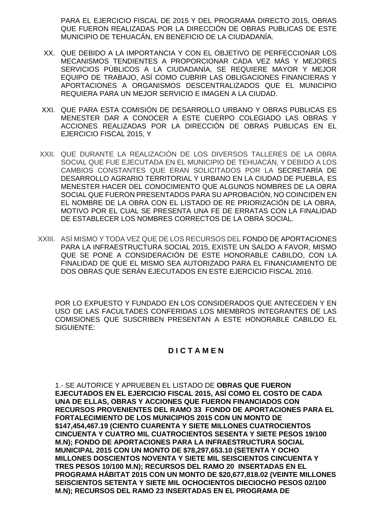PARA EL EJERCICIO FISCAL DE 2015 Y DEL PROGRAMA DIRECTO 2015, OBRAS QUE FUERON REALIZADAS POR LA DIRECCIÓN DE OBRAS PUBLICAS DE ESTE MUNICIPIO DE TEHUACÁN, EN BENEFICIO DE LA CIUDADANÍA.

- XX. QUE DEBIDO A LA IMPORTANCIA Y CON EL OBJETIVO DE PERFECCIONAR LOS MECANISMOS TENDIENTES A PROPORCIONAR CADA VEZ MÁS Y MEJORES SERVICIOS PÚBLICOS A LA CIUDADANÍA, SE REQUIERE MAYOR Y MEJOR EQUIPO DE TRABAJO, ASÍ COMO CUBRIR LAS OBLIGACIONES FINANCIERAS Y APORTACIONES A ORGANISMOS DESCENTRALIZADOS QUE EL MUNICIPIO REQUIERA PARA UN MEJOR SERVICIO E IMAGEN A LA CIUDAD.
- XXI. QUE PARA ESTA COMISIÓN DE DESARROLLO URBANO Y OBRAS PUBLICAS ES MENESTER DAR A CONOCER A ESTE CUERPO COLEGIADO LAS OBRAS Y ACCIONES REALIZADAS POR LA DIRECCIÓN DE OBRAS PUBLICAS EN EL EJERCICIO FISCAL 2015, Y
- XXII. QUE DURANTE LA REALIZACIÓN DE LOS DIVERSOS TALLERES DE LA OBRA SOCIAL QUE FUE EJECUTADA EN EL MUNICIPIO DE TEHUACÁN, Y DEBIDO A LOS CAMBIOS CONSTANTES QUE ERAN SOLICITADOS POR LA SECRETARÍA DE DESARROLLO AGRARIO TERRITORIAL Y URBANO EN LA CIUDAD DE PUEBLA, ES MENESTER HACER DEL CONOCIMIENTO QUE ALGUNOS NOMBRES DE LA OBRA SOCIAL QUE FUERON PRESENTADOS PARA SU APROBACIÓN, NO COINCIDEN EN EL NOMBRE DE LA OBRA CON EL LISTADO DE RE PRIORIZACIÓN DE LA OBRA, MOTIVO POR EL CUAL SE PRESENTA UNA FE DE ERRATAS CON LA FINALIDAD DE ESTABLECER LOS NOMBRES CORRECTOS DE LA OBRA SOCIAL.
- XXIII. ASÍ MISMO Y TODA VEZ QUE DE LOS RECURSOS DEL FONDO DE APORTACIONES PARA LA INFRAESTRUCTURA SOCIAL 2015, EXISTE UN SALDO A FAVOR, MISMO QUE SE PONE A CONSIDERACIÓN DE ESTE HONORABLE CABILDO, CON LA FINALIDAD DE QUE EL MISMO SEA AUTORIZADO PARA EL FINANCIAMIENTO DE DOS OBRAS QUE SERÁN EJECUTADOS EN ESTE EJERCICIO FISCAL 2016.

POR LO EXPUESTO Y FUNDADO EN LOS CONSIDERADOS QUE ANTECEDEN Y EN USO DE LAS FACULTADES CONFERIDAS LOS MIEMBROS INTEGRANTES DE LAS COMISIONES QUE SUSCRIBEN PRESENTAN A ESTE HONORABLE CABILDO EL SIGUIENTE:

## **D I C T A M E N**

1.- SE AUTORICE Y APRUEBEN EL LISTADO DE **OBRAS QUE FUERON EJECUTADOS EN EL EJERCICIO FISCAL 2015, ASÍ COMO EL COSTO DE CADA UNA DE ELLAS, OBRAS Y ACCIONES QUE FUERON FINANCIADOS CON RECURSOS PROVENIENTES DEL RAMO 33 FONDO DE APORTACIONES PARA EL FORTALECIMIENTO DE LOS MUNICIPIOS 2015 CON UN MONTO DE \$147,454,467.19 (CIENTO CUARENTA Y SIETE MILLONES CUATROCIENTOS CINCUENTA Y CUATRO MIL CUATROCIENTOS SESENTA Y SIETE PESOS 19/100 M.N); FONDO DE APORTACIONES PARA LA INFRAESTRUCTURA SOCIAL MUNICIPAL 2015 CON UN MONTO DE \$78,297,653.10 (SETENTA Y OCHO MILLONES DOSCIENTOS NOVENTA Y SIETE MIL SEISCIENTOS CINCUENTA Y TRES PESOS 10/100 M.N); RECURSOS DEL RAMO 20 INSERTADAS EN EL PROGRAMA HÁBITAT 2015 CON UN MONTO DE \$20,677,818.02 (VEINTE MILLONES SEISCIENTOS SETENTA Y SIETE MIL OCHOCIENTOS DIECIOCHO PESOS 02/100 M.N); RECURSOS DEL RAMO 23 INSERTADAS EN EL PROGRAMA DE**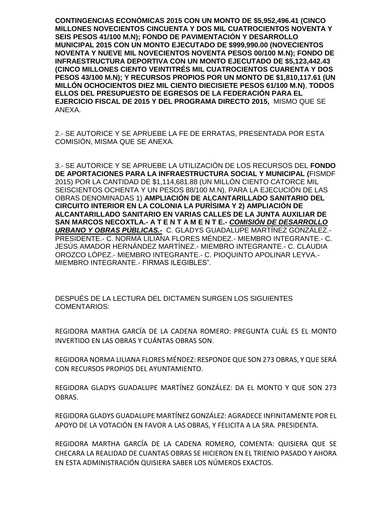**CONTINGENCIAS ECONÓMICAS 2015 CON UN MONTO DE \$5,952,496.41 (CINCO MILLONES NOVECIENTOS CINCUENTA Y DOS MIL CUATROCIENTOS NOVENTA Y SEIS PESOS 41/100 M.N); FONDO DE PAVIMENTACIÓN Y DESARROLLO MUNICIPAL 2015 CON UN MONTO EJECUTADO DE \$999,990.00 (NOVECIENTOS NOVENTA Y NUEVE MIL NOVECIENTOS NOVENTA PESOS 00/100 M.N); FONDO DE INFRAESTRUCTURA DEPORTIVA CON UN MONTO EJECUTADO DE \$5,123,442.43 (CINCO MILLONES CIENTO VEINTITRÉS MIL CUATROCIENTOS CUARENTA Y DOS PESOS 43/100 M.N); Y RECURSOS PROPIOS POR UN MONTO DE \$1,810,117.61 (UN MILLÓN OCHOCIENTOS DIEZ MIL CIENTO DIECISIETE PESOS 61/100 M.N)**, **TODOS ELLOS DEL PRESUPUESTO DE EGRESOS DE LA FEDERACIÓN PARA EL EJERCICIO FISCAL DE 2015 Y DEL PROGRAMA DIRECTO 2015,** MISMO QUE SE ANEXA.

2.- SE AUTORICE Y SE APRUEBE LA FE DE ERRATAS, PRESENTADA POR ESTA COMISIÓN, MISMA QUE SE ANEXA.

3.- SE AUTORICE Y SE APRUEBE LA UTILIZACIÓN DE LOS RECURSOS DEL **FONDO DE APORTACIONES PARA LA INFRAESTRUCTURA SOCIAL Y MUNICIPAL (**FISMDF 2015) POR LA CANTIDAD DE \$1,114,681.88 (UN MILLÓN CIENTO CATORCE MIL SEISCIENTOS OCHENTA Y UN PESOS 88/100 M.N), PARA LA EJECUCIÓN DE LAS OBRAS DENOMINADAS 1) **AMPLIACIÓN DE ALCANTARILLADO SANITARIO DEL CIRCUITO INTERIOR EN LA COLONIA LA PURÍSIMA Y 2) AMPLIACIÓN DE ALCANTARILLADO SANITARIO EN VARIAS CALLES DE LA JUNTA AUXILIAR DE SAN MARCOS NECOXTLA.- A T E N T A M E N T E.-** *COMISIÓN DE DESARROLLO URBANO Y OBRAS PÚBLICAS.-* C. GLADYS GUADALUPE MARTÍNEZ GONZÁLEZ.- PRESIDENTE.- C. NORMA LILIANA FLORES MÉNDEZ.- MIEMBRO INTEGRANTE.- C. JESÚS AMADOR HERNÁNDEZ MARTÍNEZ.- MIEMBRO INTEGRANTE.- C. CLAUDIA OROZCO LÓPEZ.- MIEMBRO INTEGRANTE.- C. PIOQUINTO APOLINAR LEYVA.- MIEMBRO INTEGRANTE.- FIRMAS ILEGIBLES".

DESPUÉS DE LA LECTURA DEL DICTAMEN SURGEN LOS SIGUIENTES COMENTARIOS:

REGIDORA MARTHA GARCÍA DE LA CADENA ROMERO: PREGUNTA CUÁL ES EL MONTO INVERTIDO EN LAS OBRAS Y CUÁNTAS OBRAS SON.

REGIDORA NORMA LILIANA FLORES MÉNDEZ: RESPONDE QUE SON 273 OBRAS, Y QUE SERÁ CON RECURSOS PROPIOS DEL AYUNTAMIENTO.

REGIDORA GLADYS GUADALUPE MARTÍNEZ GONZÁLEZ: DA EL MONTO Y QUE SON 273 OBRAS.

REGIDORA GLADYS GUADALUPE MARTÍNEZ GONZÁLEZ: AGRADECE INFINITAMENTE POR EL APOYO DE LA VOTACIÓN EN FAVOR A LAS OBRAS, Y FELICITA A LA SRA. PRESIDENTA.

REGIDORA MARTHA GARCÍA DE LA CADENA ROMERO, COMENTA: QUISIERA QUE SE CHECARA LA REALIDAD DE CUANTAS OBRAS SE HICIERON EN EL TRIENIO PASADO Y AHORA EN ESTA ADMINISTRACIÓN QUISIERA SABER LOS NÚMEROS EXACTOS.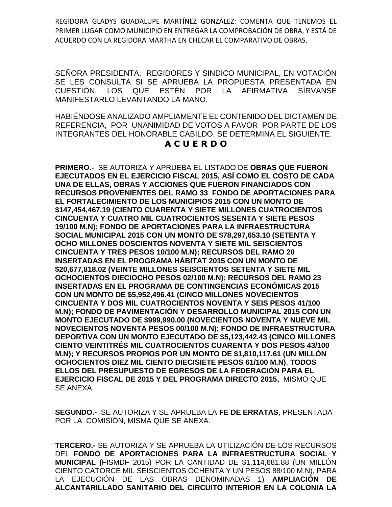REGIDORA GLADYS GUADALUPE MARTÍNEZ GONZÁLEZ: COMENTA QUE TENEMOS EL PRIMER LUGAR COMO MUNICIPIO EN ENTREGAR LA COMPROBACIÓN DE OBRA, Y ESTÁ DE ACUERDO CON LA REGIDORA MARTHA EN CHECAR EL COMPARATIVO DE OBRAS.

SEÑORA PRESIDENTA, REGIDORES Y SINDICO MUNICIPAL, EN VOTACIÓN SE LES CONSULTA SI SE APRUEBA LA PROPUESTA PRESENTADA EN CUESTIÓN, LOS QUE ESTÉN POR LA AFIRMATIVA SÍRVANSE MANIFESTARLO LEVANTANDO LA MANO.

HABIÉNDOSE ANALIZADO AMPLIAMENTE EL CONTENIDO DEL DICTAMEN DE REFERENCIA, POR UNANIMIDAD DE VOTOS A FAVOR POR PARTE DE LOS INTEGRANTES DEL HONORABLE CABILDO, SE DETERMINA EL SIGUIENTE:

## **A C U E R D O**

**PRIMERO.-** SE AUTORIZA Y APRUEBA EL LISTADO DE **OBRAS QUE FUERON EJECUTADOS EN EL EJERCICIO FISCAL 2015, ASÍ COMO EL COSTO DE CADA UNA DE ELLAS, OBRAS Y ACCIONES QUE FUERON FINANCIADOS CON RECURSOS PROVENIENTES DEL RAMO 33 FONDO DE APORTACIONES PARA EL FORTALECIMIENTO DE LOS MUNICIPIOS 2015 CON UN MONTO DE \$147,454,467.19 (CIENTO CUARENTA Y SIETE MILLONES CUATROCIENTOS CINCUENTA Y CUATRO MIL CUATROCIENTOS SESENTA Y SIETE PESOS 19/100 M.N); FONDO DE APORTACIONES PARA LA INFRAESTRUCTURA SOCIAL MUNICIPAL 2015 CON UN MONTO DE \$78,297,653.10 (SETENTA Y OCHO MILLONES DOSCIENTOS NOVENTA Y SIETE MIL SEISCIENTOS CINCUENTA Y TRES PESOS 10/100 M.N); RECURSOS DEL RAMO 20 INSERTADAS EN EL PROGRAMA HÁBITAT 2015 CON UN MONTO DE \$20,677,818.02 (VEINTE MILLONES SEISCIENTOS SETENTA Y SIETE MIL OCHOCIENTOS DIECIOCHO PESOS 02/100 M.N); RECURSOS DEL RAMO 23 INSERTADAS EN EL PROGRAMA DE CONTINGENCIAS ECONÓMICAS 2015 CON UN MONTO DE \$5,952,496.41 (CINCO MILLONES NOVECIENTOS CINCUENTA Y DOS MIL CUATROCIENTOS NOVENTA Y SEIS PESOS 41/100 M.N); FONDO DE PAVIMENTACIÓN Y DESARROLLO MUNICIPAL 2015 CON UN MONTO EJECUTADO DE \$999,990.00 (NOVECIENTOS NOVENTA Y NUEVE MIL NOVECIENTOS NOVENTA PESOS 00/100 M.N); FONDO DE INFRAESTRUCTURA DEPORTIVA CON UN MONTO EJECUTADO DE \$5,123,442.43 (CINCO MILLONES CIENTO VEINTITRÉS MIL CUATROCIENTOS CUARENTA Y DOS PESOS 43/100 M.N); Y RECURSOS PROPIOS POR UN MONTO DE \$1,810,117.61 (UN MILLÓN OCHOCIENTOS DIEZ MIL CIENTO DIECISIETE PESOS 61/100 M.N)**, **TODOS ELLOS DEL PRESUPUESTO DE EGRESOS DE LA FEDERACIÓN PARA EL EJERCICIO FISCAL DE 2015 Y DEL PROGRAMA DIRECTO 2015,** MISMO QUE SE ANEXA.

**SEGUNDO.-** SE AUTORIZA Y SE APRUEBA LA **FE DE ERRATAS**, PRESENTADA POR LA COMISIÓN, MISMA QUE SE ANEXA.

**TERCERO.-** SE AUTORIZA Y SE APRUEBA LA UTILIZACIÓN DE LOS RECURSOS DEL **FONDO DE APORTACIONES PARA LA INFRAESTRUCTURA SOCIAL Y MUNICIPAL (**FISMDF 2015) POR LA CANTIDAD DE \$1,114,681.88 (UN MILLÓN CIENTO CATORCE MIL SEISCIENTOS OCHENTA Y UN PESOS 88/100 M.N), PARA LA EJECUCIÓN DE LAS OBRAS DENOMINADAS 1) **AMPLIACIÓN DE ALCANTARILLADO SANITARIO DEL CIRCUITO INTERIOR EN LA COLONIA LA**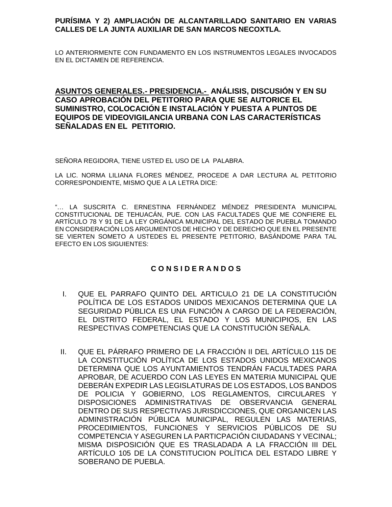## **PURÍSIMA Y 2) AMPLIACIÓN DE ALCANTARILLADO SANITARIO EN VARIAS CALLES DE LA JUNTA AUXILIAR DE SAN MARCOS NECOXTLA.**

LO ANTERIORMENTE CON FUNDAMENTO EN LOS INSTRUMENTOS LEGALES INVOCADOS EN EL DICTAMEN DE REFERENCIA.

## **ASUNTOS GENERALES.- PRESIDENCIA.- ANÁLISIS, DISCUSIÓN Y EN SU CASO APROBACIÓN DEL PETITORIO PARA QUE SE AUTORICE EL SUMINISTRO, COLOCACIÓN E INSTALACIÓN Y PUESTA A PUNTOS DE EQUIPOS DE VIDEOVIGILANCIA URBANA CON LAS CARACTERÍSTICAS SEÑALADAS EN EL PETITORIO.**

SEÑORA REGIDORA, TIENE USTED EL USO DE LA PALABRA.

LA LIC. NORMA LILIANA FLORES MÉNDEZ, PROCEDE A DAR LECTURA AL PETITORIO CORRESPONDIENTE, MISMO QUE A LA LETRA DICE:

"… LA SUSCRITA C. ERNESTINA FERNÁNDEZ MÉNDEZ PRESIDENTA MUNICIPAL CONSTITUCIONAL DE TEHUACÁN, PUE. CON LAS FACULTADES QUE ME CONFIERE EL ARTÍCULO 78 Y 91 DE LA LEY ORGÁNICA MUNICIPAL DEL ESTADO DE PUEBLA TOMANDO EN CONSIDERACIÓN LOS ARGUMENTOS DE HECHO Y DE DERECHO QUE EN EL PRESENTE SE VIERTEN SOMETO A USTEDES EL PRESENTE PETITORIO, BASÁNDOME PARA TAL EFECTO EN LOS SIGUIENTES:

## **C O N S I D E R A N D O S**

- I. QUE EL PARRAFO QUINTO DEL ARTICULO 21 DE LA CONSTITUCIÓN POLÍTICA DE LOS ESTADOS UNIDOS MEXICANOS DETERMINA QUE LA SEGURIDAD PÚBLICA ES UNA FUNCIÓN A CARGO DE LA FEDERACIÓN, EL DISTRITO FEDERAL, EL ESTADO Y LOS MUNICIPIOS, EN LAS RESPECTIVAS COMPETENCIAS QUE LA CONSTITUCIÓN SEÑALA.
- II. QUE EL PÁRRAFO PRIMERO DE LA FRACCIÓN II DEL ARTÍCULO 115 DE LA CONSTITUCIÓN POLÍTICA DE LOS ESTADOS UNIDOS MEXICANOS DETERMINA QUE LOS AYUNTAMIENTOS TENDRÁN FACULTADES PARA APROBAR, DE ACUERDO CON LAS LEYES EN MATERIA MUNICIPAL QUE DEBERÁN EXPEDIR LAS LEGISLATURAS DE LOS ESTADOS, LOS BANDOS DE POLICIA Y GOBIERNO, LOS REGLAMENTOS, CIRCULARES Y DISPOSICIONES ADMINISTRATIVAS DE OBSERVANCIA GENERAL DENTRO DE SUS RESPECTIVAS JURISDICCIONES, QUE ORGANICEN LAS ADMINISTRACIÓN PÚBLICA MUNICIPAL, REGULEN LAS MATERIAS, PROCEDIMIENTOS, FUNCIONES Y SERVICIOS PÚBLICOS DE SU COMPETENCIA Y ASEGUREN LA PARTICPACIÓN CIUDADANS Y VECINAL; MISMA DISPOSICIÓN QUE ES TRASLADADA A LA FRACCIÓN III DEL ARTÍCULO 105 DE LA CONSTITUCION POLÍTICA DEL ESTADO LIBRE Y SOBERANO DE PUEBLA.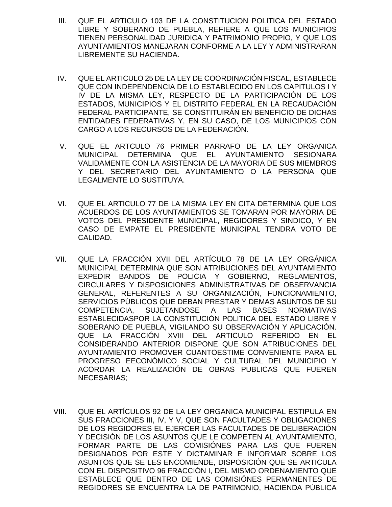- III. QUE EL ARTICULO 103 DE LA CONSTITUCION POLITICA DEL ESTADO LIBRE Y SOBERANO DE PUEBLA, REFIERE A QUE LOS MUNICIPIOS TIENEN PERSONALIDAD JURIDICA Y PATRIMONIO PROPIO, Y QUE LOS AYUNTAMIENTOS MANEJARAN CONFORME A LA LEY Y ADMINISTRARAN LIBREMENTE SU HACIENDA.
- IV. QUE EL ARTICULO 25 DE LA LEY DE COORDINACIÓN FISCAL, ESTABLECE QUE CON INDEPENDENCIA DE LO ESTABLECIDO EN LOS CAPITULOS I Y IV DE LA MISMA LEY, RESPECTO DE LA PARTICIPACIÓN DE LOS ESTADOS, MUNICIPIOS Y EL DISTRITO FEDERAL EN LA RECAUDACIÓN FEDERAL PARTICIPANTE, SE CONSTITUIRÁN EN BENEFICIO DE DICHAS ENTIDADES FEDERATIVAS Y, EN SU CASO, DE LOS MUNICIPIOS CON CARGO A LOS RECURSOS DE LA FEDERACIÓN.
- V. QUE EL ARTCULO 76 PRIMER PARRAFO DE LA LEY ORGANICA MUNICIPAL DETERMINA QUE EL AYUNTAMIENTO SESIONARA VALIDAMENTE CON LA ASISTENCIA DE LA MAYORIA DE SUS MIEMBROS Y DEL SECRETARIO DEL AYUNTAMIENTO O LA PERSONA QUE LEGALMENTE LO SUSTITUYA.
- VI. QUE EL ARTICULO 77 DE LA MISMA LEY EN CITA DETERMINA QUE LOS ACUERDOS DE LOS AYUNTAMIENTOS SE TOMARAN POR MAYORIA DE VOTOS DEL PRESIDENTE MUNICIPAL, REGIDORES Y SINDICO, Y EN CASO DE EMPATE EL PRESIDENTE MUNICIPAL TENDRA VOTO DE CALIDAD.
- VII. QUE LA FRACCIÓN XVII DEL ARTÍCULO 78 DE LA LEY ORGÁNICA MUNICIPAL DETERMINA QUE SON ATRIBUCIONES DEL AYUNTAMIENTO EXPEDIR BANDOS DE POLICIA Y GOBIERNO, REGLAMENTOS, CIRCULARES Y DISPOSICIONES ADMINISTRATIVAS DE OBSERVANCIA GENERAL, REFERENTES A SU ORGANIZACIÓN, FUNCIONAMIENTO, SERVICIOS PÚBLICOS QUE DEBAN PRESTAR Y DEMAS ASUNTOS DE SU COMPETENCIA, SUJETANDOSE A LAS BASES NORMATIVAS ESTABLECIDASPOR LA CONSTITUCIÓN POLITICA DEL ESTADO LIBRE Y SOBERANO DE PUEBLA, VIGILANDO SU OBSERVACIÓN Y APLICACIÓN. QUE LA FRACCIÓN XVIII DEL ARTICULO REFERIDO EN EL CONSIDERANDO ANTERIOR DISPONE QUE SON ATRIBUCIONES DEL AYUNTAMIENTO PROMOVER CUANTOESTIME CONVENIENTE PARA EL PROGRESO EECONÓMICO SOCIAL Y CULTURAL DEL MUNICIPIO Y ACORDAR LA REALIZACIÓN DE OBRAS PUBLICAS QUE FUEREN NECESARIAS;
- VIII. QUE EL ARTÍCULOS 92 DE LA LEY ORGANICA MUNICIPAL ESTIPULA EN SUS FRACCIONES III, IV, Y V, QUE SON FACULTADES Y OBLIGACIONES DE LOS REGIDORES EL EJERCER LAS FACULTADES DE DELIBERACIÓN Y DECISIÓN DE LOS ASUNTOS QUE LE COMPETEN AL AYUNTAMIENTO, FORMAR PARTE DE LAS COMISIÓNES PARA LAS QUE FUEREN DESIGNADOS POR ESTE Y DICTAMINAR E INFORMAR SOBRE LOS ASUNTOS QUE SE LES ENCOMIENDE, DISPOSICIÓN QUE SE ARTICULA CON EL DISPOSITIVO 96 FRACCIÓN I, DEL MISMO ORDENAMIENTO QUE ESTABLECE QUE DENTRO DE LAS COMISIÓNES PERMANENTES DE REGIDORES SE ENCUENTRA LA DE PATRIMONIO, HACIENDA PÚBLICA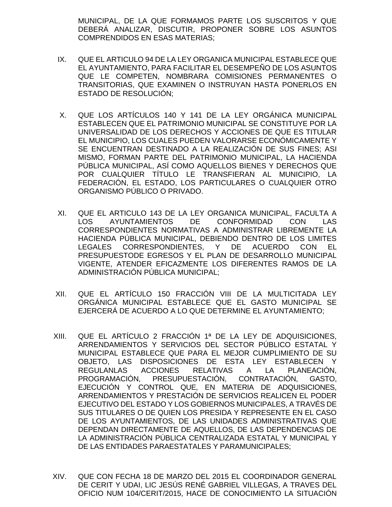MUNICIPAL, DE LA QUE FORMAMOS PARTE LOS SUSCRITOS Y QUE DEBERÁ ANALIZAR, DISCUTIR, PROPONER SOBRE LOS ASUNTOS COMPRENDIDOS EN ESAS MATERIAS;

- IX. QUE EL ARTICULO 94 DE LA LEY ORGANICA MUNICIPAL ESTABLECE QUE EL AYUNTAMIENTO, PARA FACILITAR EL DESEMPEÑO DE LOS ASUNTOS QUE LE COMPETEN, NOMBRARA COMISIONES PERMANENTES O TRANSITORIAS, QUE EXAMINEN O INSTRUYAN HASTA PONERLOS EN ESTADO DE RESOLUCIÓN;
- X. QUE LOS ARTÍCULOS 140 Y 141 DE LA LEY ORGÁNICA MUNICIPAL ESTABLECEN QUE EL PATRIMONIO MUNICIPAL SE CONSTITUYE POR LA UNIVERSALIDAD DE LOS DERECHOS Y ACCIONES DE QUE ES TITULAR EL MUNICIPIO, LOS CUALES PUEDEN VALORARSE ECONÓMICAMENTE Y SE ENCUENTRAN DESTINADO A LA REALIZACIÓN DE SUS FINES; ASI MISMO, FORMAN PARTE DEL PATRIMONIO MUNICIPAL, LA HACIENDA PÚBLICA MUNICIPAL, ASÍ COMO AQUELLOS BIENES Y DERECHOS QUE POR CUALQUIER TÍTULO LE TRANSFIERAN AL MUNICIPIO, LA FEDERACIÓN, EL ESTADO, LOS PARTICULARES O CUALQUIER OTRO ORGANISMO PÚBLICO O PRIVADO.
- XI. QUE EL ARTICULO 143 DE LA LEY ORGANICA MUNICIPAL, FACULTA A LOS AYUNTAMIENTOS DE CONFORMIDAD CON LAS CORRESPONDIENTES NORMATIVAS A ADMINISTRAR LIBREMENTE LA HACIENDA PÚBLICA MUNICIPAL, DEBIENDO DENTRO DE LOS LIMITES LEGALES CORRESPONDIENTES, Y DE ACUERDO CON EL PRESUPUESTODE EGRESOS Y EL PLAN DE DESARROLLO MUNICIPAL VIGENTE, ATENDER EFICAZMENTE LOS DIFERENTES RAMOS DE LA ADMINISTRACIÓN PÚBLICA MUNICIPAL;
- XII. QUE EL ARTÍCULO 150 FRACCIÓN VIII DE LA MULTICITADA LEY ORGÁNICA MUNICIPAL ESTABLECE QUE EL GASTO MUNICIPAL SE EJERCERÁ DE ACUERDO A LO QUE DETERMINE EL AYUNTAMIENTO;
- XIII. QUE EL ARTÍCULO 2 FRACCIÓN 1ª DE LA LEY DE ADQUISICIONES, ARRENDAMIENTOS Y SERVICIOS DEL SECTOR PÚBLICO ESTATAL Y MUNICIPAL ESTABLECE QUE PARA EL MEJOR CUMPLIMIENTO DE SU OBJETO, LAS DISPOSICIONES DE ESTA LEY ESTABLECEN Y REGULANLAS ACCIONES RELATIVAS A LA PLANEACIÓN, PROGRAMACIÓN, PRESUPUESTACIÓN, CONTRATACIÓN, GASTO, EJECUCIÓN Y CONTROL QUE, EN MATERIA DE ADQUISICIONES, ARRENDAMIENTOS Y PRESTACIÓN DE SERVICIOS REALICEN EL PODER EJECUTIVO DEL ESTADO Y LOS GOBIERNOS MUNICIPALES, A TRAVÉS DE SUS TITULARES O DE QUIEN LOS PRESIDA Y REPRESENTE EN EL CASO DE LOS AYUNTAMIENTOS, DE LAS UNIDADES ADMINISTRATIVAS QUE DEPENDAN DIRECTAMENTE DE AQUELLOS, DE LAS DEPENDENCIAS DE LA ADMINISTRACIÓN PÚBLICA CENTRALIZADA ESTATAL Y MUNICIPAL Y DE LAS ENTIDADES PARAESTATALES Y PARAMUNICIPALES;
- XIV. QUE CON FECHA 18 DE MARZO DEL 2015 EL COORDINADOR GENERAL DE CERIT Y UDAI, LIC JESÚS RENÉ GABRIEL VILLEGAS, A TRAVES DEL OFICIO NUM 104/CERIT/2015, HACE DE CONOCIMIENTO LA SITUACIÓN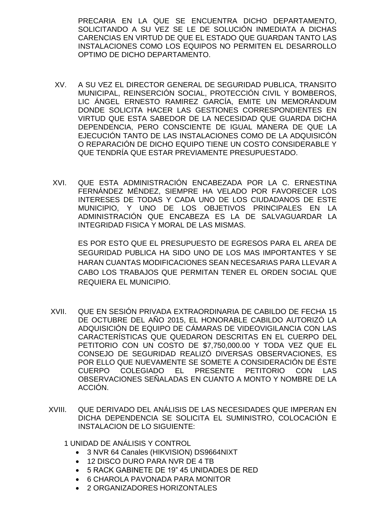PRECARIA EN LA QUE SE ENCUENTRA DICHO DEPARTAMENTO, SOLICITANDO A SU VEZ SE LE DE SOLUCIÓN INMEDIATA A DICHAS CARENCIAS EN VIRTUD DE QUE EL ESTADO QUE GUARDAN TANTO LAS INSTALACIONES COMO LOS EQUIPOS NO PERMITEN EL DESARROLLO OPTIMO DE DICHO DEPARTAMENTO.

- XV. A SU VEZ EL DIRECTOR GENERAL DE SEGURIDAD PUBLICA, TRANSITO MUNICIPAL, REINSERCIÓN SOCIAL, PROTECCIÓN CIVIL Y BOMBEROS, LIC ÁNGEL ERNESTO RAMIREZ GARCÍA, EMITE UN MEMORÁNDUM DONDE SOLICITA HACER LAS GESTIONES CORRESPONDIENTES EN VIRTUD QUE ESTA SABEDOR DE LA NECESIDAD QUE GUARDA DICHA DEPENDENCIA, PERO CONSCIENTE DE IGUAL MANERA DE QUE LA EJECUCIÓN TANTO DE LAS INSTALACIONES COMO DE LA ADQUISICÓN O REPARACIÓN DE DICHO EQUIPO TIENE UN COSTO CONSIDERABLE Y QUE TENDRÍA QUE ESTAR PREVIAMENTE PRESUPUESTADO.
- XVI. QUE ESTA ADMINISTRACIÓN ENCABEZADA POR LA C. ERNESTINA FERNÁNDEZ MÉNDEZ, SIEMPRE HA VELADO POR FAVORECER LOS INTERESES DE TODAS Y CADA UNO DE LOS CIUDADANOS DE ESTE MUNICIPIO, Y UNO DE LOS OBJETIVOS PRINCIPALES EN LA ADMINISTRACIÓN QUE ENCABEZA ES LA DE SALVAGUARDAR LA INTEGRIDAD FISICA Y MORAL DE LAS MISMAS.

ES POR ESTO QUE EL PRESUPUESTO DE EGRESOS PARA EL AREA DE SEGURIDAD PUBLICA HA SIDO UNO DE LOS MAS IMPORTANTES Y SE HARAN CUANTAS MODIFICACIONES SEAN NECESARIAS PARA LLEVAR A CABO LOS TRABAJOS QUE PERMITAN TENER EL ORDEN SOCIAL QUE REQUIERA EL MUNICIPIO.

- XVII. QUE EN SESIÓN PRIVADA EXTRAORDINARIA DE CABILDO DE FECHA 15 DE OCTUBRE DEL AÑO 2015, EL HONORABLE CABILDO AUTORIZÓ LA ADQUISICIÓN DE EQUIPO DE CÁMARAS DE VIDEOVIGILANCIA CON LAS CARACTERÍSTICAS QUE QUEDARON DESCRITAS EN EL CUERPO DEL PETITORIO CON UN COSTO DE \$7,750,000.00 Y TODA VEZ QUE EL CONSEJO DE SEGURIDAD REALIZÓ DIVERSAS OBSERVACIONES, ES POR ELLO QUE NUEVAMENTE SE SOMETE A CONSIDERACIÓN DE ÉSTE CUERPO COLEGIADO EL PRESENTE PETITORIO CON LAS OBSERVACIONES SEÑALADAS EN CUANTO A MONTO Y NOMBRE DE LA ACCIÓN.
- XVIII. QUE DERIVADO DEL ANÁLISIS DE LAS NECESIDADES QUE IMPERAN EN DICHA DEPENDENCIA SE SOLICITA EL SUMINISTRO, COLOCACIÓN E INSTALACION DE LO SIGUIENTE:
	- 1 UNIDAD DE ANÁLISIS Y CONTROL
		- 3 NVR 64 Canales (HIKVISION) DS9664NIXT
		- 12 DISCO DURO PARA NVR DE 4 TB
		- 5 RACK GABINETE DE 19" 45 UNIDADES DE RED
		- 6 CHAROLA PAVONADA PARA MONITOR
		- 2 ORGANIZADORES HORIZONTALES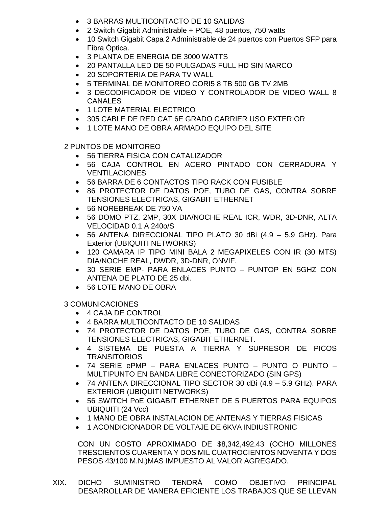- 3 BARRAS MULTICONTACTO DE 10 SALIDAS
- 2 Switch Gigabit Administrable + POE, 48 puertos, 750 watts
- 10 Switch Gigabit Capa 2 Administrable de 24 puertos con Puertos SFP para Fibra Óptica.
- 3 PLANTA DE ENERGIA DE 3000 WATTS
- 20 PANTALLA LED DE 50 PULGADAS FULL HD SIN MARCO
- 20 SOPORTERIA DE PARA TV WALL
- 5 TERMINAL DE MONITOREO CORI5 8 TB 500 GB TV 2MB
- 3 DECODIFICADOR DE VIDEO Y CONTROLADOR DE VIDEO WALL 8 CANALES
- **1 LOTE MATERIAL ELECTRICO**
- 305 CABLE DE RED CAT 6E GRADO CARRIER USO EXTERIOR
- 1 LOTE MANO DE OBRA ARMADO EQUIPO DEL SITE

2 PUNTOS DE MONITOREO

- 56 TIERRA FISICA CON CATALIZADOR
- 56 CAJA CONTROL EN ACERO PINTADO CON CERRADURA Y **VENTILACIONES**
- 56 BARRA DE 6 CONTACTOS TIPO RACK CON FUSIBLE
- 86 PROTECTOR DE DATOS POE, TUBO DE GAS, CONTRA SOBRE TENSIONES ELECTRICAS, GIGABIT ETHERNET
- 56 NOREBREAK DE 750 VA
- 56 DOMO PTZ, 2MP, 30X DIA/NOCHE REAL ICR, WDR, 3D-DNR, ALTA VELOCIDAD 0.1 A 240o/S
- 56 ANTENA DIRECCIONAL TIPO PLATO 30 dBi (4.9 5.9 GHz). Para Exterior (UBIQUITI NETWORKS)
- 120 CAMARA IP TIPO MINI BALA 2 MEGAPIXELES CON IR (30 MTS) DIA/NOCHE REAL, DWDR, 3D-DNR, ONVIF.
- 30 SERIE EMP- PARA ENLACES PUNTO PUNTOP EN 5GHZ CON ANTENA DE PLATO DE 25 dbi.
- 56 LOTE MANO DE OBRA

3 COMUNICACIONES

- 4 CAJA DE CONTROL
- 4 BARRA MULTICONTACTO DE 10 SALIDAS
- 74 PROTECTOR DE DATOS POE, TUBO DE GAS, CONTRA SOBRE TENSIONES ELECTRICAS, GIGABIT ETHERNET.
- 4 SISTEMA DE PUESTA A TIERRA Y SUPRESOR DE PICOS TRANSITORIOS
- 74 SERIE ePMP PARA ENLACES PUNTO PUNTO O PUNTO MULTIPUNTO EN BANDA LIBRE CONECTORIZADO (SIN GPS)
- 74 ANTENA DIRECCIONAL TIPO SECTOR 30 dBi (4.9 5.9 GHz). PARA EXTERIOR (UBIQUITI NETWORKS)
- 56 SWITCH PoE GIGABIT ETHERNET DE 5 PUERTOS PARA EQUIPOS UBIQUITI (24 Vcc)
- 1 MANO DE OBRA INSTALACION DE ANTENAS Y TIERRAS FISICAS
- 1 ACONDICIONADOR DE VOLTAJE DE 6KVA INDIUSTRONIC

CON UN COSTO APROXIMADO DE \$8,342,492.43 (OCHO MILLONES TRESCIENTOS CUARENTA Y DOS MIL CUATROCIENTOS NOVENTA Y DOS PESOS 43/100 M.N.)MAS IMPUESTO AL VALOR AGREGADO.

XIX. DICHO SUMINISTRO TENDRÁ COMO OBJETIVO PRINCIPAL DESARROLLAR DE MANERA EFICIENTE LOS TRABAJOS QUE SE LLEVAN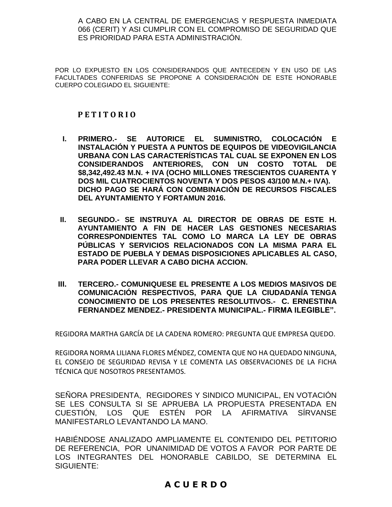A CABO EN LA CENTRAL DE EMERGENCIAS Y RESPUESTA INMEDIATA 066 (CERIT) Y ASI CUMPLIR CON EL COMPROMISO DE SEGURIDAD QUE ES PRIORIDAD PARA ESTA ADMINISTRACIÓN.

POR LO EXPUESTO EN LOS CONSIDERANDOS QUE ANTECEDEN Y EN USO DE LAS FACULTADES CONFERIDAS SE PROPONE A CONSIDERACIÓN DE ESTE HONORABLE CUERPO COLEGIADO EL SIGUIENTE:

## **P E T I T O R I O**

- **I. PRIMERO.- SE AUTORICE EL SUMINISTRO, COLOCACIÓN E INSTALACIÓN Y PUESTA A PUNTOS DE EQUIPOS DE VIDEOVIGILANCIA URBANA CON LAS CARACTERÍSTICAS TAL CUAL SE EXPONEN EN LOS CONSIDERANDOS ANTERIORES, CON UN COSTO TOTAL DE \$8,342,492.43 M.N. + IVA (OCHO MILLONES TRESCIENTOS CUARENTA Y DOS MIL CUATROCIENTOS NOVENTA Y DOS PESOS 43/100 M.N.+ IVA). DICHO PAGO SE HARÁ CON COMBINACIÓN DE RECURSOS FISCALES DEL AYUNTAMIENTO Y FORTAMUN 2016.**
- **II. SEGUNDO.- SE INSTRUYA AL DIRECTOR DE OBRAS DE ESTE H. AYUNTAMIENTO A FIN DE HACER LAS GESTIONES NECESARIAS CORRESPONDIENTES TAL COMO LO MARCA LA LEY DE OBRAS PÚBLICAS Y SERVICIOS RELACIONADOS CON LA MISMA PARA EL ESTADO DE PUEBLA Y DEMAS DISPOSICIONES APLICABLES AL CASO, PARA PODER LLEVAR A CABO DICHA ACCION.**
- **III. TERCERO.- COMUNIQUESE EL PRESENTE A LOS MEDIOS MASIVOS DE COMUNICACIÓN RESPECTIVOS, PARA QUE LA CIUDADANÍA TENGA CONOCIMIENTO DE LOS PRESENTES RESOLUTIVOS.- C. ERNESTINA FERNANDEZ MENDEZ.- PRESIDENTA MUNICIPAL.- FIRMA ILEGIBLE".**

REGIDORA MARTHA GARCÍA DE LA CADENA ROMERO: PREGUNTA QUE EMPRESA QUEDO.

REGIDORA NORMA LILIANA FLORES MÉNDEZ, COMENTA QUE NO HA QUEDADO NINGUNA, EL CONSEJO DE SEGURIDAD REVISA Y LE COMENTA LAS OBSERVACIONES DE LA FICHA TÉCNICA QUE NOSOTROS PRESENTAMOS.

SEÑORA PRESIDENTA, REGIDORES Y SINDICO MUNICIPAL, EN VOTACIÓN SE LES CONSULTA SI SE APRUEBA LA PROPUESTA PRESENTADA EN CUESTIÓN, LOS QUE ESTÉN POR LA AFIRMATIVA SÍRVANSE MANIFESTARLO LEVANTANDO LA MANO.

HABIÉNDOSE ANALIZADO AMPLIAMENTE EL CONTENIDO DEL PETITORIO DE REFERENCIA, POR UNANIMIDAD DE VOTOS A FAVOR POR PARTE DE LOS INTEGRANTES DEL HONORABLE CABILDO, SE DETERMINA EL SIGUIENTE:

# **A C U E R D O**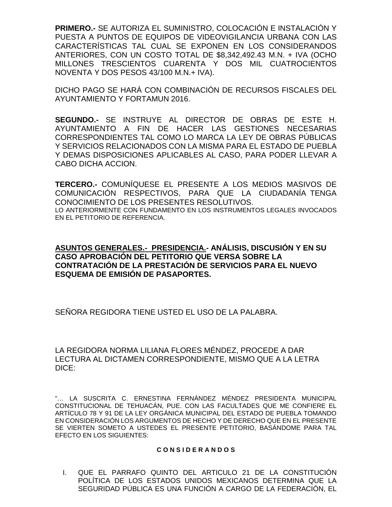**PRIMERO.-** SE AUTORIZA EL SUMINISTRO, COLOCACIÓN E INSTALACIÓN Y PUESTA A PUNTOS DE EQUIPOS DE VIDEOVIGILANCIA URBANA CON LAS CARACTERÍSTICAS TAL CUAL SE EXPONEN EN LOS CONSIDERANDOS ANTERIORES, CON UN COSTO TOTAL DE \$8,342,492.43 M.N. + IVA (OCHO MILLONES TRESCIENTOS CUARENTA Y DOS MIL CUATROCIENTOS NOVENTA Y DOS PESOS 43/100 M.N.+ IVA).

DICHO PAGO SE HARÁ CON COMBINACIÓN DE RECURSOS FISCALES DEL AYUNTAMIENTO Y FORTAMUN 2016.

**SEGUNDO.-** SE INSTRUYE AL DIRECTOR DE OBRAS DE ESTE H. AYUNTAMIENTO A FIN DE HACER LAS GESTIONES NECESARIAS CORRESPONDIENTES TAL COMO LO MARCA LA LEY DE OBRAS PÚBLICAS Y SERVICIOS RELACIONADOS CON LA MISMA PARA EL ESTADO DE PUEBLA Y DEMAS DISPOSICIONES APLICABLES AL CASO, PARA PODER LLEVAR A CABO DICHA ACCION.

**TERCERO.-** COMUNÍQUESE EL PRESENTE A LOS MEDIOS MASIVOS DE COMUNICACIÓN RESPECTIVOS, PARA QUE LA CIUDADANÍA TENGA CONOCIMIENTO DE LOS PRESENTES RESOLUTIVOS. LO ANTERIORMENTE CON FUNDAMENTO EN LOS INSTRUMENTOS LEGALES INVOCADOS EN EL PETITORIO DE REFERENCIA.

**ASUNTOS GENERALES.- PRESIDENCIA.- ANÁLISIS, DISCUSIÓN Y EN SU CASO APROBACIÓN DEL PETITORIO QUE VERSA SOBRE LA CONTRATACIÓN DE LA PRESTACIÓN DE SERVICIOS PARA EL NUEVO ESQUEMA DE EMISIÓN DE PASAPORTES.**

SEÑORA REGIDORA TIENE USTED EL USO DE LA PALABRA.

LA REGIDORA NORMA LILIANA FLORES MÉNDEZ, PROCEDE A DAR LECTURA AL DICTAMEN CORRESPONDIENTE, MISMO QUE A LA LETRA DICE:

"… LA SUSCRITA C. ERNESTINA FERNÁNDEZ MÉNDEZ PRESIDENTA MUNICIPAL CONSTITUCIONAL DE TEHUACÁN, PUE. CON LAS FACULTADES QUE ME CONFIERE EL ARTÍCULO 78 Y 91 DE LA LEY ORGÁNICA MUNICIPAL DEL ESTADO DE PUEBLA TOMANDO EN CONSIDERACIÓN LOS ARGUMENTOS DE HECHO Y DE DERECHO QUE EN EL PRESENTE SE VIERTEN SOMETO A USTEDES EL PRESENTE PETITORIO, BASÁNDOME PARA TAL EFECTO EN LOS SIGUIENTES:

#### **C O N S I D E R A N D O S**

I. QUE EL PARRAFO QUINTO DEL ARTICULO 21 DE LA CONSTITUCIÓN POLÍTICA DE LOS ESTADOS UNIDOS MEXICANOS DETERMINA QUE LA SEGURIDAD PÚBLICA ES UNA FUNCIÓN A CARGO DE LA FEDERACIÓN, EL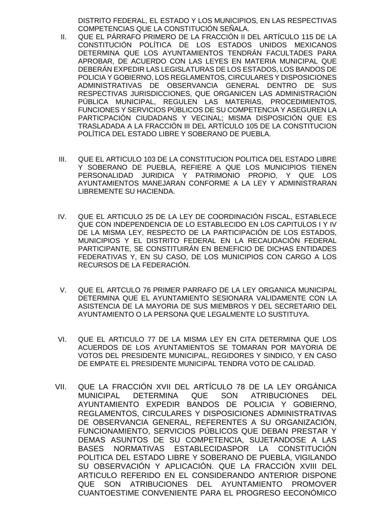DISTRITO FEDERAL, EL ESTADO Y LOS MUNICIPIOS, EN LAS RESPECTIVAS COMPETENCIAS QUE LA CONSTITUCIÓN SEÑALA.

- II. QUE EL PÁRRAFO PRIMERO DE LA FRACCIÓN II DEL ARTÍCULO 115 DE LA CONSTITUCIÓN POLÍTICA DE LOS ESTADOS UNIDOS MEXICANOS DETERMINA QUE LOS AYUNTAMIENTOS TENDRÁN FACULTADES PARA APROBAR, DE ACUERDO CON LAS LEYES EN MATERIA MUNICIPAL QUE DEBERÁN EXPEDIR LAS LEGISLATURAS DE LOS ESTADOS, LOS BANDOS DE POLICIA Y GOBIERNO, LOS REGLAMENTOS, CIRCULARES Y DISPOSICIONES ADMINISTRATIVAS DE OBSERVANCIA GENERAL DENTRO DE SUS RESPECTIVAS JURISDICCIONES, QUE ORGANICEN LAS ADMINISTRACIÓN PÚBLICA MUNICIPAL, REGULEN LAS MATERIAS, PROCEDIMIENTOS, FUNCIONES Y SERVICIOS PÚBLICOS DE SU COMPETENCIA Y ASEGUREN LA PARTICPACIÓN CIUDADANS Y VECINAL; MISMA DISPOSICIÓN QUE ES TRASLADADA A LA FRACCIÓN III DEL ARTÍCULO 105 DE LA CONSTITUCION POLÍTICA DEL ESTADO LIBRE Y SOBERANO DE PUEBLA.
- III. QUE EL ARTICULO 103 DE LA CONSTITUCION POLITICA DEL ESTADO LIBRE Y SOBERANO DE PUEBLA, REFIERE A QUE LOS MUNICIPIOS TIENEN PERSONALIDAD JURIDICA Y PATRIMONIO PROPIO, Y QUE LOS AYUNTAMIENTOS MANEJARAN CONFORME A LA LEY Y ADMINISTRARAN LIBREMENTE SU HACIENDA.
- IV. QUE EL ARTICULO 25 DE LA LEY DE COORDINACIÓN FISCAL, ESTABLECE QUE CON INDEPENDENCIA DE LO ESTABLECIDO EN LOS CAPITULOS I Y IV DE LA MISMA LEY, RESPECTO DE LA PARTICIPACIÓN DE LOS ESTADOS, MUNICIPIOS Y EL DISTRITO FEDERAL EN LA RECAUDACIÓN FEDERAL PARTICIPANTE, SE CONSTITUIRÁN EN BENEFICIO DE DICHAS ENTIDADES FEDERATIVAS Y, EN SU CASO, DE LOS MUNICIPIOS CON CARGO A LOS RECURSOS DE LA FEDERACIÓN.
- V. QUE EL ARTCULO 76 PRIMER PARRAFO DE LA LEY ORGANICA MUNICIPAL DETERMINA QUE EL AYUNTAMIENTO SESIONARA VALIDAMENTE CON LA ASISTENCIA DE LA MAYORIA DE SUS MIEMBROS Y DEL SECRETARIO DEL AYUNTAMIENTO O LA PERSONA QUE LEGALMENTE LO SUSTITUYA.
- VI. QUE EL ARTICULO 77 DE LA MISMA LEY EN CITA DETERMINA QUE LOS ACUERDOS DE LOS AYUNTAMIENTOS SE TOMARAN POR MAYORIA DE VOTOS DEL PRESIDENTE MUNICIPAL, REGIDORES Y SINDICO, Y EN CASO DE EMPATE EL PRESIDENTE MUNICIPAL TENDRA VOTO DE CALIDAD.
- VII. QUE LA FRACCIÓN XVII DEL ARTÍCULO 78 DE LA LEY ORGÁNICA MUNICIPAL DETERMINA QUE SON ATRIBUCIONES DEL AYUNTAMIENTO EXPEDIR BANDOS DE POLICIA Y GOBIERNO, REGLAMENTOS, CIRCULARES Y DISPOSICIONES ADMINISTRATIVAS DE OBSERVANCIA GENERAL, REFERENTES A SU ORGANIZACIÓN, FUNCIONAMIENTO, SERVICIOS PÚBLICOS QUE DEBAN PRESTAR Y DEMAS ASUNTOS DE SU COMPETENCIA, SUJETANDOSE A LAS BASES NORMATIVAS ESTABLECIDASPOR LA CONSTITUCIÓN POLITICA DEL ESTADO LIBRE Y SOBERANO DE PUEBLA, VIGILANDO SU OBSERVACIÓN Y APLICACIÓN. QUE LA FRACCIÓN XVIII DEL ARTICULO REFERIDO EN EL CONSIDERANDO ANTERIOR DISPONE QUE SON ATRIBUCIONES DEL AYUNTAMIENTO PROMOVER CUANTOESTIME CONVENIENTE PARA EL PROGRESO EECONÓMICO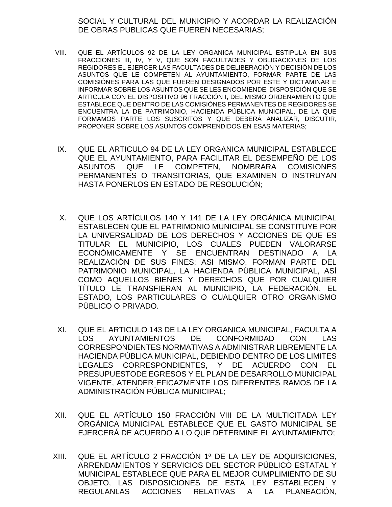SOCIAL Y CULTURAL DEL MUNICIPIO Y ACORDAR LA REALIZACIÓN DE OBRAS PUBLICAS QUE FUEREN NECESARIAS;

- VIII. QUE EL ARTÍCULOS 92 DE LA LEY ORGANICA MUNICIPAL ESTIPULA EN SUS FRACCIONES III, IV, Y V, QUE SON FACULTADES Y OBLIGACIONES DE LOS REGIDORES EL EJERCER LAS FACULTADES DE DELIBERACIÓN Y DECISIÓN DE LOS ASUNTOS QUE LE COMPETEN AL AYUNTAMIENTO, FORMAR PARTE DE LAS COMISIÓNES PARA LAS QUE FUEREN DESIGNADOS POR ESTE Y DICTAMINAR E INFORMAR SOBRE LOS ASUNTOS QUE SE LES ENCOMIENDE, DISPOSICIÓN QUE SE ARTICULA CON EL DISPOSITIVO 96 FRACCIÓN I, DEL MISMO ORDENAMIENTO QUE ESTABLECE QUE DENTRO DE LAS COMISIÓNES PERMANENTES DE REGIDORES SE ENCUENTRA LA DE PATRIMONIO, HACIENDA PÚBLICA MUNICIPAL, DE LA QUE FORMAMOS PARTE LOS SUSCRITOS Y QUE DEBERÁ ANALIZAR, DISCUTIR, PROPONER SOBRE LOS ASUNTOS COMPRENDIDOS EN ESAS MATERIAS;
- IX. QUE EL ARTICULO 94 DE LA LEY ORGANICA MUNICIPAL ESTABLECE QUE EL AYUNTAMIENTO, PARA FACILITAR EL DESEMPEÑO DE LOS ASUNTOS QUE LE COMPETEN, NOMBRARA COMISIONES PERMANENTES O TRANSITORIAS, QUE EXAMINEN O INSTRUYAN HASTA PONERLOS EN ESTADO DE RESOLUCIÓN;
- X. QUE LOS ARTÍCULOS 140 Y 141 DE LA LEY ORGÁNICA MUNICIPAL ESTABLECEN QUE EL PATRIMONIO MUNICIPAL SE CONSTITUYE POR LA UNIVERSALIDAD DE LOS DERECHOS Y ACCIONES DE QUE ES TITULAR EL MUNICIPIO, LOS CUALES PUEDEN VALORARSE ECONÓMICAMENTE Y SE ENCUENTRAN DESTINADO A LA REALIZACIÓN DE SUS FINES; ASI MISMO, FORMAN PARTE DEL PATRIMONIO MUNICIPAL, LA HACIENDA PÚBLICA MUNICIPAL, ASÍ COMO AQUELLOS BIENES Y DERECHOS QUE POR CUALQUIER TÍTULO LE TRANSFIERAN AL MUNICIPIO, LA FEDERACIÓN, EL ESTADO, LOS PARTICULARES O CUALQUIER OTRO ORGANISMO PÚBLICO O PRIVADO.
- XI. QUE EL ARTICULO 143 DE LA LEY ORGANICA MUNICIPAL, FACULTA A LOS AYUNTAMIENTOS DE CONFORMIDAD CON LAS CORRESPONDIENTES NORMATIVAS A ADMINISTRAR LIBREMENTE LA HACIENDA PÚBLICA MUNICIPAL, DEBIENDO DENTRO DE LOS LIMITES LEGALES CORRESPONDIENTES, Y DE ACUERDO CON EL PRESUPUESTODE EGRESOS Y EL PLAN DE DESARROLLO MUNICIPAL VIGENTE, ATENDER EFICAZMENTE LOS DIFERENTES RAMOS DE LA ADMINISTRACIÓN PÚBLICA MUNICIPAL;
- XII. QUE EL ARTÍCULO 150 FRACCIÓN VIII DE LA MULTICITADA LEY ORGÁNICA MUNICIPAL ESTABLECE QUE EL GASTO MUNICIPAL SE EJERCERÁ DE ACUERDO A LO QUE DETERMINE EL AYUNTAMIENTO;
- XIII. QUE EL ARTÍCULO 2 FRACCIÓN 1ª DE LA LEY DE ADQUISICIONES, ARRENDAMIENTOS Y SERVICIOS DEL SECTOR PÚBLICO ESTATAL Y MUNICIPAL ESTABLECE QUE PARA EL MEJOR CUMPLIMIENTO DE SU OBJETO, LAS DISPOSICIONES DE ESTA LEY ESTABLECEN Y REGULANLAS ACCIONES RELATIVAS A LA PLANEACIÓN,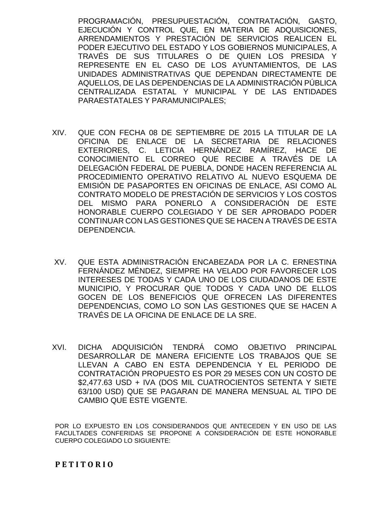PROGRAMACIÓN, PRESUPUESTACIÓN, CONTRATACIÓN, GASTO, EJECUCIÓN Y CONTROL QUE, EN MATERIA DE ADQUISICIONES, ARRENDAMIENTOS Y PRESTACIÓN DE SERVICIOS REALICEN EL PODER EJECUTIVO DEL ESTADO Y LOS GOBIERNOS MUNICIPALES, A TRAVÉS DE SUS TITULARES O DE QUIEN LOS PRESIDA Y REPRESENTE EN EL CASO DE LOS AYUNTAMIENTOS, DE LAS UNIDADES ADMINISTRATIVAS QUE DEPENDAN DIRECTAMENTE DE AQUELLOS, DE LAS DEPENDENCIAS DE LA ADMINISTRACIÓN PÚBLICA CENTRALIZADA ESTATAL Y MUNICIPAL Y DE LAS ENTIDADES PARAESTATALES Y PARAMUNICIPALES;

- XIV. QUE CON FECHA 08 DE SEPTIEMBRE DE 2015 LA TITULAR DE LA OFICINA DE ENLACE DE LA SECRETARIA DE RELACIONES EXTERIORES, C. LETICIA HERNÁNDEZ RAMÍREZ, HACE DE CONOCIMIENTO EL CORREO QUE RECIBE A TRAVÉS DE LA DELEGACIÓN FEDERAL DE PUEBLA, DONDE HACEN REFERENCIA AL PROCEDIMIENTO OPERATIVO RELATIVO AL NUEVO ESQUEMA DE EMISIÓN DE PASAPORTES EN OFICINAS DE ENLACE, ASI COMO AL CONTRATO MODELO DE PRESTACIÓN DE SERVICIOS Y LOS COSTOS DEL MISMO PARA PONERLO A CONSIDERACIÓN DE ESTE HONORABLE CUERPO COLEGIADO Y DE SER APROBADO PODER CONTINUAR CON LAS GESTIONES QUE SE HACEN A TRAVÉS DE ESTA DEPENDENCIA.
- XV. QUE ESTA ADMINISTRACIÓN ENCABEZADA POR LA C. ERNESTINA FERNÁNDEZ MÉNDEZ, SIEMPRE HA VELADO POR FAVORECER LOS INTERESES DE TODAS Y CADA UNO DE LOS CIUDADANOS DE ESTE MUNICIPIO, Y PROCURAR QUE TODOS Y CADA UNO DE ELLOS GOCEN DE LOS BENEFICIOS QUE OFRECEN LAS DIFERENTES DEPENDENCIAS, COMO LO SON LAS GESTIONES QUE SE HACEN A TRAVÉS DE LA OFICINA DE ENLACE DE LA SRE.
- XVI. DICHA ADQUISICIÓN TENDRÁ COMO OBJETIVO PRINCIPAL DESARROLLAR DE MANERA EFICIENTE LOS TRABAJOS QUE SE LLEVAN A CABO EN ESTA DEPENDENCIA Y EL PERIODO DE CONTRATACIÓN PROPUESTO ES POR 29 MESES CON UN COSTO DE \$2,477.63 USD + IVA (DOS MIL CUATROCIENTOS SETENTA Y SIETE 63/100 USD) QUE SE PAGARAN DE MANERA MENSUAL AL TIPO DE CAMBIO QUE ESTE VIGENTE.

POR LO EXPUESTO EN LOS CONSIDERANDOS QUE ANTECEDEN Y EN USO DE LAS FACULTADES CONFERIDAS SE PROPONE A CONSIDERACIÓN DE ESTE HONORABLE CUERPO COLEGIADO LO SIGUIENTE:

## **P E T I T O R I O**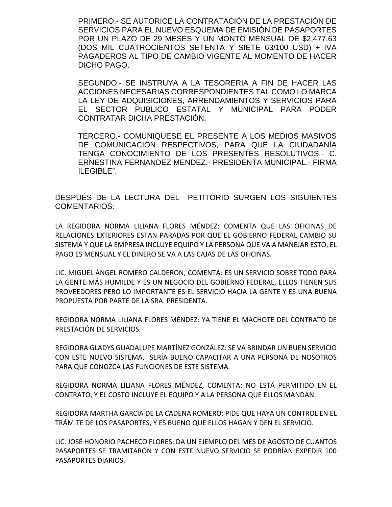PRIMERO.- SE AUTORICE LA CONTRATACIÓN DE LA PRESTACIÓN DE SERVICIOS PARA EL NUEVO ESQUEMA DE EMISIÓN DE PASAPORTES POR UN PLAZO DE 29 MESES Y UN MONTO MENSUAL DE \$2,477.63 (DOS MIL CUATROCIENTOS SETENTA Y SIETE 63/100 USD) + IVA PAGADEROS AL TIPO DE CAMBIO VIGENTE AL MOMENTO DE HACER DICHO PAGO.

SEGUNDO.- SE INSTRUYA A LA TESORERIA A FIN DE HACER LAS ACCIONES NECESARIAS CORRESPONDIENTES TAL COMO LO MARCA LA LEY DE ADQUISICIONES, ARRENDAMIENTOS Y SERVICIOS PARA EL SECTOR PUBLICO ESTATAL Y MUNICIPAL PARA PODER CONTRATAR DICHA PRESTACIÓN.

TERCERO.- COMUNIQUESE EL PRESENTE A LOS MEDIOS MASIVOS DE COMUNICACIÓN RESPECTIVOS, PARA QUE LA CIUDADANÍA TENGA CONOCIMIENTO DE LOS PRESENTES RESOLUTIVOS.- C. ERNESTINA FERNANDEZ MENDEZ.- PRESIDENTA MUNICIPAL.- FIRMA ILEGIBLE".

DESPUÉS DE LA LECTURA DEL PETITORIO SURGEN LOS SIGUIENTES COMENTARIOS:

LA REGIDORA NORMA LILIANA FLORES MÉNDEZ: COMENTA QUE LAS OFICINAS DE RELACIONES EXTERIORES ESTAN PARADAS POR QUE EL GOBIERNO FEDERAL CAMBIO SU SISTEMA Y QUE LA EMPRESA INCLUYE EQUIPO Y LA PERSONA QUE VA A MANEJAR ESTO, EL PAGO ES MENSUAL Y EL DINERO SE VA A LAS CAJAS DE LAS OFICINAS.

LIC. MIGUEL ÁNGEL ROMERO CALDERON, COMENTA: ES UN SERVICIO SOBRE TODO PARA LA GENTE MÁS HUMILDE Y ES UN NEGOCIO DEL GOBIERNO FEDERAL, ELLOS TIENEN SUS PROVEEDORES PERO LO IMPORTANTE ES EL SERVICIO HACIA LA GENTE Y ES UNA BUENA PROPUESTA POR PARTE DE LA SRA. PRESIDENTA.

REGIDORA NORMA LILIANA FLORES MÉNDEZ: YA TIENE EL MACHOTE DEL CONTRATO DE PRESTACIÓN DE SERVICIOS.

REGIDORA GLADYS GUADALUPE MARTÍNEZ GONZÁLEZ: SE VA BRINDAR UN BUEN SERVICIO CON ESTE NUEVO SISTEMA, SERÍA BUENO CAPACITAR A UNA PERSONA DE NOSOTROS PARA QUE CONOZCA LAS FUNCIONES DE ESTE SISTEMA.

REGIDORA NORMA LILIANA FLORES MÉNDEZ, COMENTA: NO ESTÁ PERMITIDO EN EL CONTRATO, Y EL COSTO INCLUYE EL EQUIPO Y A LA PERSONA QUE ELLOS MANDAN.

REGIDORA MARTHA GARCÍA DE LA CADENA ROMERO: PIDE QUE HAYA UN CONTROL EN EL TRÁMITE DE LOS PASAPORTES, Y ES BUENO QUE ELLOS HAGAN Y DEN EL SERVICIO.

LIC. JOSÉ HONORIO PACHECO FLORES: DA UN EJEMPLO DEL MES DE AGOSTO DE CUANTOS PASAPORTES SE TRAMITARON Y CON ESTE NUEVO SERVICIO SE PODRÍAN EXPEDIR 100 PASAPORTES DIARIOS.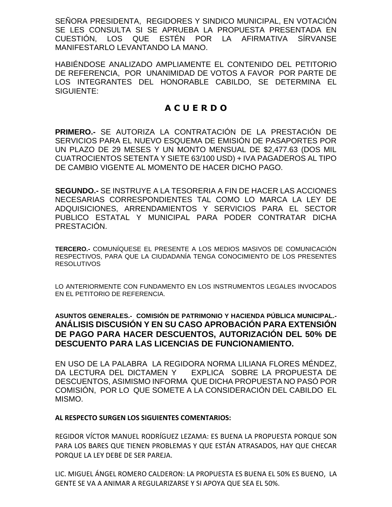SEÑORA PRESIDENTA, REGIDORES Y SINDICO MUNICIPAL, EN VOTACIÓN SE LES CONSULTA SI SE APRUEBA LA PROPUESTA PRESENTADA EN CUESTIÓN, LOS QUE ESTÉN POR LA AFIRMATIVA SÍRVANSE MANIFESTARLO LEVANTANDO LA MANO.

HABIÉNDOSE ANALIZADO AMPLIAMENTE EL CONTENIDO DEL PETITORIO DE REFERENCIA, POR UNANIMIDAD DE VOTOS A FAVOR POR PARTE DE LOS INTEGRANTES DEL HONORABLE CABILDO, SE DETERMINA EL SIGUIENTE:

# **A C U E R D O**

**PRIMERO.-** SE AUTORIZA LA CONTRATACIÓN DE LA PRESTACIÓN DE SERVICIOS PARA EL NUEVO ESQUEMA DE EMISIÓN DE PASAPORTES POR UN PLAZO DE 29 MESES Y UN MONTO MENSUAL DE \$2,477.63 (DOS MIL CUATROCIENTOS SETENTA Y SIETE 63/100 USD) + IVA PAGADEROS AL TIPO DE CAMBIO VIGENTE AL MOMENTO DE HACER DICHO PAGO.

**SEGUNDO.-** SE INSTRUYE A LA TESORERIA A FIN DE HACER LAS ACCIONES NECESARIAS CORRESPONDIENTES TAL COMO LO MARCA LA LEY DE ADQUISICIONES, ARRENDAMIENTOS Y SERVICIOS PARA EL SECTOR PUBLICO ESTATAL Y MUNICIPAL PARA PODER CONTRATAR DICHA PRESTACIÓN.

**TERCERO.-** COMUNÍQUESE EL PRESENTE A LOS MEDIOS MASIVOS DE COMUNICACIÓN RESPECTIVOS, PARA QUE LA CIUDADANÍA TENGA CONOCIMIENTO DE LOS PRESENTES RESOLUTIVOS

LO ANTERIORMENTE CON FUNDAMENTO EN LOS INSTRUMENTOS LEGALES INVOCADOS EN EL PETITORIO DE REFERENCIA.

## **ASUNTOS GENERALES.- COMISIÓN DE PATRIMONIO Y HACIENDA PÚBLICA MUNICIPAL.- ANÁLISIS DISCUSIÓN Y EN SU CASO APROBACIÓN PARA EXTENSIÓN DE PAGO PARA HACER DESCUENTOS, AUTORIZACIÓN DEL 50% DE DESCUENTO PARA LAS LICENCIAS DE FUNCIONAMIENTO.**

EN USO DE LA PALABRA LA REGIDORA NORMA LILIANA FLORES MÉNDEZ, DA LECTURA DEL DICTAMEN Y EXPLICA SOBRE LA PROPUESTA DE DESCUENTOS, ASIMISMO INFORMA QUE DICHA PROPUESTA NO PASÓ POR COMISIÓN, POR LO QUE SOMETE A LA CONSIDERACIÓN DEL CABILDO EL MISMO.

## **AL RESPECTO SURGEN LOS SIGUIENTES COMENTARIOS:**

REGIDOR VÍCTOR MANUEL RODRÍGUEZ LEZAMA: ES BUENA LA PROPUESTA PORQUE SON PARA LOS BARES QUE TIENEN PROBLEMAS Y QUE ESTÁN ATRASADOS, HAY QUE CHECAR PORQUE LA LEY DEBE DE SER PAREJA.

LIC. MIGUEL ÁNGEL ROMERO CALDERON: LA PROPUESTA ES BUENA EL 50% ES BUENO, LA GENTE SE VA A ANIMAR A REGULARIZARSE Y SI APOYA QUE SEA EL 50%.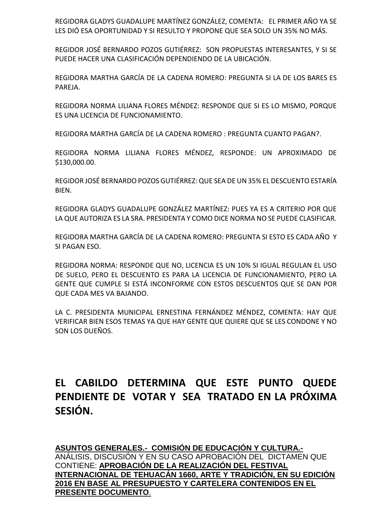REGIDORA GLADYS GUADALUPE MARTÍNEZ GONZÁLEZ, COMENTA: EL PRIMER AÑO YA SE LES DIÓ ESA OPORTUNIDAD Y SI RESULTO Y PROPONE QUE SEA SOLO UN 35% NO MÁS.

REGIDOR JOSÉ BERNARDO POZOS GUTIÉRREZ: SON PROPUESTAS INTERESANTES, Y SI SE PUEDE HACER UNA CLASIFICACIÓN DEPENDIENDO DE LA UBICACIÓN.

REGIDORA MARTHA GARCÍA DE LA CADENA ROMERO: PREGUNTA SI LA DE LOS BARES ES PAREJA.

REGIDORA NORMA LILIANA FLORES MÉNDEZ: RESPONDE QUE SI ES LO MISMO, PORQUE ES UNA LICENCIA DE FUNCIONAMIENTO.

REGIDORA MARTHA GARCÍA DE LA CADENA ROMERO : PREGUNTA CUANTO PAGAN?.

REGIDORA NORMA LILIANA FLORES MÉNDEZ, RESPONDE: UN APROXIMADO DE \$130,000.00.

REGIDOR JOSÉ BERNARDO POZOS GUTIÉRREZ: QUE SEA DE UN 35% EL DESCUENTO ESTARÍA BIEN.

REGIDORA GLADYS GUADALUPE GONZÁLEZ MARTÍNEZ: PUES YA ES A CRITERIO POR QUE LA QUE AUTORIZA ES LA SRA. PRESIDENTA Y COMO DICE NORMA NO SE PUEDE CLASIFICAR.

REGIDORA MARTHA GARCÍA DE LA CADENA ROMERO: PREGUNTA SI ESTO ES CADA AÑO Y SI PAGAN ESO.

REGIDORA NORMA: RESPONDE QUE NO, LICENCIA ES UN 10% SI IGUAL REGULAN EL USO DE SUELO, PERO EL DESCUENTO ES PARA LA LICENCIA DE FUNCIONAMIENTO, PERO LA GENTE QUE CUMPLE SI ESTÁ INCONFORME CON ESTOS DESCUENTOS QUE SE DAN POR QUE CADA MES VA BAJANDO.

LA C. PRESIDENTA MUNICIPAL ERNESTINA FERNÁNDEZ MÉNDEZ, COMENTA: HAY QUE VERIFICAR BIEN ESOS TEMAS YA QUE HAY GENTE QUE QUIERE QUE SE LES CONDONE Y NO SON LOS DUEÑOS.

# **EL CABILDO DETERMINA QUE ESTE PUNTO QUEDE PENDIENTE DE VOTAR Y SEA TRATADO EN LA PRÓXIMA SESIÓN.**

**ASUNTOS GENERALES.- COMISIÓN DE EDUCACIÓN Y CULTURA.-** ANÁLISIS, DISCUSIÓN Y EN SU CASO APROBACIÓN DEL DICTAMEN QUE CONTIENE: **APROBACIÓN DE LA REALIZACIÓN DEL FESTIVAL INTERNACIONAL DE TEHUACÁN 1660, ARTE Y TRADICIÓN, EN SU EDICIÓN 2016 EN BASE AL PRESUPUESTO Y CARTELERA CONTENIDOS EN EL PRESENTE DOCUMENTO**.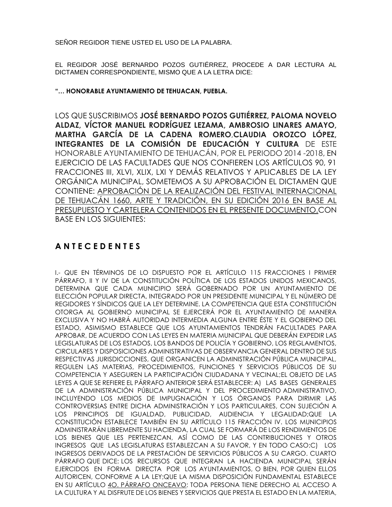SEÑOR REGIDOR TIENE USTED EL USO DE LA PALABRA.

EL REGIDOR JOSÉ BERNARDO POZOS GUTIÉRREZ, PROCEDE A DAR LECTURA AL DICTAMEN CORRESPONDIENTE, MISMO QUE A LA LETRA DICE:

**"… HONORABLE AYUNTAMIENTO DE TEHUACAN, PUEBLA.**

LOS QUE SUSCRIBIMOS **JOSÉ BERNARDO POZOS GUTIÉRREZ, PALOMA NOVELO ALDAZ, VÍCTOR MANUEL RODRÍGUEZ LEZAMA, AMBROSIO LINARES AMAYO, MARTHA GARCÍA DE LA CADENA ROMERO**,**CLAUDIA OROZCO LÓPEZ, INTEGRANTES DE LA COMISIÓN DE EDUCACIÓN Y CULTURA** DE ESTE HONORABLE AYUNTAMIENTO DE TEHUACÁN, POR EL PERIODO 2014 -2018, EN EJERCICIO DE LAS FACULTADES QUE NOS CONFIEREN LOS ARTÍCULOS 90, 91 FRACCIONES III, XLVI, XLIX, LXI Y DEMÁS RELATIVOS Y APLICABLES DE LA LEY ORGÁNICA MUNICIPAL, SOMETEMOS A SU APROBACIÓN EL DICTAMEN QUE CONTIENE: APROBACIÓN DE LA REALIZACIÓN DEL FESTIVAL INTERNACIONAL DE TEHUACÁN 1660, ARTE Y TRADICIÓN, EN SU EDICIÓN 2016 EN BASE AL PRESUPUESTO Y CARTELERA CONTENIDOS EN EL PRESENTE DOCUMENTO.CON BASE EN LOS SIGUIENTES:

# **A N T E C E D E N T E S**

I.- QUE EN TÉRMINOS DE LO DISPUESTO POR EL ARTÍCULO 115 FRACCIONES I PRIMER PÁRRAFO, II Y IV DE LA CONSTITUCIÓN POLÍTICA DE LOS ESTADOS UNIDOS MEXICANOS, DETERMINA QUE CADA MUNICIPIO SERÁ GOBERNADO POR UN AYUNTAMIENTO DE ELECCIÓN POPULAR DIRECTA, INTEGRADO POR UN PRESIDENTE MUNICIPAL Y EL NÚMERO DE REGIDORES Y SÍNDICOS QUE LA LEY DETERMINE. LA COMPETENCIA QUE ESTA CONSTITUCIÓN OTORGA AL GOBIERNO MUNICIPAL SE EJERCERÁ POR EL AYUNTAMIENTO DE MANERA EXCLUSIVA Y NO HABRÁ AUTORIDAD INTERMEDIA ALGUNA ENTRE ÉSTE Y EL GOBIERNO DEL ESTADO, ASIMISMO ESTABLECE QUE LOS AYUNTAMIENTOS TENDRÁN FACULTADES PARA APROBAR, DE ACUERDO CON LAS LEYES EN MATERIA MUNICIPAL QUE DEBERÁN EXPEDIR LAS LEGISLATURAS DE LOS ESTADOS, LOS BANDOS DE POLICÍA Y GOBIERNO, LOS REGLAMENTOS, CIRCULARES Y DISPOSICIONES ADMINISTRATIVAS DE OBSERVANCIA GENERAL DENTRO DE SUS RESPECTIVAS JURISDICCIONES, QUE ORGANICEN LA ADMINISTRACIÓN PÚBLICA MUNICIPAL, REGULEN LAS MATERIAS, PROCEDIMIENTOS, FUNCIONES Y SERVICIOS PÚBLICOS DE SU COMPETENCIA Y ASEGUREN LA PARTICIPACIÓN CIUDADANA Y VECINAL;EL OBJETO DE LAS LEYES A QUE SE REFIERE EL PÁRRAFO ANTERIOR SERÁ ESTABLECER: A) LAS BASES GENERALES DE LA ADMINISTRACIÓN PÚBLICA MUNICIPAL Y DEL PROCEDIMIENTO ADMINISTRATIVO, INCLUYENDO LOS MEDIOS DE IMPUGNACIÓN Y LOS ÓRGANOS PARA DIRIMIR LAS CONTROVERSIAS ENTRE DICHA ADMINISTRACIÓN Y LOS PARTICULARES, CON SUJECIÓN A LOS PRINCIPIOS DE IGUALDAD, PUBLICIDAD, AUDIENCIA Y LEGALIDAD;QUE LA CONSTITUCIÓN ESTABLECE TAMBIÉN EN SU ARTÍCULO 115 FRACCIÓN IV. LOS MUNICIPIOS ADMINISTRARÁN LIBREMENTE SU HACIENDA, LA CUAL SE FORMARÁ DE LOS RENDIMIENTOS DE LOS BIENES QUE LES PERTENEZCAN, ASÍ COMO DE LAS CONTRIBUCIONES Y OTROS INGRESOS QUE LAS LEGISLATURAS ESTABLEZCAN A SU FAVOR, Y EN TODO CASO:C) LOS INGRESOS DERIVADOS DE LA PRESTACIÓN DE SERVICIOS PÚBLICOS A SU CARGO. CUARTO PÁRRAFO QUE DICE: LOS RECURSOS QUE INTEGRAN LA HACIENDA MUNICIPAL SERÁN EJERCIDOS EN FORMA DIRECTA POR LOS AYUNTAMIENTOS, O BIEN, POR QUIEN ELLOS AUTORICEN, CONFORME A LA LEY;QUE LA MISMA DISPOSICIÓN FUNDAMENTAL ESTABLECE EN SU ARTÍCULO 4O. PÁRRAFO ONCEAVO: TODA PERSONA TIENE DERECHO AL ACCESO A LA CULTURA Y AL DISFRUTE DE LOS BIENES Y SERVICIOS QUE PRESTA EL ESTADO EN LA MATERIA,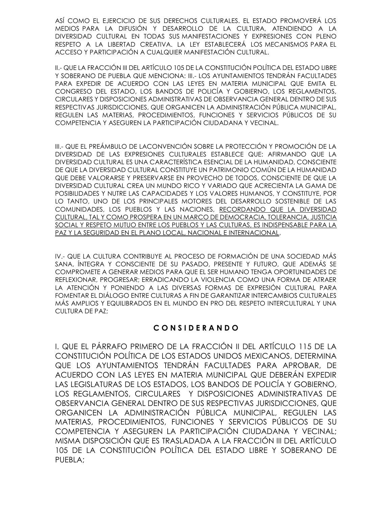ASÍ COMO EL EJERCICIO DE SUS DERECHOS CULTURALES. EL ESTADO PROMOVERÁ LOS MEDIOS PARA LA DIFUSIÓN Y DESARROLLO DE LA CULTURA, ATENDIENDO A LA DIVERSIDAD CULTURAL EN TODAS SUS MANIFESTACIONES Y EXPRESIONES CON PLENO RESPETO A LA LIBERTAD CREATIVA. LA LEY ESTABLECERÁ LOS MECANISMOS PARA EL ACCESO Y PARTICIPACIÓN A CUALQUIER MANIFESTACIÓN CULTURAL.

II.- QUE LA FRACCIÓN III DEL ARTÍCULO 105 DE LA CONSTITUCIÓN POLÍTICA DEL ESTADO LIBRE Y SOBERANO DE PUEBLA QUE MENCIONA: III.- LOS AYUNTAMIENTOS TENDRÁN FACULTADES PARA EXPEDIR DE ACUERDO CON LAS LEYES EN MATERIA MUNICIPAL QUE EMITA EL CONGRESO DEL ESTADO, LOS BANDOS DE POLICÍA Y GOBIERNO, LOS REGLAMENTOS, CIRCULARES Y DISPOSICIONES ADMINISTRATIVAS DE OBSERVANCIA GENERAL DENTRO DE SUS RESPECTIVAS JURISDICCIONES, QUE ORGANICEN LA ADMINISTRACIÓN PÚBLICA MUNICIPAL, REGULEN LAS MATERIAS, PROCEDIMIENTOS, FUNCIONES Y SERVICIOS PÚBLICOS DE SU COMPETENCIA Y ASEGUREN LA PARTICIPACIÓN CIUDADANA Y VECINAL.

III.- QUE EL PREÁMBULO DE LACONVENCIÓN SOBRE LA PROTECCIÓN Y PROMOCIÓN DE LA DIVERSIDAD DE LAS EXPRESIONES CULTURALES ESTABLECE QUE: AFIRMANDO QUE LA DIVERSIDAD CULTURAL ES UNA CARACTERÍSTICA ESENCIAL DE LA HUMANIDAD, CONSCIENTE DE QUE LA DIVERSIDAD CULTURAL CONSTITUYE UN PATRIMONIO COMÚN DE LA HUMANIDAD QUE DEBE VALORARSE Y PRESERVARSE EN PROVECHO DE TODOS, CONSCIENTE DE QUE LA DIVERSIDAD CULTURAL CREA UN MUNDO RICO Y VARIADO QUE ACRECIENTA LA GAMA DE POSIBILIDADES Y NUTRE LAS CAPACIDADES Y LOS VALORES HUMANOS, Y CONSTITUYE, POR LO TANTO, UNO DE LOS PRINCIPALES MOTORES DEL DESARROLLO SOSTENIBLE DE LAS COMUNIDADES, LOS PUEBLOS Y LAS NACIONES, RECORDANDO QUE LA DIVERSIDAD CULTURAL, TAL Y COMO PROSPERA EN UN MARCO DE DEMOCRACIA, TOLERANCIA, JUSTICIA SOCIAL Y RESPETO MUTUO ENTRE LOS PUEBLOS Y LAS CULTURAS, ES INDISPENSABLE PARA LA PAZ Y LA SEGURIDAD EN EL PLANO LOCAL, NACIONAL E INTERNACIONAL,

IV.- QUE LA CULTURA CONTRIBUYE AL PROCESO DE FORMACIÓN DE UNA SOCIEDAD MÁS SANA, ÍNTEGRA Y CONSCIENTE DE SU PASADO, PRESENTE Y FUTURO, QUE ADEMÁS SE COMPROMETE A GENERAR MEDIOS PARA QUE EL SER HUMANO TENGA OPORTUNIDADES DE REFLEXIONAR, PROGRESAR; ERRADICANDO LA VIOLENCIA COMO UNA FORMA DE ATRAER LA ATENCIÓN Y PONIENDO A LAS DIVERSAS FORMAS DE EXPRESIÓN CULTURAL PARA FOMENTAR EL DIÁLOGO ENTRE CULTURAS A FIN DE GARANTIZAR INTERCAMBIOS CULTURALES MÁS AMPLIOS Y EQUILIBRADOS EN EL MUNDO EN PRO DEL RESPETO INTERCULTURAL Y UNA CULTURA DE PAZ;

## **C O N S I D E R A N D O**

I. QUE EL PÁRRAFO PRIMERO DE LA FRACCIÓN II DEL ARTÍCULO 115 DE LA CONSTITUCIÓN POLÍTICA DE LOS ESTADOS UNIDOS MEXICANOS, DETERMINA QUE LOS AYUNTAMIENTOS TENDRÁN FACULTADES PARA APROBAR, DE ACUERDO CON LAS LEYES EN MATERIA MUNICIPAL QUE DEBERÁN EXPEDIR LAS LEGISLATURAS DE LOS ESTADOS, LOS BANDOS DE POLICÍA Y GOBIERNO, LOS REGLAMENTOS, CIRCULARES Y DISPOSICIONES ADMINISTRATIVAS DE OBSERVANCIA GENERAL DENTRO DE SUS RESPECTIVAS JURISDICCIONES, QUE ORGANICEN LA ADMINISTRACIÓN PÚBLICA MUNICIPAL, REGULEN LAS MATERIAS, PROCEDIMIENTOS, FUNCIONES Y SERVICIOS PÚBLICOS DE SU COMPETENCIA Y ASEGUREN LA PARTICIPACIÓN CIUDADANA Y VECINAL; MISMA DISPOSICIÓN QUE ES TRASLADADA A LA FRACCIÓN III DEL ARTÍCULO 105 DE LA CONSTITUCIÓN POLÍTICA DEL ESTADO LIBRE Y SOBERANO DE PUEBLA;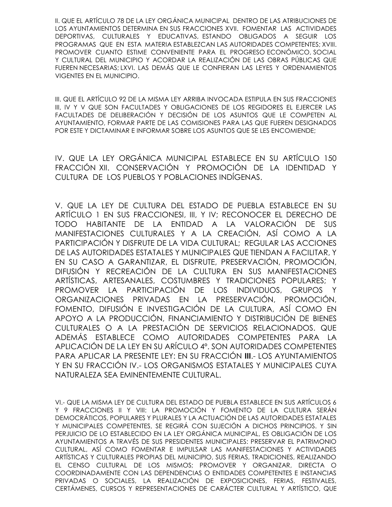II. QUE EL ARTÍCULO 78 DE LA LEY ORGÁNICA MUNICIPAL DENTRO DE LAS ATRIBUCIONES DE LOS AYUNTAMIENTOS DETERMINA EN SUS FRACCIONES XVII. FOMENTAR LAS ACTIVIDADES DEPORTIVAS, CULTURALES Y EDUCATIVAS, ESTANDO OBLIGADOS A SEGUIR LOS PROGRAMAS QUE EN ESTA MATERIA ESTABLEZCAN LAS AUTORIDADES COMPETENTES; XVIII. PROMOVER CUANTO ESTIME CONVENIENTE PARA EL PROGRESO ECONÓMICO, SOCIAL Y CULTURAL DEL MUNICIPIO Y ACORDAR LA REALIZACIÓN DE LAS OBRAS PÚBLICAS QUE FUEREN NECESARIAS; LXVI. LAS DEMÁS QUE LE CONFIERAN LAS LEYES Y ORDENAMIENTOS VIGENTES EN EL MUNICIPIO.

III. QUE EL ARTÍCULO 92 DE LA MISMA LEY ARRIBA INVOCADA ESTIPULA EN SUS FRACCIONES III, IV Y V QUE SON FACULTADES Y OBLIGACIONES DE LOS REGIDORES EL EJERCER LAS FACULTADES DE DELIBERACIÓN Y DECISIÓN DE LOS ASUNTOS QUE LE COMPETEN AL AYUNTAMIENTO, FORMAR PARTE DE LAS COMISIONES PARA LAS QUE FUEREN DESIGNADOS POR ESTE Y DICTAMINAR E INFORMAR SOBRE LOS ASUNTOS QUE SE LES ENCOMIENDE;

IV. QUE LA LEY ORGÁNICA MUNICIPAL ESTABLECE EN SU ARTÍCULO 150 FRACCIÓN XII. CONSERVACIÓN Y PROMOCIÓN DE LA IDENTIDAD Y CULTURA DE LOS PUEBLOS Y POBLACIONES INDÍGENAS.

V. QUE LA LEY DE CULTURA DEL ESTADO DE PUEBLA ESTABLECE EN SU ARTÍCULO 1 EN SUS FRACCIONESI, III, Y IV; RECONOCER EL DERECHO DE TODO HABITANTE DE LA ENTIDAD A LA VALORACIÓN DE SUS MANIFESTACIONES CULTURALES Y A LA CREACIÓN, ASÍ COMO A LA PARTICIPACIÓN Y DISFRUTE DE LA VIDA CULTURAL; REGULAR LAS ACCIONES DE LAS AUTORIDADES ESTATALES Y MUNICIPALES QUE TIENDAN A FACILITAR, Y EN SU CASO A GARANTIZAR, EL DISFRUTE, PRESERVACIÓN, PROMOCIÓN, DIFUSIÓN Y RECREACIÓN DE LA CULTURA EN SUS MANIFESTACIONES ARTÍSTICAS, ARTESANALES, COSTUMBRES Y TRADICIONES POPULARES; Y PROMOVER LA PARTICIPACIÓN DE LOS INDIVIDUOS, GRUPOS Y ORGANIZACIONES PRIVADAS EN LA PRESERVACIÓN, PROMOCIÓN, FOMENTO, DIFUSIÓN E INVESTIGACIÓN DE LA CULTURA, ASÍ COMO EN APOYO A LA PRODUCCIÓN, FINANCIAMIENTO Y DISTRIBUCIÓN DE BIENES CULTURALES O A LA PRESTACIÓN DE SERVICIOS RELACIONADOS. QUE ADEMÁS ESTABLECE COMO AUTORIDADES COMPETENTES PARA LA APLICACIÓN DE LA LEY EN SU ARÍCULO 4º. SON AUTORIDADES COMPETENTES PARA APLICAR LA PRESENTE LEY: EN SU FRACCIÓN **III**.- LOS AYUNTAMIENTOS Y EN SU FRACCIÓN IV.- LOS ORGANISMOS ESTATALES Y MUNICIPALES CUYA NATURALEZA SEA EMINENTEMENTE CULTURAL.

VI.- QUE LA MISMA LEY DE CULTURA DEL ESTADO DE PUEBLA ESTABLECE EN SUS ARTÍCULOS 6 Y 9 FRACCIONES II Y VIII: LA PROMOCIÓN Y FOMENTO DE LA CULTURA SERÁN DEMOCRÁTICOS, POPULARES Y PLURALES Y LA ACTUACIÓN DE LAS AUTORIDADES ESTATALES Y MUNICIPALES COMPETENTES, SE REGIRÁ CON SUJECIÓN A DICHOS PRINCIPIOS. Y SIN PERJUICIO DE LO ESTABLECIDO EN LA LEY ORGÁNICA MUNICIPAL, ES OBLIGACIÓN DE LOS AYUNTAMIENTOS A TRAVÉS DE SUS PRESIDENTES MUNICIPALES: PRESERVAR EL PATRIMONIO CULTURAL, ASÍ COMO FOMENTAR E IMPULSAR LAS MANIFESTACIONES Y ACTIVIDADES ARTÍSTICAS Y CULTURALES PROPIAS DEL MUNICIPIO, SUS FERIAS, TRADICIONES, REALIZANDO EL CENSO CULTURAL DE LOS MISMOS; PROMOVER Y ORGANIZAR, DIRECTA O COORDINADAMENTE CON LAS DEPENDENCIAS O ENTIDADES COMPETENTES E INSTANCIAS PRIVADAS O SOCIALES, LA REALIZACIÓN DE EXPOSICIONES, FERIAS, FESTIVALES, CERTÁMENES, CURSOS Y REPRESENTACIONES DE CARÁCTER CULTURAL Y ARTÍSTICO, QUE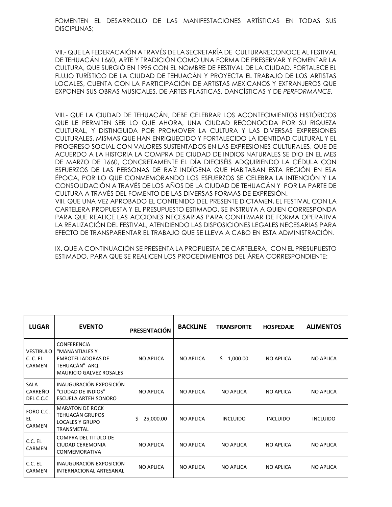FOMENTEN EL DESARROLLO DE LAS MANIFESTACIONES ARTÍSTICAS EN TODAS SUS DISCIPLINAS;

VII.- QUE LA FEDERACAIÓN A TRAVÉS DE LA SECRETARÍA DE CULTURARECONOCE AL FESTIVAL DE TEHUACÁN 1660, ARTE Y TRADICIÓN COMO UNA FORMA DE PRESERVAR Y FOMENTAR LA CULTURA, QUE SURGIÓ EN 1995 CON EL NOMBRE DE FESTIVAL DE LA CIUDAD. FORTALECE EL FLUJO TURÍSTICO DE LA CIUDAD DE TEHUACÁN Y PROYECTA EL TRABAJO DE LOS ARTISTAS LOCALES, CUENTA CON LA PARTICIPACIÓN DE ARTISTAS MEXICANOS Y EXTRANJEROS QUE EXPONEN SUS OBRAS MUSICALES, DE ARTES PLÁSTICAS, DANCÍSTICAS Y DE *PERFORMANCE.*

VIII.- QUE LA CIUDAD DE TEHUACÁN, DEBE CELEBRAR LOS ACONTECIMIENTOS HISTÓRICOS QUE LE PERMITEN SER LO QUE AHORA, UNA CIUDAD RECONOCIDA POR SU RIQUEZA CULTURAL, Y DISTINGUIDA POR PROMOVER LA CULTURA Y LAS DIVERSAS EXPRESIONES CULTURALES, MISMAS QUE HAN ENRIQUECIDO Y FORTALECIDO LA IDENTIDAD CULTURAL Y EL PROGRESO SOCIAL CON VALORES SUSTENTADOS EN LAS EXPRESIONES CULTURALES, QUE DE ACUERDO A LA HISTORIA LA COMPRA DE CIUDAD DE INDIOS NATURALES SE DIO EN EL MES DE MARZO DE 1660, CONCRETAMENTE EL DÍA DIECISÉIS ADQUIRIENDO LA CÉDULA CON ESFUERZOS DE LAS PERSONAS DE RAÍZ INDÍGENA QUE HABITABAN ESTA REGIÓN EN ESA ÉPOCA, POR LO QUE CONMEMORANDO LOS ESFUERZOS SE CELEBRA LA INTENCIÓN Y LA CONSOLIDACIÓN A TRAVÉS DE LOS AÑOS DE LA CIUDAD DE TEHUACÁN Y POR LA PARTE DE CULTURA A TRAVÉS DEL FOMENTO DE LAS DIVERSAS FORMAS DE EXPRESIÓN. VIII. QUE UNA VEZ APROBADO EL CONTENIDO DEL PRESENTE DICTAMEN, EL FESTIVAL CON LA CARTELERA PROPUESTA Y EL PRESUPUESTO ESTIMADO, SE INSTRUYA A QUIEN CORRESPONDA PARA QUE REALICE LAS ACCIONES NECESARIAS PARA CONFIRMAR DE FORMA OPERATIVA

IX. QUE A CONTINUACIÓN SE PRESENTA LA PROPUESTA DE CARTELERA, CON EL PRESUPUESTO ESTIMADO, PARA QUE SE REALICEN LOS PROCEDIMIENTOS DEL ÁREA CORRESPONDIENTE:

LA REALIZACIÓN DEL FESTIVAL, ATENDIENDO LAS DISPOSICIONES LEGALES NECESARIAS PARA EFECTO DE TRANSPARENTAR EL TRABAJO QUE SE LLEVA A CABO EN ESTA ADMINISTRACIÓN.

| <b>LUGAR</b>                                  | <b>EVENTO</b>                                                                                                        | <b>PRESENTACIÓN</b> | <b>BACKLINE</b>  | <b>TRANSPORTE</b> | <b>HOSPEDAJE</b> | <b>ALIMENTOS</b> |
|-----------------------------------------------|----------------------------------------------------------------------------------------------------------------------|---------------------|------------------|-------------------|------------------|------------------|
| <b>VESTIBULO</b><br>C. C. EL<br><b>CARMEN</b> | <b>CONFERENCIA</b><br>"MANANTIALES Y<br><b>EMBOTELLADORAS DE</b><br>TEHUACÁN" ARQ.<br><b>MAURICIO GALVEZ ROSALES</b> | <b>NO APLICA</b>    | <b>NO APLICA</b> | Ś.<br>1,000.00    | <b>NO APLICA</b> | <b>NO APLICA</b> |
| SALA<br>CARREÑO<br>DEL C.C.C.                 | INAUGURACIÓN EXPOSICIÓN<br>"CIUDAD DE INDIOS"<br><b>ESCUELA ARTEH SONORO</b>                                         | <b>NO APLICA</b>    | <b>NO APLICA</b> | <b>NO APLICA</b>  | <b>NO APLICA</b> | <b>NO APLICA</b> |
| FORO C.C.<br>EL<br>CARMEN                     | <b>MARATON DE ROCK</b><br><b>TEHUACÁN GRUPOS</b><br><b>LOCALES Y GRUPO</b><br><b>TRANSMETAL</b>                      | Ś.<br>25,000.00     | <b>NO APLICA</b> | <b>INCLUIDO</b>   | <b>INCLUIDO</b>  | <b>INCLUIDO</b>  |
| C.C. EL<br>CARMEN                             | <b>COMPRA DEL TITULO DE</b><br>CIUDAD CEREMONIA<br><b>CONMEMORATIVA</b>                                              | <b>NO APLICA</b>    | <b>NO APLICA</b> | <b>NO APLICA</b>  | <b>NO APLICA</b> | <b>NO APLICA</b> |
| C.C. EL<br>CARMEN                             | INAUGURACIÓN EXPOSICIÓN<br>INTERNACIONAL ARTESANAL                                                                   | <b>NO APLICA</b>    | <b>NO APLICA</b> | <b>NO APLICA</b>  | <b>NO APLICA</b> | <b>NO APLICA</b> |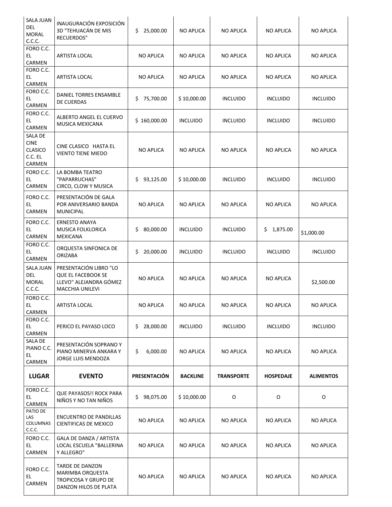| SALA JUAN<br>DEL<br><b>MORAL</b><br>C.C.C.                    | INAUGURACIÓN EXPOSICIÓN<br>3D "TEHUACÁN DE MIS<br><b>RECUERDOS"</b>                              | 25,000.00<br>\$. | <b>NO APLICA</b> | <b>NO APLICA</b>  | <b>NO APLICA</b> | <b>NO APLICA</b> |
|---------------------------------------------------------------|--------------------------------------------------------------------------------------------------|------------------|------------------|-------------------|------------------|------------------|
| FORO C.C.<br>EL.<br>CARMEN                                    | <b>ARTISTA LOCAL</b>                                                                             | <b>NO APLICA</b> | <b>NO APLICA</b> | <b>NO APLICA</b>  | <b>NO APLICA</b> | <b>NO APLICA</b> |
| FORO C.C.<br>EL.<br>CARMEN                                    | <b>ARTISTA LOCAL</b>                                                                             | <b>NO APLICA</b> | <b>NO APLICA</b> | NO APLICA         | NO APLICA        | <b>NO APLICA</b> |
| FORO C.C.<br>EL.<br>CARMEN                                    | DANIEL TORRES ENSAMBLE<br>DE CUERDAS                                                             | 75,700.00<br>\$  | \$10,000.00      | <b>INCLUIDO</b>   | <b>INCLUIDO</b>  | <b>INCLUIDO</b>  |
| FORO C.C.<br>EL.<br>CARMEN                                    | ALBERTO ANGEL EL CUERVO<br>MUSICA MEXICANA                                                       | \$160,000.00     | <b>INCLUIDO</b>  | <b>INCLUIDO</b>   | <b>INCLUIDO</b>  | <b>INCLUIDO</b>  |
| SALA DE<br><b>CINE</b><br>CLASICO<br>C.C. EL<br><b>CARMEN</b> | CINE CLASICO HASTA EL<br><b>VIENTO TIENE MIEDO</b>                                               | <b>NO APLICA</b> | <b>NO APLICA</b> | <b>NO APLICA</b>  | <b>NO APLICA</b> | <b>NO APLICA</b> |
| FORO C.C.<br>EL.<br>CARMEN                                    | LA BOMBA TEATRO<br>"PAPARRUCHAS"<br>CIRCO, CLOW Y MUSICA                                         | 93,125.00<br>\$. | \$10,000.00      | <b>INCLUIDO</b>   | <b>INCLUIDO</b>  | <b>INCLUIDO</b>  |
| FORO C.C.<br>EL.<br>CARMEN                                    | PRESENTACIÓN DE GALA<br>POR ANIVERSARIO BANDA<br><b>MUNICIPAL</b>                                | <b>NO APLICA</b> | <b>NO APLICA</b> | <b>NO APLICA</b>  | <b>NO APLICA</b> | <b>NO APLICA</b> |
| FORO C.C.<br>EL<br>CARMEN                                     | <b>ERNESTO ANAYA</b><br>MUSICA FOLKLORICA<br><b>MEXICANA</b>                                     | 80,000.00<br>\$  | <b>INCLUIDO</b>  | <b>INCLUIDO</b>   | 1,875.00<br>\$   | \$1,000.00       |
| FORO C.C.<br>EL.<br>CARMEN                                    | ORQUESTA SINFONICA DE<br><b>ORIZABA</b>                                                          | 20,000.00<br>\$  | <b>INCLUIDO</b>  | <b>INCLUIDO</b>   | <b>INCLUIDO</b>  | <b>INCLUIDO</b>  |
| <b>SALA JUAN</b><br>DEL<br><b>MORAL</b><br>C.C.C.             | PRESENTACIÓN LIBRO "LO<br><b>QUE EL FACEBOOK SE</b><br>LLEVO" ALEJANDRA GÓMEZ<br>MACCHIA UNILEVI | <b>NO APLICA</b> | <b>NO APLICA</b> | <b>NO APLICA</b>  | <b>NO APLICA</b> | \$2,500.00       |
| FORO C.C.<br>EL.<br>CARMEN                                    | ARTISTA LOCAL                                                                                    | <b>NO APLICA</b> | <b>NO APLICA</b> | <b>NO APLICA</b>  | <b>NO APLICA</b> | <b>NO APLICA</b> |
| FORO C.C.<br>EL.<br>CARMEN                                    | PERICO EL PAYASO LOCO                                                                            | 28,000.00<br>\$. | <b>INCLUIDO</b>  | <b>INCLUIDO</b>   | <b>INCLUIDO</b>  | <b>INCLUIDO</b>  |
| SALA DE<br>PIANO C.C.<br>EL.<br>CARMEN                        | PRESENTACIÓN SOPRANO Y<br>PIANO MINERVA ANKARA Y<br>JORGE LUIS MENDOZA                           | \$<br>6,000.00   | <b>NO APLICA</b> | <b>NO APLICA</b>  | <b>NO APLICA</b> | <b>NO APLICA</b> |
| <b>LUGAR</b>                                                  | <b>EVENTO</b>                                                                                    | PRESENTACIÓN     | <b>BACKLINE</b>  | <b>TRANSPORTE</b> | <b>HOSPEDAJE</b> | <b>ALIMENTOS</b> |
| FORO C.C.<br>EL.<br>CARMEN                                    | <b>QUE PAYASOS!! ROCK PARA</b><br>NIÑOS Y NO TAN NIÑOS                                           | \$<br>98,075.00  | \$10,000.00      | O                 | O                | 0                |
| PATIO DE<br>LAS<br>COLUMNAS<br>C.C.C.                         | ENCUENTRO DE PANDILLAS<br>CIENTIFICAS DE MEXICO                                                  | <b>NO APLICA</b> | <b>NO APLICA</b> | NO APLICA         | <b>NO APLICA</b> | <b>NO APLICA</b> |
| FORO C.C.<br>EL.<br>CARMEN                                    | GALA DE DANZA / ARTISTA<br>LOCAL ESCUELA "BALLERINA<br>Y ALLEGRO"                                | <b>NO APLICA</b> | <b>NO APLICA</b> | <b>NO APLICA</b>  | <b>NO APLICA</b> | <b>NO APLICA</b> |
| FORO C.C.<br>EL.<br>CARMEN                                    | TARDE DE DANZON<br>MARIMBA ORQUESTA<br>TROPICOSA Y GRUPO DE<br>DANZON HILOS DE PLATA             | <b>NO APLICA</b> | <b>NO APLICA</b> | NO APLICA         | <b>NO APLICA</b> | <b>NO APLICA</b> |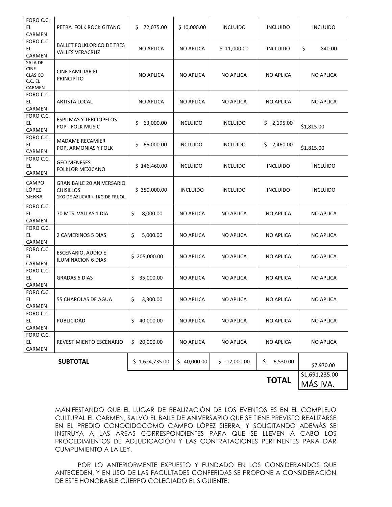| FORO C.C.<br>EL<br>CARMEN                              | PETRA FOLK ROCK GITANO                                                                | 72,075.00<br>\$. | \$10,000.00      | <b>INCLUIDO</b>  | <b>INCLUIDO</b>  | <b>INCLUIDO</b>            |
|--------------------------------------------------------|---------------------------------------------------------------------------------------|------------------|------------------|------------------|------------------|----------------------------|
| FORO C.C.<br>EL.<br>CARMEN                             | <b>BALLET FOLKLORICO DE TRES</b><br><b>VALLES VERACRUZ</b>                            | <b>NO APLICA</b> | <b>NO APLICA</b> | \$11,000.00      | <b>INCLUIDO</b>  | \$<br>840.00               |
| SALA DE<br><b>CINE</b><br>CLASICO<br>C.C. EL<br>CARMEN | CINE FAMILIAR EL<br><b>PRINCIPITO</b>                                                 | <b>NO APLICA</b> | <b>NO APLICA</b> | <b>NO APLICA</b> | <b>NO APLICA</b> | <b>NO APLICA</b>           |
| FORO C.C.<br>EL.<br>CARMEN                             | <b>ARTISTA LOCAL</b>                                                                  | <b>NO APLICA</b> | <b>NO APLICA</b> | <b>NO APLICA</b> | <b>NO APLICA</b> | <b>NO APLICA</b>           |
| FORO C.C.<br>EL<br>CARMEN                              | <b>ESPUMAS Y TERCIOPELOS</b><br>POP - FOLK MUSIC                                      | \$<br>63,000.00  | <b>INCLUIDO</b>  | <b>INCLUIDO</b>  | \$2,195.00       | \$1,815.00                 |
| FORO C.C.<br>EL.<br>CARMEN                             | <b>MADAME RECAMIER</b><br>POP, ARMONIAS Y FOLK                                        | 66,000.00<br>\$  | <b>INCLUIDO</b>  | <b>INCLUIDO</b>  | 2,460.00<br>\$   | \$1,815.00                 |
| FORO C.C.<br>EL.<br>CARMEN                             | <b>GEO MENESES</b><br><b>FOLKLOR MEXICANO</b>                                         | \$146,460.00     | <b>INCLUIDO</b>  | <b>INCLUIDO</b>  | <b>INCLUIDO</b>  | <b>INCLUIDO</b>            |
| CAMPO<br>LÓPEZ<br>SIERRA                               | <b>GRAN BAILE 20 ANIVERSARIO</b><br><b>CUISILLOS</b><br>1KG DE AZUCAR + 1KG DE FRIJOL | \$350,000.00     | <b>INCLUIDO</b>  | <b>INCLUIDO</b>  | <b>INCLUIDO</b>  | <b>INCLUIDO</b>            |
| FORO C.C.<br>EL.<br>CARMEN                             | 70 MTS. VALLAS 1 DIA                                                                  | \$<br>8,000.00   | <b>NO APLICA</b> | <b>NO APLICA</b> | <b>NO APLICA</b> | <b>NO APLICA</b>           |
| FORO C.C.<br>EL.<br>CARMEN                             | 2 CAMERINOS 5 DIAS                                                                    | \$<br>5,000.00   | <b>NO APLICA</b> | <b>NO APLICA</b> | <b>NO APLICA</b> | <b>NO APLICA</b>           |
| FORO C.C.<br>EL<br>CARMEN                              | ESCENARIO, AUDIO E<br><b>ILUMINACION 6 DIAS</b>                                       | \$205,000.00     | <b>NO APLICA</b> | <b>NO APLICA</b> | <b>NO APLICA</b> | <b>NO APLICA</b>           |
| FORO C.C.<br>EL.<br>CARMEN                             | <b>GRADAS 6 DIAS</b>                                                                  | 35,000.00<br>\$. | <b>NO APLICA</b> | <b>NO APLICA</b> | <b>NO APLICA</b> | <b>NO APLICA</b>           |
| FORO C.C.<br>EL<br>CARMEN                              | 55 CHAROLAS DE AGUA                                                                   | \$<br>3,300.00   | <b>NO APLICA</b> | <b>NO APLICA</b> | <b>NO APLICA</b> | <b>NO APLICA</b>           |
| FORO C.C.<br>EL.<br>CARMEN                             | PUBLICIDAD                                                                            | \$<br>40,000.00  | <b>NO APLICA</b> | <b>NO APLICA</b> | <b>NO APLICA</b> | <b>NO APLICA</b>           |
| FORO C.C.<br>EL.<br>CARMEN                             | REVESTIMIENTO ESCENARIO                                                               | 20,000.00<br>\$  | NO APLICA        | NO APLICA        | NO APLICA        | <b>NO APLICA</b>           |
|                                                        | <b>SUBTOTAL</b>                                                                       | \$1,624,735.00   | \$40,000.00      | \$<br>12,000.00  | \$<br>6,530.00   | \$7,970.00                 |
|                                                        |                                                                                       |                  |                  |                  | <b>TOTAL</b>     | \$1,691,235.00<br>MÁS IVA. |

MANIFESTANDO QUE EL LUGAR DE REALIZACIÓN DE LOS EVENTOS ES EN EL COMPLEJO CULTURAL EL CARMEN, SALVO EL BAILE DE ANIVERSARIO QUE SE TIENE PREVISTO REALIZARSE EN EL PREDIO CONOCIDOCOMO CAMPO LÓPEZ SIERRA, Y SOLICITANDO ADEMÁS SE INSTRUYA A LAS ÁREAS CORRESPONDIENTES PARA QUE SE LLEVEN A CABO LOS PROCEDIMIENTOS DE ADJUDICACIÓN Y LAS CONTRATACIONES PERTINENTES PARA DAR CUMPLIMIENTO A LA LEY.

POR LO ANTERIORMENTE EXPUESTO Y FUNDADO EN LOS CONSIDERANDOS QUE ANTECEDEN, Y EN USO DE LAS FACULTADES CONFERIDAS SE PROPONE A CONSIDERACIÓN DE ESTE HONORABLE CUERPO COLEGIADO EL SIGUIENTE: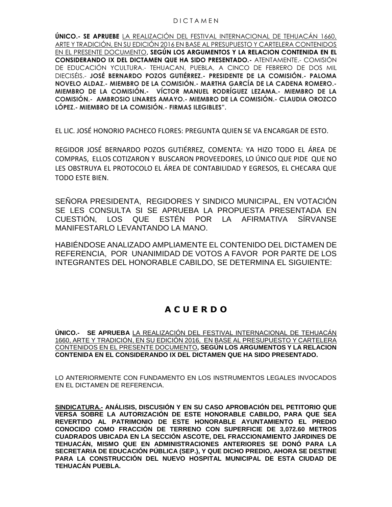#### D I C T A M E N

**ÚNICO.- SE APRUEBE** LA REALIZACIÓN DEL FESTIVAL INTERNACIONAL DE TEHUACÁN 1660, ARTE Y TRADICIÓN, EN SU EDICIÓN 2016 EN BASE AL PRESUPUESTO Y CARTELERA CONTENIDOS EN EL PRESENTE DOCUMENTO**, SEGÚN LOS ARGUMENTOS Y LA RELACION CONTENIDA EN EL CONSIDERANDO IX DEL DICTAMEN QUE HA SIDO PRESENTADO.-** ATENTAMENTE.- COMISIÓN DE EDUCACIÓN YCULTURA.- TEHUACAN, PUEBLA, A CINCO DE FEBRERO DE DOS MIL DIECISÉIS.- **JOSÉ BERNARDO POZOS GUTIÉRREZ.- PRESIDENTE DE LA COMISIÓN.- PALOMA NOVELO ALDAZ.- MIEMBRO DE LA COMISIÓN.- MARTHA GARCÍA DE LA CADENA ROMERO.- MIEMBRO DE LA COMISIÓN.- VÍCTOR MANUEL RODRÍGUEZ LEZAMA.- MIEMBRO DE LA COMISIÓN.- AMBROSIO LINARES AMAYO.- MIEMBRO DE LA COMISIÓN.- CLAUDIA OROZCO LÓPEZ.- MIEMBRO DE LA COMISIÓN.- FIRMAS ILEGIBLES".**

EL LIC. JOSÉ HONORIO PACHECO FLORES: PREGUNTA QUIEN SE VA ENCARGAR DE ESTO.

REGIDOR JOSÉ BERNARDO POZOS GUTIÉRREZ, COMENTA: YA HIZO TODO EL ÁREA DE COMPRAS, ELLOS COTIZARON Y BUSCARON PROVEEDORES, LO ÚNICO QUE PIDE QUE NO LES OBSTRUYA EL PROTOCOLO EL ÁREA DE CONTABILIDAD Y EGRESOS, EL CHECARA QUE TODO ESTE BIEN.

SEÑORA PRESIDENTA, REGIDORES Y SINDICO MUNICIPAL, EN VOTACIÓN SE LES CONSULTA SI SE APRUEBA LA PROPUESTA PRESENTADA EN CUESTIÓN, LOS QUE ESTÉN POR LA AFIRMATIVA SÍRVANSE MANIFESTARLO LEVANTANDO LA MANO.

HABIÉNDOSE ANALIZADO AMPLIAMENTE EL CONTENIDO DEL DICTAMEN DE REFERENCIA, POR UNANIMIDAD DE VOTOS A FAVOR POR PARTE DE LOS INTEGRANTES DEL HONORABLE CABILDO, SE DETERMINA EL SIGUIENTE:

# **A C U E R D O**

**ÚNICO.- SE APRUEBA** LA REALIZACIÓN DEL FESTIVAL INTERNACIONAL DE TEHUACÁN 1660, ARTE Y TRADICIÓN, EN SU EDICIÓN 2016, EN BASE AL PRESUPUESTO Y CARTELERA CONTENIDOS EN EL PRESENTE DOCUMENTO**, SEGÚN LOS ARGUMENTOS Y LA RELACION CONTENIDA EN EL CONSIDERANDO IX DEL DICTAMEN QUE HA SIDO PRESENTADO.**

LO ANTERIORMENTE CON FUNDAMENTO EN LOS INSTRUMENTOS LEGALES INVOCADOS EN EL DICTAMEN DE REFERENCIA.

**SINDICATURA.- ANÁLISIS, DISCUSIÓN Y EN SU CASO APROBACIÓN DEL PETITORIO QUE VERSA SOBRE LA AUTORIZACIÓN DE ESTE HONORABLE CABILDO, PARA QUE SEA REVERTIDO AL PATRIMONIO DE ESTE HONORABLE AYUNTAMIENTO EL PREDIO CONOCIDO COMO FRACCIÓN DE TERRENO CON SUPERFICIE DE 3,072.60 METROS CUADRADOS UBICADA EN LA SECCIÓN ASCOTE, DEL FRACCIONAMIENTO JARDINES DE TEHUACÁN, MISMO QUE EN ADMINISTRACIONES ANTERIORES SE DONÓ PARA LA SECRETARIA DE EDUCACIÓN PÚBLICA (SEP.), Y QUE DICHO PREDIO, AHORA SE DESTINE PARA LA CONSTRUCCIÓN DEL NUEVO HOSPITAL MUNICIPAL DE ESTA CIUDAD DE TEHUACÁN PUEBLA.**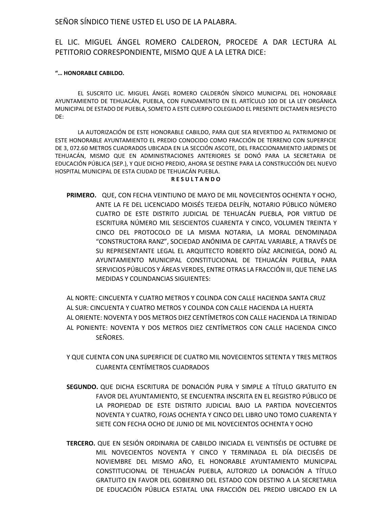SEÑOR SÍNDICO TIENE USTED EL USO DE LA PALABRA.

## EL LIC. MIGUEL ÁNGEL ROMERO CALDERON, PROCEDE A DAR LECTURA AL PETITORIO CORRESPONDIENTE, MISMO QUE A LA LETRA DICE:

#### **"… HONORABLE CABILDO.**

EL SUSCRITO LIC. MIGUEL ÁNGEL ROMERO CALDERÓN SÍNDICO MUNICIPAL DEL HONORABLE AYUNTAMIENTO DE TEHUACÁN, PUEBLA, CON FUNDAMENTO EN EL ARTÍCULO 100 DE LA LEY ORGÁNICA MUNICIPAL DE ESTADO DE PUEBLA, SOMETO A ESTE CUERPO COLEGIADO EL PRESENTE DICTAMEN RESPECTO DE:

LA AUTORIZACIÓN DE ESTE HONORABLE CABILDO, PARA QUE SEA REVERTIDO AL PATRIMONIO DE ESTE HONORABLE AYUNTAMIENTO EL PREDIO CONOCIDO COMO FRACCIÓN DE TERRENO CON SUPERFICIE DE 3, 072.60 METROS CUADRADOS UBICADA EN LA SECCIÓN ASCOTE, DEL FRACCIONAMIENTO JARDINES DE TEHUACÁN, MISMO QUE EN ADMINISTRACIONES ANTERIORES SE DONÓ PARA LA SECRETARIA DE EDUCACIÓN PÚBLICA (SEP.), Y QUE DICHO PREDIO, AHORA SE DESTINE PARA LA CONSTRUCCIÓN DEL NUEVO HOSPITAL MUNICIPAL DE ESTA CIUDAD DE TEHUACÁN PUEBLA.

#### **R E S U L T A N D O**

**PRIMERO.** QUE, CON FECHA VEINTIUNO DE MAYO DE MIL NOVECIENTOS OCHENTA Y OCHO, ANTE LA FE DEL LICENCIADO MOISÉS TEJEDA DELFÍN, NOTARIO PÚBLICO NÚMERO CUATRO DE ESTE DISTRITO JUDICIAL DE TEHUACÁN PUEBLA, POR VIRTUD DE ESCRITURA NÚMERO MIL SEISCIENTOS CUARENTA Y CINCO, VOLUMEN TREINTA Y CINCO DEL PROTOCOLO DE LA MISMA NOTARIA, LA MORAL DENOMINADA "CONSTRUCTORA RANZ", SOCIEDAD ANÓNIMA DE CAPITAL VARIABLE, A TRAVÉS DE SU REPRESENTANTE LEGAL EL ARQUITECTO ROBERTO DÍAZ ARCINIEGA, DONÓ AL AYUNTAMIENTO MUNICIPAL CONSTITUCIONAL DE TEHUACÁN PUEBLA, PARA SERVICIOS PÚBLICOS Y ÁREAS VERDES, ENTRE OTRAS LA FRACCIÓN III, QUE TIENE LAS MEDIDAS Y COLINDANCIAS SIGUIENTES:

AL NORTE: CINCUENTA Y CUATRO METROS Y COLINDA CON CALLE HACIENDA SANTA CRUZ AL SUR: CINCUENTA Y CUATRO METROS Y COLINDA CON CALLE HACIENDA LA HUERTA AL ORIENTE: NOVENTA Y DOS METROS DIEZ CENTÍMETROS CON CALLE HACIENDA LA TRINIDAD AL PONIENTE: NOVENTA Y DOS METROS DIEZ CENTÍMETROS CON CALLE HACIENDA CINCO SEÑORES.

- Y QUE CUENTA CON UNA SUPERFICIE DE CUATRO MIL NOVECIENTOS SETENTA Y TRES METROS CUARENTA CENTÍMETROS CUADRADOS
- **SEGUNDO.** QUE DICHA ESCRITURA DE DONACIÓN PURA Y SIMPLE A TÍTULO GRATUITO EN FAVOR DEL AYUNTAMIENTO, SE ENCUENTRA INSCRITA EN EL REGISTRO PÚBLICO DE LA PROPIEDAD DE ESTE DISTRITO JUDICIAL BAJO LA PARTIDA NOVECIENTOS NOVENTA Y CUATRO, FOJAS OCHENTA Y CINCO DEL LIBRO UNO TOMO CUARENTA Y SIETE CON FECHA OCHO DE JUNIO DE MIL NOVECIENTOS OCHENTA Y OCHO
- **TERCERO.** QUE EN SESIÓN ORDINARIA DE CABILDO INICIADA EL VEINTISÉIS DE OCTUBRE DE MIL NOVECIENTOS NOVENTA Y CINCO Y TERMINADA EL DÍA DIECISÉIS DE NOVIEMBRE DEL MISMO AÑO, EL HONORABLE AYUNTAMIENTO MUNICIPAL CONSTITUCIONAL DE TEHUACÁN PUEBLA, AUTORIZO LA DONACIÓN A TÍTULO GRATUITO EN FAVOR DEL GOBIERNO DEL ESTADO CON DESTINO A LA SECRETARIA DE EDUCACIÓN PÚBLICA ESTATAL UNA FRACCIÓN DEL PREDIO UBICADO EN LA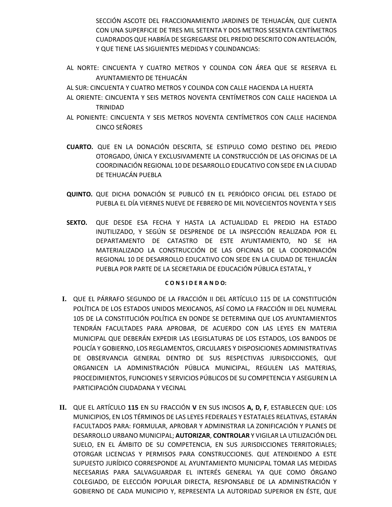SECCIÓN ASCOTE DEL FRACCIONAMIENTO JARDINES DE TEHUACÁN, QUE CUENTA CON UNA SUPERFICIE DE TRES MIL SETENTA Y DOS METROS SESENTA CENTÍMETROS CUADRADOS QUE HABRÍA DE SEGREGARSE DEL PREDIO DESCRITO CON ANTELACIÓN, Y QUE TIENE LAS SIGUIENTES MEDIDAS Y COLINDANCIAS:

- AL NORTE: CINCUENTA Y CUATRO METROS Y COLINDA CON ÁREA QUE SE RESERVA EL AYUNTAMIENTO DE TEHUACÁN
- AL SUR: CINCUENTA Y CUATRO METROS Y COLINDA CON CALLE HACIENDA LA HUERTA
- AL ORIENTE: CINCUENTA Y SEIS METROS NOVENTA CENTÍMETROS CON CALLE HACIENDA LA TRINIDAD
- AL PONIENTE: CINCUENTA Y SEIS METROS NOVENTA CENTÍMETROS CON CALLE HACIENDA CINCO SEÑORES
- **CUARTO.** QUE EN LA DONACIÓN DESCRITA, SE ESTIPULO COMO DESTINO DEL PREDIO OTORGADO, ÚNICA Y EXCLUSIVAMENTE LA CONSTRUCCIÓN DE LAS OFICINAS DE LA COORDINACIÓN REGIONAL 10 DE DESARROLLO EDUCATIVO CON SEDE EN LA CIUDAD DE TEHUACÁN PUEBLA
- **QUINTO.** QUE DICHA DONACIÓN SE PUBLICÓ EN EL PERIÓDICO OFICIAL DEL ESTADO DE PUEBLA EL DÍA VIERNES NUEVE DE FEBRERO DE MIL NOVECIENTOS NOVENTA Y SEIS
- **SEXTO.** QUE DESDE ESA FECHA Y HASTA LA ACTUALIDAD EL PREDIO HA ESTADO INUTILIZADO, Y SEGÚN SE DESPRENDE DE LA INSPECCIÓN REALIZADA POR EL DEPARTAMENTO DE CATASTRO DE ESTE AYUNTAMIENTO, NO SE HA MATERIALIZADO LA CONSTRUCCIÓN DE LAS OFICINAS DE LA COORDINACIÓN REGIONAL 10 DE DESARROLLO EDUCATIVO CON SEDE EN LA CIUDAD DE TEHUACÁN PUEBLA POR PARTE DE LA SECRETARIA DE EDUCACIÓN PÚBLICA ESTATAL, Y

#### **C O N S I D E R A N D O:**

- **I.** QUE EL PÁRRAFO SEGUNDO DE LA FRACCIÓN II DEL ARTÍCULO 115 DE LA CONSTITUCIÓN POLÍTICA DE LOS ESTADOS UNIDOS MEXICANOS, ASÍ COMO LA FRACCIÓN III DEL NUMERAL 105 DE LA CONSTITUCIÓN POLÍTICA EN DONDE SE DETERMINA QUE LOS AYUNTAMIENTOS TENDRÁN FACULTADES PARA APROBAR, DE ACUERDO CON LAS LEYES EN MATERIA MUNICIPAL QUE DEBERÁN EXPEDIR LAS LEGISLATURAS DE LOS ESTADOS, LOS BANDOS DE POLICÍA Y GOBIERNO, LOS REGLAMENTOS, CIRCULARES Y DISPOSICIONES ADMINISTRATIVAS DE OBSERVANCIA GENERAL DENTRO DE SUS RESPECTIVAS JURISDICCIONES, QUE ORGANICEN LA ADMINISTRACIÓN PÚBLICA MUNICIPAL, REGULEN LAS MATERIAS, PROCEDIMIENTOS, FUNCIONES Y SERVICIOS PÚBLICOS DE SU COMPETENCIA Y ASEGUREN LA PARTICIPACIÓN CIUDADANA Y VECINAL
- **II.** QUE EL ARTÍCULO **115** EN SU FRACCIÓN **V** EN SUS INCISOS **A, D, F**, ESTABLECEN QUE: LOS MUNICIPIOS, EN LOS TÉRMINOS DE LAS LEYES FEDERALES Y ESTATALES RELATIVAS, ESTARÁN FACULTADOS PARA: FORMULAR, APROBAR Y ADMINISTRAR LA ZONIFICACIÓN Y PLANES DE DESARROLLO URBANO MUNICIPAL; **AUTORIZAR**, **CONTROLAR** Y VIGILAR LA UTILIZACIÓN DEL SUELO, EN EL ÁMBITO DE SU COMPETENCIA, EN SUS JURISDICCIONES TERRITORIALES; OTORGAR LICENCIAS Y PERMISOS PARA CONSTRUCCIONES. QUE ATENDIENDO A ESTE SUPUESTO JURÍDICO CORRESPONDE AL AYUNTAMIENTO MUNICIPAL TOMAR LAS MEDIDAS NECESARIAS PARA SALVAGUARDAR EL INTERÉS GENERAL YA QUE COMO ÓRGANO COLEGIADO, DE ELECCIÓN POPULAR DIRECTA, RESPONSABLE DE LA ADMINISTRACIÓN Y GOBIERNO DE CADA MUNICIPIO Y, REPRESENTA LA AUTORIDAD SUPERIOR EN ÉSTE, QUE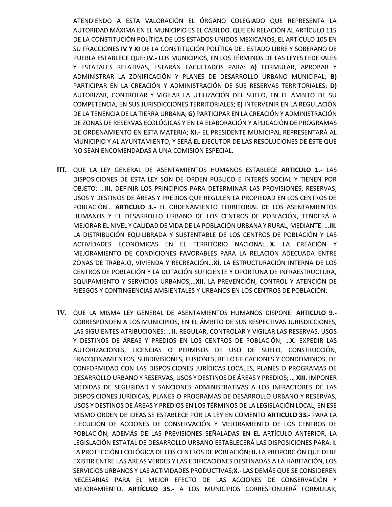ATENDIENDO A ESTA VALORACIÓN EL ÓRGANO COLEGIADO QUE REPRESENTA LA AUTORIDAD MÁXIMA EN EL MUNICIPIO ES EL CABILDO. QUE EN RELACIÓN AL ARTÍCULO 115 DE LA CONSTITUCIÓN POLÍTICA DE LOS ESTADOS UNIDOS MEXICANOS, EL ARTÍCULO 105 EN SU FRACCIONES **IV Y XI** DE LA CONSTITUCIÓN POLÍTICA DEL ESTADO LIBRE Y SOBERANO DE PUEBLA ESTABLECE QUE: **IV.-** LOS MUNICIPIOS, EN LOS TÉRMINOS DE LAS LEYES FEDERALES Y ESTATALES RELATIVAS, ESTARÁN FACULTADOS PARA: **A)** FORMULAR, APROBAR Y ADMINISTRAR LA ZONIFICACIÓN Y PLANES DE DESARROLLO URBANO MUNICIPAL; **B)**  PARTICIPAR EN LA CREACIÓN Y ADMINISTRACIÓN DE SUS RESERVAS TERRITORIALES; **D)**  AUTORIZAR, CONTROLAR Y VIGILAR LA UTILIZACIÓN DEL SUELO, EN EL ÁMBITO DE SU COMPETENCIA, EN SUS JURISDICCIONES TERRITORIALES; **E)** INTERVENIR EN LA REGULACIÓN DE LA TENENCIA DE LA TIERRA URBANA; **G)** PARTICIPAR EN LA CREACIÓN Y ADMINISTRACIÓN DE ZONAS DE RESERVAS ECOLÓGICAS Y EN LA ELABORACIÓN Y APLICACIÓN DE PROGRAMAS DE ORDENAMIENTO EN ESTA MATERIA; **XI.-** EL PRESIDENTE MUNICIPAL REPRESENTARÁ AL MUNICIPIO Y AL AYUNTAMIENTO, Y SERÁ EL EJECUTOR DE LAS RESOLUCIONES DE ÉSTE QUE NO SEAN ENCOMENDADAS A UNA COMISIÓN ESPECIAL.

- **III.** QUE LA LEY GENERAL DE ASENTAMIENTOS HUMANOS ESTABLECE **ARTICULO 1.-** LAS DISPOSICIONES DE ESTA LEY SON DE ORDEN PÚBLICO E INTERÉS SOCIAL Y TIENEN POR OBJETO: …**III.** DEFINIR LOS PRINCIPIOS PARA DETERMINAR LAS PROVISIONES, RESERVAS, USOS Y DESTINOS DE ÁREAS Y PREDIOS QUE REGULEN LA PROPIEDAD EN LOS CENTROS DE POBLACIÓN… **ARTICULO 3.-** EL ORDENAMIENTO TERRITORIAL DE LOS ASENTAMIENTOS HUMANOS Y EL DESARROLLO URBANO DE LOS CENTROS DE POBLACIÓN, TENDERÁ A MEJORAR EL NIVEL Y CALIDAD DE VIDA DE LA POBLACIÓN URBANA Y RURAL, MEDIANTE: …**III.**  LA DISTRIBUCIÓN EQUILIBRADA Y SUSTENTABLE DE LOS CENTROS DE POBLACIÓN Y LAS ACTIVIDADES ECONÓMICAS EN EL TERRITORIO NACIONAL…**X.** LA CREACIÓN Y MEJORAMIENTO DE CONDICIONES FAVORABLES PARA LA RELACIÓN ADECUADA ENTRE ZONAS DE TRABAJO, VIVIENDA Y RECREACIÓN…**XI.** LA ESTRUCTURACIÓN INTERNA DE LOS CENTROS DE POBLACIÓN Y LA DOTACIÓN SUFICIENTE Y OPORTUNA DE INFRAESTRUCTURA, EQUIPAMIENTO Y SERVICIOS URBANOS;…**XII.** LA PREVENCIÓN, CONTROL Y ATENCIÓN DE RIESGOS Y CONTINGENCIAS AMBIENTALES Y URBANOS EN LOS CENTROS DE POBLACIÓN;
- **IV.** QUE LA MISMA LEY GENERAL DE ASENTAMIENTOS HUMANOS DISPONE: **ARTICULO 9.-** CORRESPONDEN A LOS MUNICIPIOS, EN EL ÁMBITO DE SUS RESPECTIVAS JURISDICCIONES, LAS SIGUIENTES ATRIBUCIONES: …**II.** REGULAR, CONTROLAR Y VIGILAR LAS RESERVAS, USOS Y DESTINOS DE ÁREAS Y PREDIOS EN LOS CENTROS DE POBLACIÓN; …**X.** EXPEDIR LAS AUTORIZACIONES, LICENCIAS O PERMISOS DE USO DE SUELO, CONSTRUCCIÓN, FRACCIONAMIENTOS, SUBDIVISIONES, FUSIONES, RE LOTIFICACIONES Y CONDOMINIOS, DE CONFORMIDAD CON LAS DISPOSICIONES JURÍDICAS LOCALES, PLANES O PROGRAMAS DE DESARROLLO URBANO Y RESERVAS, USOS Y DESTINOS DE ÁREAS Y PREDIOS; … **XIII.** IMPONER MEDIDAS DE SEGURIDAD Y SANCIONES ADMINISTRATIVAS A LOS INFRACTORES DE LAS DISPOSICIONES JURÍDICAS, PLANES O PROGRAMAS DE DESARROLLO URBANO Y RESERVAS, USOS Y DESTINOS DE ÁREAS Y PREDIOS EN LOS TÉRMINOS DE LA LEGISLACIÓN LOCAL; EN ESE MISMO ORDEN DE IDEAS SE ESTABLECE POR LA LEY EN COMENTO **ARTICULO 33.-** PARA LA EJECUCIÓN DE ACCIONES DE CONSERVACIÓN Y MEJORAMIENTO DE LOS CENTROS DE POBLACIÓN, ADEMÁS DE LAS PREVISIONES SEÑALADAS EN EL ARTÍCULO ANTERIOR, LA LEGISLACIÓN ESTATAL DE DESARROLLO URBANO ESTABLECERÁ LAS DISPOSICIONES PARA: **I.**  LA PROTECCIÓN ECOLÓGICA DE LOS CENTROS DE POBLACIÓN; **II.** LA PROPORCIÓN QUE DEBE EXISTIR ENTRE LAS ÁREAS VERDES Y LAS EDIFICACIONES DESTINADAS A LA HABITACIÓN, LOS SERVICIOS URBANOS Y LAS ACTIVIDADES PRODUCTIVAS;**X.-** LAS DEMÁS QUE SE CONSIDEREN NECESARIAS PARA EL MEJOR EFECTO DE LAS ACCIONES DE CONSERVACIÓN Y MEJORAMIENTO. **ARTÍCULO 35.-** A LOS MUNICIPIOS CORRESPONDERÁ FORMULAR,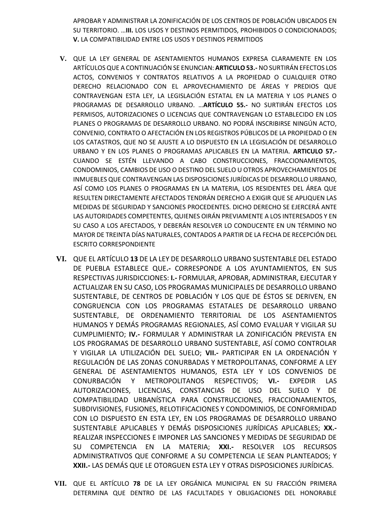APROBAR Y ADMINISTRAR LA ZONIFICACIÓN DE LOS CENTROS DE POBLACIÓN UBICADOS EN SU TERRITORIO. …**III.** LOS USOS Y DESTINOS PERMITIDOS, PROHIBIDOS O CONDICIONADOS; **V.** LA COMPATIBILIDAD ENTRE LOS USOS Y DESTINOS PERMITIDOS

- **V.** QUE LA LEY GENERAL DE ASENTAMIENTOS HUMANOS EXPRESA CLARAMENTE EN LOS ARTÍCULOS QUE A CONTINUACIÓN SE ENUNCIAN: **ARTICULO 53.-** NO SURTIRÁN EFECTOS LOS ACTOS, CONVENIOS Y CONTRATOS RELATIVOS A LA PROPIEDAD O CUALQUIER OTRO DERECHO RELACIONADO CON EL APROVECHAMIENTO DE ÁREAS Y PREDIOS QUE CONTRAVENGAN ESTA LEY, LA LEGISLACIÓN ESTATAL EN LA MATERIA Y LOS PLANES O PROGRAMAS DE DESARROLLO URBANO. …**ARTÍCULO 55.-** NO SURTIRÁN EFECTOS LOS PERMISOS, AUTORIZACIONES O LICENCIAS QUE CONTRAVENGAN LO ESTABLECIDO EN LOS PLANES O PROGRAMAS DE DESARROLLO URBANO. NO PODRÁ INSCRIBIRSE NINGÚN ACTO, CONVENIO, CONTRATO O AFECTACIÓN EN LOS REGISTROS PÚBLICOS DE LA PROPIEDAD O EN LOS CATASTROS, QUE NO SE AJUSTE A LO DISPUESTO EN LA LEGISLACIÓN DE DESARROLLO URBANO Y EN LOS PLANES O PROGRAMAS APLICABLES EN LA MATERIA. **ARTICULO 57.-** CUANDO SE ESTÉN LLEVANDO A CABO CONSTRUCCIONES, FRACCIONAMIENTOS, CONDOMINIOS, CAMBIOS DE USO O DESTINO DEL SUELO U OTROS APROVECHAMIENTOS DE INMUEBLES QUE CONTRAVENGAN LAS DISPOSICIONES JURÍDICAS DE DESARROLLO URBANO, ASÍ COMO LOS PLANES O PROGRAMAS EN LA MATERIA, LOS RESIDENTES DEL ÁREA QUE RESULTEN DIRECTAMENTE AFECTADOS TENDRÁN DERECHO A EXIGIR QUE SE APLIQUEN LAS MEDIDAS DE SEGURIDAD Y SANCIONES PROCEDENTES. DICHO DERECHO SE EJERCERÁ ANTE LAS AUTORIDADES COMPETENTES, QUIENES OIRÁN PREVIAMENTE A LOS INTERESADOS Y EN SU CASO A LOS AFECTADOS, Y DEBERÁN RESOLVER LO CONDUCENTE EN UN TÉRMINO NO MAYOR DE TREINTA DÍAS NATURALES, CONTADOS A PARTIR DE LA FECHA DE RECEPCIÓN DEL ESCRITO CORRESPONDIENTE
- **VI.** QUE EL ARTÍCULO **13** DE LA LEY DE DESARROLLO URBANO SUSTENTABLE DEL ESTADO DE PUEBLA ESTABLECE QUE**.-** CORRESPONDE A LOS AYUNTAMIENTOS, EN SUS RESPECTIVAS JURISDICCIONES: **I.-** FORMULAR, APROBAR, ADMINISTRAR, EJECUTAR Y ACTUALIZAR EN SU CASO, LOS PROGRAMAS MUNICIPALES DE DESARROLLO URBANO SUSTENTABLE, DE CENTROS DE POBLACIÓN Y LOS QUE DE ÉSTOS SE DERIVEN, EN CONGRUENCIA CON LOS PROGRAMAS ESTATALES DE DESARROLLO URBANO SUSTENTABLE, DE ORDENAMIENTO TERRITORIAL DE LOS ASENTAMIENTOS HUMANOS Y DEMÁS PROGRAMAS REGIONALES, ASÍ COMO EVALUAR Y VIGILAR SU CUMPLIMIENTO; **IV.-** FORMULAR Y ADMINISTRAR LA ZONIFICACIÓN PREVISTA EN LOS PROGRAMAS DE DESARROLLO URBANO SUSTENTABLE, ASÍ COMO CONTROLAR Y VIGILAR LA UTILIZACIÓN DEL SUELO; **VII.-** PARTICIPAR EN LA ORDENACIÓN Y REGULACIÓN DE LAS ZONAS CONURBADAS Y METROPOLITANAS, CONFORME A LEY GENERAL DE ASENTAMIENTOS HUMANOS, ESTA LEY Y LOS CONVENIOS DE CONURBACIÓN Y METROPOLITANOS RESPECTIVOS; **VI.-** EXPEDIR LAS AUTORIZACIONES, LICENCIAS, CONSTANCIAS DE USO DEL SUELO Y DE COMPATIBILIDAD URBANÍSTICA PARA CONSTRUCCIONES, FRACCIONAMIENTOS, SUBDIVISIONES, FUSIONES, RELOTIFICACIONES Y CONDOMINIOS, DE CONFORMIDAD CON LO DISPUESTO EN ESTA LEY, EN LOS PROGRAMAS DE DESARROLLO URBANO SUSTENTABLE APLICABLES Y DEMÁS DISPOSICIONES JURÍDICAS APLICABLES; **XX.-** REALIZAR INSPECCIONES E IMPONER LAS SANCIONES Y MEDIDAS DE SEGURIDAD DE SU COMPETENCIA EN LA MATERIA; **XXI.-** RESOLVER LOS RECURSOS ADMINISTRATIVOS QUE CONFORME A SU COMPETENCIA LE SEAN PLANTEADOS; Y **XXII.-** LAS DEMÁS QUE LE OTORGUEN ESTA LEY Y OTRAS DISPOSICIONES JURÍDICAS.
- **VII.** QUE EL ARTÍCULO **78** DE LA LEY ORGÁNICA MUNICIPAL EN SU FRACCIÓN PRIMERA DETERMINA QUE DENTRO DE LAS FACULTADES Y OBLIGACIONES DEL HONORABLE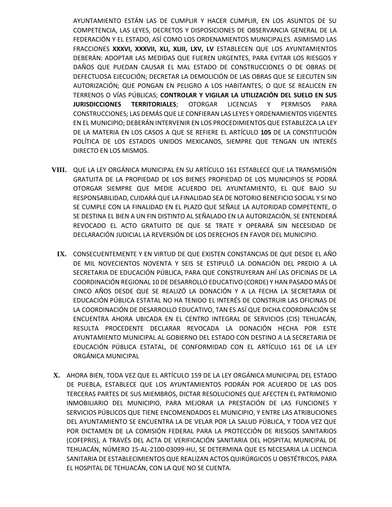AYUNTAMIENTO ESTÁN LAS DE CUMPLIR Y HACER CUMPLIR, EN LOS ASUNTOS DE SU COMPETENCIA, LAS LEYES, DECRETOS Y DISPOSICIONES DE OBSERVANCIA GENERAL DE LA FEDERACIÓN Y EL ESTADO, ASÍ COMO LOS ORDENAMIENTOS MUNICIPALES. ASIMISMO LAS FRACCIONES **XXXVI, XXXVII, XLI, XLIII, LXV, LV** ESTABLECEN QUE LOS AYUNTAMIENTOS DEBERÁN: ADOPTAR LAS MEDIDAS QUE FUEREN URGENTES, PARA EVITAR LOS RIESGOS Y DAÑOS QUE PUEDAN CAUSAR EL MAL ESTADO DE CONSTRUCCIONES O DE OBRAS DE DEFECTUOSA EJECUCIÓN; DECRETAR LA DEMOLICIÓN DE LAS OBRAS QUE SE EJECUTEN SIN AUTORIZACIÓN; QUE PONGAN EN PELIGRO A LOS HABITANTES; O QUE SE REALICEN EN TERRENOS O VÍAS PÚBLICAS; **CONTROLAR Y VIGILAR LA UTILIZACIÓN DEL SUELO EN SUS JURISDICCIONES TERRITORIALES**; OTORGAR LICENCIAS Y PERMISOS PARA CONSTRUCCIONES; LAS DEMÁS QUE LE CONFIERAN LAS LEYES Y ORDENAMIENTOS VIGENTES EN EL MUNICIPIO; DEBERÁN INTERVENIR EN LOS PROCEDIMIENTOS QUE ESTABLEZCA LA LEY DE LA MATERIA EN LOS CASOS A QUE SE REFIERE EL ARTÍCULO **105** DE LA CONSTITUCIÓN POLÍTICA DE LOS ESTADOS UNIDOS MEXICANOS, SIEMPRE QUE TENGAN UN INTERÉS DIRECTO EN LOS MISMOS.

- **VIII.** QUE LA LEY ORGÁNICA MUNICIPAL EN SU ARTÍCULO 161 ESTABLECE QUE LA TRANSMISIÓN GRATUITA DE LA PROPIEDAD DE LOS BIENES PROPIEDAD DE LOS MUNICIPIOS SE PODRÁ OTORGAR SIEMPRE QUE MEDIE ACUERDO DEL AYUNTAMIENTO, EL QUE BAJO SU RESPONSABILIDAD, CUIDARÁ QUE LA FINALIDAD SEA DE NOTORIO BENEFICIO SOCIAL Y SI NO SE CUMPLE CON LA FINALIDAD EN EL PLAZO QUE SEÑALE LA AUTORIDAD COMPETENTE, O SE DESTINA EL BIEN A UN FIN DISTINTO AL SEÑALADO EN LA AUTORIZACIÓN, SE ENTENDERÁ REVOCADO EL ACTO GRATUITO DE QUE SE TRATE Y OPERARÁ SIN NECESIDAD DE DECLARACIÓN JUDICIAL LA REVERSIÓN DE LOS DERECHOS EN FAVOR DEL MUNICIPIO.
	- **IX.** CONSECUENTEMENTE Y EN VIRTUD DE QUE EXISTEN CONSTANCIAS DE QUE DESDE EL AÑO DE MIL NOVECIENTOS NOVENTA Y SEIS SE ESTIPULÓ LA DONACIÓN DEL PREDIO A LA SECRETARIA DE EDUCACIÓN PÚBLICA, PARA QUE CONSTRUYERAN AHÍ LAS OFICINAS DE LA COORDINACIÓN REGIONAL 10 DE DESARROLLO EDUCATIVO (CORDE) Y HAN PASADO MÁS DE CINCO AÑOS DESDE QUE SE REALIZÓ LA DONACIÓN Y A LA FECHA LA SECRETARIA DE EDUCACIÓN PÚBLICA ESTATAL NO HA TENIDO EL INTERÉS DE CONSTRUIR LAS OFICINAS DE LA COORDINACIÓN DE DESARROLLO EDUCATIVO, TAN ES ASÍ QUE DICHA COORDINACIÓN SE ENCUENTRA AHORA UBICADA EN EL CENTRO INTEGRAL DE SERVICIOS (CIS) TEHUACÁN, RESULTA PROCEDENTE DECLARAR REVOCADA LA DONACIÓN HECHA POR ESTE AYUNTAMIENTO MUNICIPAL AL GOBIERNO DEL ESTADO CON DESTINO A LA SECRETARIA DE EDUCACIÓN PÚBLICA ESTATAL, DE CONFORMIDAD CON EL ARTÍCULO 161 DE LA LEY ORGÁNICA MUNICIPAL
- **X.** AHORA BIEN, TODA VEZ QUE EL ARTÍCULO 159 DE LA LEY ORGÁNICA MUNICIPAL DEL ESTADO DE PUEBLA, ESTABLECE QUE LOS AYUNTAMIENTOS PODRÁN POR ACUERDO DE LAS DOS TERCERAS PARTES DE SUS MIEMBROS, DICTAR RESOLUCIONES QUE AFECTEN EL PATRIMONIO INMOBILIARIO DEL MUNICIPIO, PARA MEJORAR LA PRESTACIÓN DE LAS FUNCIONES Y SERVICIOS PÚBLICOS QUE TIENE ENCOMENDADOS EL MUNICIPIO, Y ENTRE LAS ATRIBUCIONES DEL AYUNTAMIENTO SE ENCUENTRA LA DE VELAR POR LA SALUD PÚBLICA, Y TODA VEZ QUE POR DICTAMEN DE LA COMISIÓN FEDERAL PARA LA PROTECCIÓN DE RIESGOS SANITARIOS (COFEPRIS), A TRAVÉS DEL ACTA DE VERIFICACIÓN SANITARIA DEL HOSPITAL MUNICIPAL DE TEHUACÁN, NÚMERO 15-AL-2100-03099-HU, SE DETERMINA QUE ES NECESARIA LA LICENCIA SANITARIA DE ESTABLECIMIENTOS QUE REALIZAN ACTOS QUIRÚRGICOS U OBSTÉTRICOS, PARA EL HOSPITAL DE TEHUACÁN, CON LA QUE NO SE CUENTA.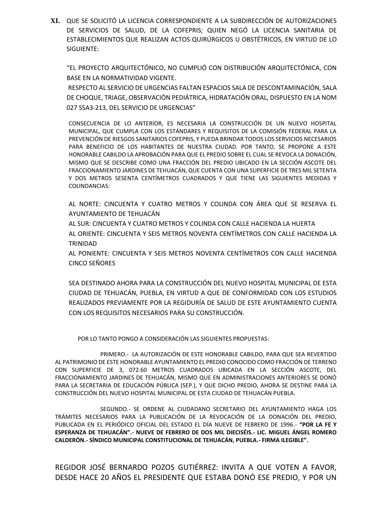**XI.** QUE SE SOLICITÓ LA LICENCIA CORRESPONDIENTE A LA SUBDIRECCIÓN DE AUTORIZACIONES DE SERVICIOS DE SALUD, DE LA COFEPRIS; QUIEN NEGÓ LA LICENCIA SANITARIA DE ESTABLECIMIENTOS QUE REALIZAN ACTOS QUIRÚRGICOS U OBSTÉTRICOS, EN VIRTUD DE LO SIGUIENTE:

"EL PROYECTO ARQUITECTÓNICO, NO CUMPLIÓ CON DISTRIBUCIÓN ARQUITECTÓNICA, CON BASE EN LA NORMATIVIDAD VIGENTE.

RESPECTO AL SERVICIO DE URGENCIAS FALTAN ESPACIOS SALA DE DESCONTAMINACIÓN, SALA DE CHOQUE, TRIAGE, OBSERVACIÓN PEDIÁTRICA, HIDRATACIÓN ORAL, DISPUESTO EN LA NOM 027 SSA3-213, DEL SERVICIO DE URGENCIAS"

CONSECUENCIA DE LO ANTERIOR, ES NECESARIA LA CONSTRUCCIÓN DE UN NUEVO HOSPITAL MUNICIPAL, QUE CUMPLA CON LOS ESTÁNDARES Y REQUISITOS DE LA COMISIÓN FEDERAL PARA LA PREVENCIÓN DE RIESGOS SANITARIOS COFEPRIS, Y PUEDA BRINDAR TODOS LOS SERVICIOS NECESARIOS PARA BENEFICIO DE LOS HABITANTES DE NUESTRA CIUDAD. POR TANTO, SE PROPONE A ESTE HONORABLE CABILDO LA APROBACIÓN PARA QUE EL PREDIO SOBRE EL CUAL SE REVOCA LA DONACIÓN, MISMO QUE SE DESCRIBE COMO UNA FRACCIÓN DEL PREDIO UBICADO EN LA SECCIÓN ASCOTE DEL FRACCIONAMIENTO JARDINES DE TEHUACÁN, QUE CUENTA CON UNA SUPERFICIE DE TRES MIL SETENTA Y DOS METROS SESENTA CENTÍMETROS CUADRADOS Y QUE TIENE LAS SIGUIENTES MEDIDAS Y COLINDANCIAS:

AL NORTE: CINCUENTA Y CUATRO METROS Y COLINDA CON ÁREA QUE SE RESERVA EL AYUNTAMIENTO DE TEHUACÁN

AL SUR: CINCUENTA Y CUATRO METROS Y COLINDA CON CALLE HACIENDA LA HUERTA AL ORIENTE: CINCUENTA Y SEIS METROS NOVENTA CENTÍMETROS CON CALLE HACIENDA LA TRINIDAD

AL PONIENTE: CINCUENTA Y SEIS METROS NOVENTA CENTÍMETROS CON CALLE HACIENDA CINCO SEÑORES

SEA DESTINADO AHORA PARA LA CONSTRUCCIÓN DEL NUEVO HOSPITAL MUNICIPAL DE ESTA CIUDAD DE TEHUACÁN, PUEBLA, EN VIRTUD A QUE DE CONFORMIDAD CON LOS ESTUDIOS REALIZADOS PREVIAMENTE POR LA REGIDURÍA DE SALUD DE ESTE AYUNTAMIENTO CUENTA CON LOS REQUISITOS NECESARIOS PARA SU CONSTRUCCIÓN.

POR LO TANTO PONGO A CONSIDERACIÓN LAS SIGUIENTES PROPUESTAS:

PRIMERO.- LA AUTORIZACIÓN DE ESTE HONORABLE CABILDO, PARA QUE SEA REVERTIDO AL PATRIMONIO DE ESTE HONORABLE AYUNTAMIENTO EL PREDIO CONOCIDO COMO FRACCIÓN DE TERRENO CON SUPERFICIE DE 3, 072.60 METROS CUADRADOS UBICADA EN LA SECCIÓN ASCOTE, DEL FRACCIONAMIENTO JARDINES DE TEHUACÁN, MISMO QUE EN ADMINISTRACIONES ANTERIORES SE DONÓ PARA LA SECRETARIA DE EDUCACIÓN PÚBLICA (SEP.), Y QUE DICHO PREDIO, AHORA SE DESTINE PARA LA CONSTRUCCIÓN DEL NUEVO HOSPITAL MUNICIPAL DE ESTA CIUDAD DE TEHUACÁN PUEBLA.

SEGUNDO.- SE ORDENE AL CIUDADANO SECRETARIO DEL AYUNTAMIENTO HAGA LOS TRÁMITES NECESARIOS PARA LA PUBLICACIÓN DE LA REVOCACIÓN DE LA DONACIÓN DEL PREDIO, PUBLICADA EN EL PERIÓDICO OFICIAL DEL ESTADO EL DÍA NUEVE DE FEBRERO DE 1996.- **"POR LA FE Y ESPERANZA DE TEHUACÁN".- NUEVE DE FEBRERO DE DOS MIL DIECISÉIS.- LIC. MIGUEL ÁNGEL ROMERO CALDERÓN.- SÍNDICO MUNICIPAL CONSTITUCIONAL DE TEHUACÁN, PUEBLA.- FIRMA ILEGIBLE".**

REGIDOR JOSÉ BERNARDO POZOS GUTIÉRREZ: INVITA A QUE VOTEN A FAVOR, DESDE HACE 20 AÑOS EL PRESIDENTE QUE ESTABA DONÓ ESE PREDIO, Y POR UN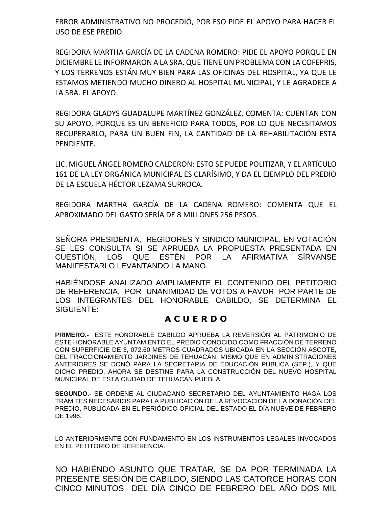ERROR ADMINISTRATIVO NO PROCEDIÓ, POR ESO PIDE EL APOYO PARA HACER EL USO DE ESE PREDIO.

REGIDORA MARTHA GARCÍA DE LA CADENA ROMERO: PIDE EL APOYO PORQUE EN DICIEMBRE LE INFORMARON A LA SRA. QUE TIENE UN PROBLEMA CON LA COFEPRIS, Y LOS TERRENOS ESTÁN MUY BIEN PARA LAS OFICINAS DEL HOSPITAL, YA QUE LE ESTAMOS METIENDO MUCHO DINERO AL HOSPITAL MUNICIPAL, Y LE AGRADECE A LA SRA. EL APOYO.

REGIDORA GLADYS GUADALUPE MARTÍNEZ GONZÁLEZ, COMENTA: CUENTAN CON SU APOYO, PORQUE ES UN BENEFICIO PARA TODOS, POR LO QUE NECESITAMOS RECUPERARLO, PARA UN BUEN FIN, LA CANTIDAD DE LA REHABILITACIÓN ESTA PENDIENTE.

LIC. MIGUEL ÁNGEL ROMERO CALDERON: ESTO SE PUEDE POLITIZAR, Y EL ARTÍCULO 161 DE LA LEY ORGÁNICA MUNICIPAL ES CLARÍSIMO, Y DA EL EJEMPLO DEL PREDIO DE LA ESCUELA HÉCTOR LEZAMA SURROCA.

REGIDORA MARTHA GARCÍA DE LA CADENA ROMERO: COMENTA QUE EL APROXIMADO DEL GASTO SERÍA DE 8 MILLONES 256 PESOS.

SEÑORA PRESIDENTA, REGIDORES Y SINDICO MUNICIPAL, EN VOTACIÓN SE LES CONSULTA SI SE APRUEBA LA PROPUESTA PRESENTADA EN CUESTIÓN, LOS QUE ESTÉN POR LA AFIRMATIVA SÍRVANSE MANIFESTARLO LEVANTANDO LA MANO.

HABIÉNDOSE ANALIZADO AMPLIAMENTE EL CONTENIDO DEL PETITORIO DE REFERENCIA, POR UNANIMIDAD DE VOTOS A FAVOR POR PARTE DE LOS INTEGRANTES DEL HONORABLE CABILDO, SE DETERMINA EL SIGUIENTE:

# **A C U E R D O**

**PRIMERO.-** ESTE HONORABLE CABILDO APRUEBA LA REVERSIÓN AL PATRIMONIO DE ESTE HONORABLE AYUNTAMIENTO EL PREDIO CONOCIDO COMO FRACCIÓN DE TERRENO CON SUPERFICIE DE 3, 072.60 METROS CUADRADOS UBICADA EN LA SECCIÓN ASCOTE, DEL FRACCIONAMIENTO JARDINES DE TEHUACÁN, MISMO QUE EN ADMINISTRACIONES ANTERIORES SE DONÓ PARA LA SECRETARIA DE EDUCACIÓN PÚBLICA (SEP.), Y QUE DICHO PREDIO, AHORA SE DESTINE PARA LA CONSTRUCCIÓN DEL NUEVO HOSPITAL MUNICIPAL DE ESTA CIUDAD DE TEHUACÁN PUEBLA.

**SEGUNDO.-** SE ORDENE AL CIUDADANO SECRETARIO DEL AYUNTAMIENTO HAGA LOS TRÁMITES NECESARIOS PARA LA PUBLICACIÓN DE LA REVOCACIÓN DE LA DONACIÓN DEL PREDIO, PUBLICADA EN EL PERIÓDICO OFICIAL DEL ESTADO EL DÍA NUEVE DE FEBRERO DE 1996.

LO ANTERIORMENTE CON FUNDAMENTO EN LOS INSTRUMENTOS LEGALES INVOCADOS EN EL PETITORIO DE REFERENCIA.

NO HABIÉNDO ASUNTO QUE TRATAR, SE DA POR TERMINADA LA PRESENTE SESIÓN DE CABILDO, SIENDO LAS CATORCE HORAS CON CINCO MINUTOS DEL DÍA CINCO DE FEBRERO DEL AÑO DOS MIL